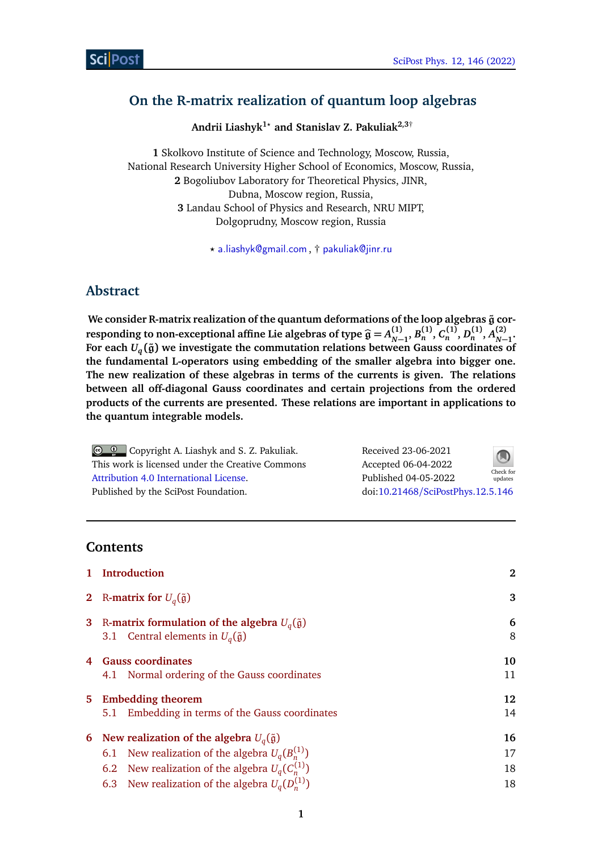## <span id="page-0-0"></span>**On the R-matrix realization of quantum loop algebras**

**Andrii Liashyk1***?* **and Stanislav Z. Pakuliak2,3**†

**1** Skolkovo Institute of Science and Technology, Moscow, Russia, National Research University Higher School of Economics, Moscow, Russia, **2** Bogoliubov Laboratory for Theoretical Physics, JINR, Dubna, Moscow region, Russia, **3** Landau School of Physics and Research, NRU MIPT, Dolgoprudny, Moscow region, Russia

*?* [a.liashyk@gmail.com](mailto:a.liashyk@gmail.com) , † [pakuliak@jinr.ru](mailto:pakuliak@jinr.ru)

## **Abstract**

We consider R-matrix realization of the quantum deformations of the loop algebras  $\tilde{g}$  cor**responding to non-exceptional affine Lie algebras of type**  $\widehat{g} = A_{N}^{(1)}$ **<br>For each**  $H_0(\tilde{x})$  **are investigate the commutation relations between**  $D_n^{(1)}, B_n^{(1)}, C_n^{(1)}, D_n^{(1)}, A_{N-1}^{(2)}$ *N***−1 .** For each  $U_q(\tilde{\mathfrak{g}})$  we investigate the commutation relations between Gauss coordinates of **the fundamental L-operators using embedding of the smaller algebra into bigger one. The new realization of these algebras in terms of the currents is given. The relations between all off-diagonal Gauss coordinates and certain projections from the ordered products of the currents are presented. These relations are important in applications to the quantum integrable models.**

| © © Copyright A. Liashyk and S. Z. Pakuliak.     | Received 23-06-2021               | $\bigcirc$           |
|--------------------------------------------------|-----------------------------------|----------------------|
| This work is licensed under the Creative Commons | Accepted 06-04-2022               |                      |
| Attribution 4.0 International License.           | Published 04-05-2022              | Check for<br>updates |
| Published by the SciPost Foundation.             | doi:10.21468/SciPostPhys.12.5.146 |                      |

## **Contents**

| Introduction<br>$\mathbf{1}$                                                                                                | 2      |
|-----------------------------------------------------------------------------------------------------------------------------|--------|
| 2 R-matrix for $U_q(\tilde{\mathfrak{g}})$                                                                                  | 3      |
| R-matrix formulation of the algebra $U_q(\tilde{\mathfrak{g}})$<br>3<br>3.1 Central elements in $U_q(\tilde{\mathfrak{g}})$ | 6<br>8 |
| <b>Gauss coordinates</b>                                                                                                    | 10     |
| 4.1 Normal ordering of the Gauss coordinates                                                                                | 11     |
| <b>Embedding theorem</b><br>5.                                                                                              | 12     |
| Embedding in terms of the Gauss coordinates<br>5.1                                                                          | 14     |
| New realization of the algebra $U_q(\tilde{\mathfrak{g}})$<br>6                                                             | 16     |
| 6.1 New realization of the algebra $U_q(B_n^{(1)})$                                                                         | 17     |
| 6.2 New realization of the algebra $U_q(C_n^{(1)})$                                                                         | 18     |
| 6.3 New realization of the algebra $U_q(D_n^{(1)})$                                                                         | 18     |
|                                                                                                                             |        |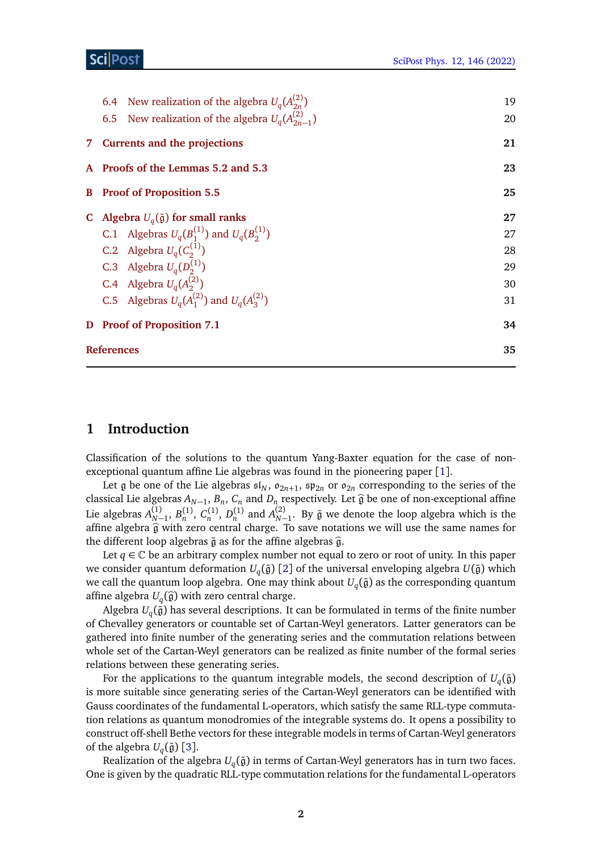|                                   | 6.4 New realization of the algebra $U_q(A_{2n}^{(2)})$   | 19 |  |  |
|-----------------------------------|----------------------------------------------------------|----|--|--|
|                                   | 6.5 New realization of the algebra $U_q(A_{2n-1}^{(2)})$ | 20 |  |  |
|                                   | 7 Currents and the projections                           | 21 |  |  |
|                                   | A Proofs of the Lemmas 5.2 and 5.3                       | 23 |  |  |
| <b>B</b> Proof of Proposition 5.5 |                                                          |    |  |  |
|                                   | C Algebra $U_q(\tilde{\mathfrak{g}})$ for small ranks    | 27 |  |  |
|                                   | C.1 Algebras $U_q(B_1^{(1)})$ and $U_q(B_2^{(1)})$       | 27 |  |  |
|                                   | C.2 Algebra $U_q(C_2^{(1)})$                             | 28 |  |  |
|                                   | C.3 Algebra $U_q(D_2^{(1)})$                             | 29 |  |  |
|                                   | C.4 Algebra $U_q(A_2^{(2)})$                             | 30 |  |  |
|                                   | C.5 Algebras $U_q(A_1^{(2)})$ and $U_q(A_2^{(2)})$       | 31 |  |  |
|                                   | D Proof of Proposition 7.1                               | 34 |  |  |
|                                   | <b>References</b>                                        | 35 |  |  |
|                                   |                                                          |    |  |  |

## <span id="page-1-0"></span>**1 Introduction**

Classification of the solutions to the quantum Yang-Baxter equation for the case of nonexceptional quantum affine Lie algebras was found in the pioneering paper [[1](#page-34-1)].

Let  $\mathfrak g$  be one of the Lie algebras  $\mathfrak{sl}_N$ ,  $\mathfrak o_{2n+1}$ ,  $\mathfrak{sp}_{2n}$  or  $\mathfrak o_{2n}$  corresponding to the series of the classical Lie algebras  $A_{N-1}$ ,  $B_n$ ,  $C_n$  and  $D_n$  respectively. Let  $\hat{g}$  be one of non-exceptional affine Lie algebras  $A_{N-1}^{(1)}, B_n^{(1)}, C_n^{(1)}, D_n^{(1)}$  and  $A_{N-1}^{(2)}$ . By  $\tilde{\mathfrak{g}}$  we denote the loop algebra which is the affine algebra  $\hat{g}$  with zero central charge. To save notations we will use the same names for the different leap elgebras  $\tilde{e}$  as for the effine elgebras  $\hat{e}$ the different loop algebras  $\tilde{g}$  as for the affine algebras  $\hat{g}$ .

Let  $q \in \mathbb{C}$  be an arbitrary complex number not equal to zero or root of unity. In this paper we consider quantum deformation  $U_q(\tilde{\mathfrak{g}})$  [[2](#page-34-2)] of the universal enveloping algebra  $U(\tilde{\mathfrak{g}})$  which we call the quantum loop algebra. One may think about  $U_q(\tilde{\mathfrak{g}})$  as the corresponding quantum affine algebra  $U_q(\hat{g})$  with zero central charge.<br>Algebra *U*<sub>4</sub><sup>( $\hat{z}$ ) has several descriptions. It</sup>

Algebra  $U_q(\tilde{\mathfrak{g}})$  has several descriptions. It can be formulated in terms of the finite number of Chevalley generators or countable set of Cartan-Weyl generators. Latter generators can be gathered into finite number of the generating series and the commutation relations between whole set of the Cartan-Weyl generators can be realized as finite number of the formal series relations between these generating series.

For the applications to the quantum integrable models, the second description of  $U_q(\tilde{\mathfrak{g}})$ is more suitable since generating series of the Cartan-Weyl generators can be identified with Gauss coordinates of the fundamental L-operators, which satisfy the same RLL-type commutation relations as quantum monodromies of the integrable systems do. It opens a possibility to construct off-shell Bethe vectors for these integrable models in terms of Cartan-Weyl generators of the algebra  $U_q(\tilde{\mathfrak{g}})$  [[3](#page-34-3)].

Realization of the algebra  $U_q(\tilde{\mathfrak{g}})$  in terms of Cartan-Weyl generators has in turn two faces. One is given by the quadratic RLL-type commutation relations for the fundamental L-operators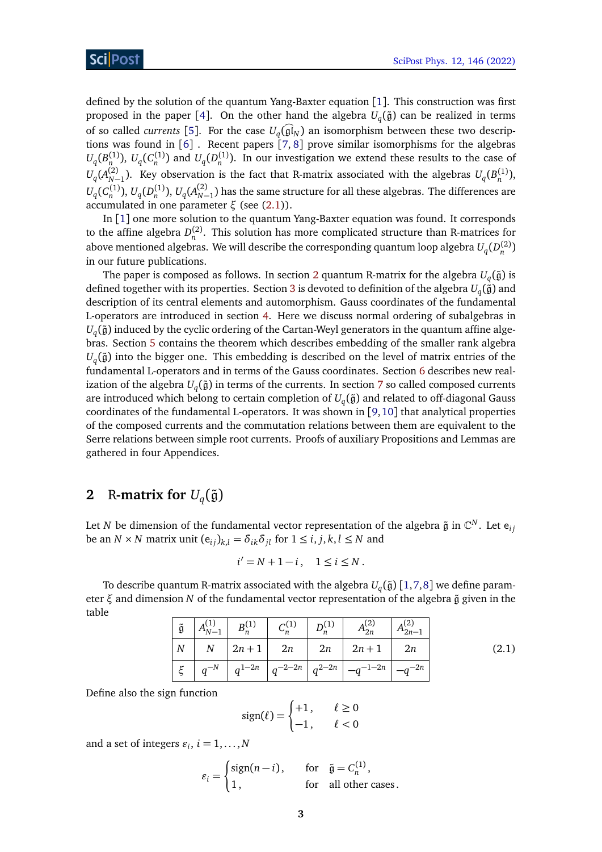defined by the solution of the quantum Yang-Baxter equation [[1](#page-34-1)]. This construction was first proposed in the paper [[4](#page-34-4)]. On the other hand the algebra  $U_q(\tilde{\mathfrak{g}})$  can be realized in terms of so called *currents* [[5](#page-34-5)]. For the case  $U_q(\mathfrak{gl}_N)$  an isomorphism between these two descriptions was found in [[6](#page-35-0)] . Recent papers [[7,](#page-35-1) [8](#page-35-2)] prove similar isomorphisms for the algebras  $U_q(B_n^{(1)})$ ,  $U_q(C_n^{(1)})$  and  $U_q(D_n^{(1)})$ . In our investigation we extend these results to the case of  $U_q(A_{N-1}^{(2)})$ . Key observation is the fact that R-matrix associated with the algebras  $U_q(B_n^{(1)})$ ,  $U_q(C_n^{(1)}),$   $U_q(D_n^{(1)}),$   $U_q(A_{N-1}^{(2)})$  has the same structure for all these algebras. The differences are accumulated in one parameter *ξ* (see [\(2.1\)](#page-2-1)).

In [[1](#page-34-1)] one more solution to the quantum Yang-Baxter equation was found. It corresponds to the affine algebra  $D_n^{(2)}$ . This solution has more complicated structure than R-matrices for above mentioned algebras. We will describe the corresponding quantum loop algebra  $U_q(D_n^{(2)})$ in our future publications.

The paper is composed as follows. In section [2](#page-2-0) quantum R-matrix for the algebra  $U_q(\tilde{\mathfrak{g}})$  is defined together with its properties. Section [3](#page-5-0) is devoted to definition of the algebra  $U_q(\tilde{\mathfrak{g}})$  and description of its central elements and automorphism. Gauss coordinates of the fundamental L-operators are introduced in section [4.](#page-9-0) Here we discuss normal ordering of subalgebras in  $U_q(\tilde{\mathfrak{g}})$  induced by the cyclic ordering of the Cartan-Weyl generators in the quantum affine algebras. Section [5](#page-11-0) contains the theorem which describes embedding of the smaller rank algebra  $U_q(\tilde{\mathfrak{g}})$  into the bigger one. This embedding is described on the level of matrix entries of the fundamental L-operators and in terms of the Gauss coordinates. Section [6](#page-15-0) describes new realization of the algebra  $U_q(\tilde{\mathfrak{g}})$  in terms of the currents. In section [7](#page-20-0) so called composed currents are introduced which belong to certain completion of  $U_q(\tilde{\mathfrak{g}})$  and related to off-diagonal Gauss coordinates of the fundamental L-operators. It was shown in [[9,](#page-35-3)[10](#page-35-4)] that analytical properties of the composed currents and the commutation relations between them are equivalent to the Serre relations between simple root currents. Proofs of auxiliary Propositions and Lemmas are gathered in four Appendices.

# <span id="page-2-0"></span>**2** R-matrix for  $U_q(\tilde{\mathfrak{g}})$

Let *N* be dimension of the fundamental vector representation of the algebra  $\tilde{\mathfrak g}$  in  $\mathbb C^N.$  Let  ${\mathsf e}_{ij}$ be an *N* × *N* matrix unit  $(e_{ij})_{k,l} = \delta_{ik}\delta_{jl}$  for  $1 \le i, j, k, l \le N$  and

$$
i'=N+1-i\,,\quad 1\leq i\leq N\,.
$$

<span id="page-2-1"></span>To describe quantum R-matrix associated with the algebra  $U_q(\tilde{\mathfrak{g}})$  [[1,](#page-34-1)[7,](#page-35-1)[8](#page-35-2)] we define parameter  $ξ$  and dimension *N* of the fundamental vector representation of the algebra  $\tilde{g}$  given in the table

| ğ        | $A_{N-1}^{(1)}$ | $B_n^{(1)}$ | $C_n^{(1)}$           | $D^{(1)}$ | (2)<br>$A_{2n}$ | (2)<br>$A_{2n-1}$ |
|----------|-----------------|-------------|-----------------------|-----------|-----------------|-------------------|
| $\mid N$ | $\cal N$        | $2n + 1$    | 2n                    | 2n        | $2n + 1$        | 2n                |
|          | $q^{-N}$        | $q^{1-2n}$  | $ q^{-2-2n} q^{2-2n}$ |           | $-a^{-1-2n}$    | $q^{-2n}$         |

(2.1)

Define also the sign function

$$
sign(\ell) = \begin{cases} +1, & \ell \ge 0 \\ -1, & \ell < 0 \end{cases}
$$

and a set of integers  $\varepsilon_i$ ,  $i = 1, \ldots, N$ 

$$
\varepsilon_i = \begin{cases} \text{sign}(n-i), & \text{for } \tilde{\mathfrak{g}} = C_n^{(1)}, \\ 1, & \text{for all other cases.} \end{cases}
$$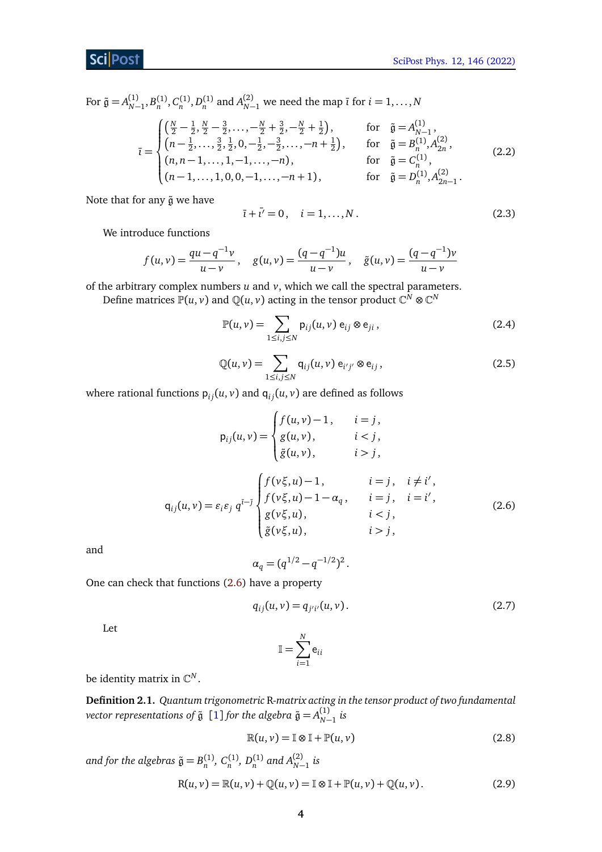## **Sci** Post

For  $\tilde{g} = A_{N-1}^{(1)}, B_n^{(1)}, C_n^{(1)}, D_n^{(1)}$  and  $A_{N-1}^{(2)}$  we need the map  $\bar{\iota}$  for  $i = 1, ..., N$ 

$$
\bar{\iota} = \begin{cases}\n\left(\frac{N}{2} - \frac{1}{2}, \frac{N}{2} - \frac{3}{2}, \dots, -\frac{N}{2} + \frac{3}{2}, -\frac{N}{2} + \frac{1}{2}\right), & \text{for } \tilde{\mathfrak{g}} = A_{N-1}^{(1)}, \\
\left(n - \frac{1}{2}, \dots, \frac{3}{2}, \frac{1}{2}, 0, -\frac{1}{2}, -\frac{3}{2}, \dots, -n + \frac{1}{2}\right), & \text{for } \tilde{\mathfrak{g}} = B_{n}^{(1)}, A_{2n}^{(2)}, \\
(n, n - 1, \dots, 1, -1, \dots, -n), & \text{for } \tilde{\mathfrak{g}} = C_{n}^{(1)}, \\
(n - 1, \dots, 1, 0, 0, -1, \dots, -n + 1), & \text{for } \tilde{\mathfrak{g}} = D_{n}^{(1)}, A_{2n-1}^{(2)}.\n\end{cases} (2.2)
$$

Note that for any  $\tilde{g}$  we have

<span id="page-3-6"></span><span id="page-3-4"></span><span id="page-3-1"></span>
$$
\bar{i} + \bar{i'} = 0, \quad i = 1, ..., N. \tag{2.3}
$$

We introduce functions

$$
f(u,v) = \frac{qu - q^{-1}v}{u - v}, \quad g(u,v) = \frac{(q - q^{-1})u}{u - v}, \quad \tilde{g}(u,v) = \frac{(q - q^{-1})v}{u - v}
$$

of the arbitrary complex numbers *u* and *v*, which we call the spectral parameters.

Define matrices  $\mathbb{P}(u,v)$  and  $\mathbb{Q}(u,v)$  acting in the tensor product  $\mathbb{C}^N\otimes\mathbb{C}^N$ 

$$
\mathbb{P}(u,v) = \sum_{1 \le i,j \le N} \mathsf{p}_{ij}(u,v) \, \mathsf{e}_{ij} \otimes \mathsf{e}_{ji},\tag{2.4}
$$

$$
\mathbb{Q}(u, v) = \sum_{1 \le i, j \le N} \mathsf{q}_{ij}(u, v) \, \mathsf{e}_{i'j'} \otimes \mathsf{e}_{ij},\tag{2.5}
$$

<span id="page-3-5"></span><span id="page-3-0"></span>where rational functions  $p_{ij}(u, v)$  and  $q_{ij}(u, v)$  are defined as follows

$$
p_{ij}(u, v) = \begin{cases} f(u, v) - 1, & i = j, \\ g(u, v), & i < j, \\ \tilde{g}(u, v), & i > j, \end{cases}
$$
  
\n
$$
q_{ij}(u, v) = \varepsilon_i \varepsilon_j q^{i-j} \begin{cases} f(v\xi, u) - 1, & i = j, i \neq i', \\ f(v\xi, u) - 1 - \alpha_q, & i = j, i = i', \\ g(v\xi, u), & i < j, \\ \tilde{g}(v\xi, u), & i > j, \end{cases}
$$
(2.6)

and

$$
\alpha_q = (q^{1/2} - q^{-1/2})^2.
$$

One can check that functions [\(2.6\)](#page-3-0) have a property

$$
q_{ij}(u, v) = q_{j'i'}(u, v).
$$
 (2.7)

Let

<span id="page-3-2"></span>
$$
\mathbb{I} = \sum_{i=1}^{N} \mathbf{e}_{ii}
$$

be identity matrix in C *N* .

**Definition 2.1.** *Quantum trigonometric* R*-matrix acting in the tensor product of two fundamental*  $\alpha$  *vector representations of*  $\tilde{\mathfrak{g}} \; [1]$  $\tilde{\mathfrak{g}} \; [1]$  $\tilde{\mathfrak{g}} \; [1]$  *for the algebra*  $\tilde{\mathfrak{g}} = A^{(1)}_{N-1}$  *is* 

<span id="page-3-3"></span>
$$
\mathbb{R}(u, v) = \mathbb{I} \otimes \mathbb{I} + \mathbb{P}(u, v)
$$
 (2.8)

*and for the algebras*  $\tilde{g} = B_n^{(1)}$ ,  $C_n^{(1)}$ ,  $D_n^{(1)}$  and  $A_{N-1}^{(2)}$  is

$$
R(u, v) = \mathbb{R}(u, v) + \mathbb{Q}(u, v) = \mathbb{I} \otimes \mathbb{I} + \mathbb{P}(u, v) + \mathbb{Q}(u, v).
$$
 (2.9)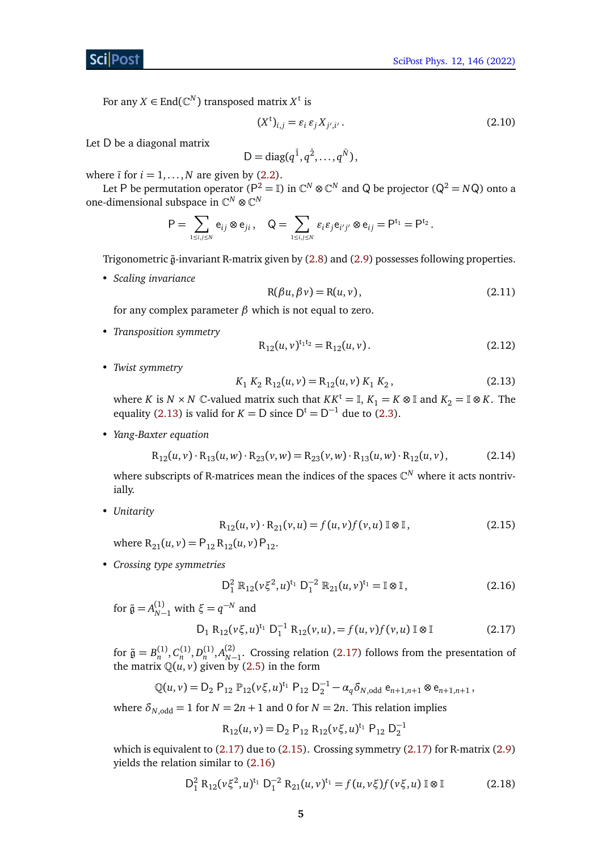For any  $X \in \text{End}(\mathbb{C}^N)$  transposed matrix  $X^t$  is

<span id="page-4-5"></span>
$$
(Xt)i,j = \varepsilon_i \varepsilon_j X_{j',i'}.
$$
\n(2.10)

Let D be a diagonal matrix

$$
D = diag(q^{\bar{1}}, q^{\bar{2}}, \ldots, q^{\bar{N}}),
$$

where  $\overline{i}$  for  $i = 1, ..., N$  are given by [\(2.2\)](#page-3-1).

Let P be permutation operator (P<sup>2</sup> =  $\mathbb{I}$ ) in  $\mathbb{C}^N\otimes\mathbb{C}^N$  and Q be projector (Q<sup>2</sup> = *N*Q) onto a one-dimensional subspace in  $\mathbb{C}^N \otimes \mathbb{C}^N$ 

<span id="page-4-8"></span>
$$
\mathsf{P} = \sum_{1 \leq i,j \leq N} \mathsf{e}_{ij} \otimes \mathsf{e}_{ji} \,, \quad \mathsf{Q} = \sum_{1 \leq i,j \leq N} \varepsilon_i \varepsilon_j \mathsf{e}_{i'j'} \otimes \mathsf{e}_{ij} = \mathsf{P}^{t_1} = \mathsf{P}^{t_2} \,.
$$

Trigonometric  $\tilde{g}$ -invariant R-matrix given by [\(2.8\)](#page-3-2) and [\(2.9\)](#page-3-3) possesses following properties.

• *Scaling invariance*

$$
R(\beta u, \beta v) = R(u, v), \qquad (2.11)
$$

for any complex parameter *β* which is not equal to zero.

• *Transposition symmetry*

<span id="page-4-6"></span>
$$
R_{12}(u, v)^{t_1 t_2} = R_{12}(u, v).
$$
 (2.12)

• *Twist symmetry*

<span id="page-4-7"></span><span id="page-4-0"></span>
$$
K_1 K_2 R_{12}(u, v) = R_{12}(u, v) K_1 K_2, \qquad (2.13)
$$

where *K* is  $N \times N$  C-valued matrix such that  $KK^t = \mathbb{I}, K_1 = K \otimes \mathbb{I}$  and  $K_2 = \mathbb{I} \otimes K$ . The equality [\(2.13\)](#page-4-0) is valid for  $K = D$  since  $D^t = D^{-1}$  due to [\(2.3\)](#page-3-4).

• *Yang-Baxter equation*

<span id="page-4-2"></span>
$$
R_{12}(u, v) \cdot R_{13}(u, w) \cdot R_{23}(v, w) = R_{23}(v, w) \cdot R_{13}(u, w) \cdot R_{12}(u, v), \qquad (2.14)
$$

where subscripts of R-matrices mean the indices of the spaces  $\mathbb{C}^N$  where it acts nontrivially.

• *Unitarity*

$$
R_{12}(u, v) \cdot R_{21}(v, u) = f(u, v) f(v, u) \mathbb{I} \otimes \mathbb{I},
$$
\n(2.15)

where  $R_{21}(u, v) = P_{12} R_{12}(u, v) P_{12}$ .

• *Crossing type symmetries*

<span id="page-4-3"></span><span id="page-4-1"></span>
$$
D_1^2 \mathbb{R}_{12}(\nu \xi^2, u)^{t_1} D_1^{-2} \mathbb{R}_{21}(u, v)^{t_1} = \mathbb{I} \otimes \mathbb{I},
$$
 (2.16)

for  $\tilde{\mathfrak{g}} = A_{N-1}^{(1)}$  with  $\xi = q^{-N}$  and

$$
D_1 R_{12}(\nu \xi, u)^{t_1} D_1^{-1} R_{12}(\nu, u) = f(u, v) f(\nu, u) \mathbb{I} \otimes \mathbb{I}
$$
 (2.17)

for  $\tilde{g} = B_n^{(1)}, C_n^{(1)}, D_n^{(1)}, A_{N-1}^{(2)}$ . Crossing relation [\(2.17\)](#page-4-1) follows from the presentation of the matrix  $\mathbb{Q}(u, v)$  given by [\(2.5\)](#page-3-5) in the form

$$
\mathbb{Q}(u,v) = D_2 \, P_{12} \, \mathbb{P}_{12}(v\xi, u)^{t_1} \, P_{12} \, D_2^{-1} - \alpha_q \delta_{N,odd} \, e_{n+1,n+1} \otimes e_{n+1,n+1},
$$

where  $\delta_{N,odd} = 1$  for  $N = 2n + 1$  and 0 for  $N = 2n$ . This relation implies

<span id="page-4-4"></span>
$$
R_{12}(u,v) = D_2 P_{12} R_{12}(v\xi, u)^{t_1} P_{12} D_2^{-1}
$$

which is equivalent to  $(2.17)$  due to  $(2.15)$ . Crossing symmetry  $(2.17)$  for R-matrix  $(2.9)$ yields the relation similar to [\(2.16\)](#page-4-3)

$$
D_1^2 R_{12}(\nu \xi^2, u)^{t_1} D_1^{-2} R_{21}(u, v)^{t_1} = f(u, v \xi) f(v \xi, u) \mathbb{I} \otimes \mathbb{I}
$$
 (2.18)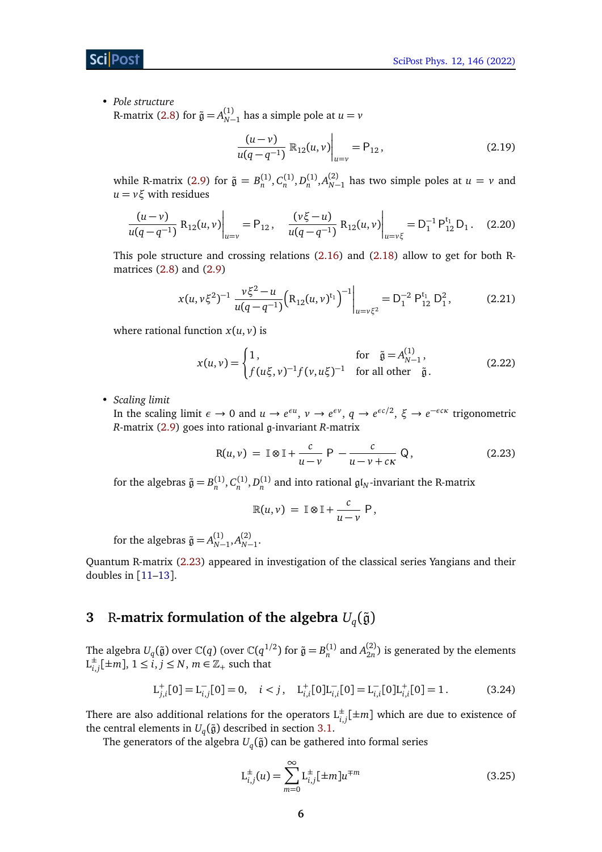• *Pole structure* R-matrix [\(2.8\)](#page-3-2) for  $\tilde{\mathfrak{g}} = A_{N-1}^{(1)}$  has a simple pole at  $u = v$ 

<span id="page-5-6"></span>
$$
\frac{(u-v)}{u(q-q^{-1})} \mathbb{R}_{12}(u,v) \bigg|_{u=v} = \mathsf{P}_{12}, \tag{2.19}
$$

while R-matrix [\(2.9\)](#page-3-3) for  $\tilde{g} = B_n^{(1)}, C_n^{(1)}, D_n^{(1)}, A_{N-1}^{(2)}$  has two simple poles at  $u = v$  and  $u = v$ *ξ* with residues

$$
\frac{(u-v)}{u(q-q^{-1})} R_{12}(u,v) \bigg|_{u=v} = \mathsf{P}_{12}, \quad \frac{(v\xi-u)}{u(q-q^{-1})} R_{12}(u,v) \bigg|_{u=v\xi} = \mathsf{D}_1^{-1} \mathsf{P}_{12}^{t_1} \mathsf{D}_1. \quad (2.20)
$$

This pole structure and crossing relations [\(2.16\)](#page-4-3) and [\(2.18\)](#page-4-4) allow to get for both Rmatrices  $(2.8)$  and  $(2.9)$ 

<span id="page-5-4"></span>
$$
x(u, v\xi^{2})^{-1} \frac{v\xi^{2} - u}{u(q - q^{-1})} \Big( R_{12}(u, v)^{t_{1}} \Big)^{-1} \Big|_{u = v\xi^{2}} = D_{1}^{-2} P_{12}^{t_{1}} D_{1}^{2}, \tag{2.21}
$$

where rational function  $x(u, v)$  is

<span id="page-5-5"></span>
$$
x(u,v) = \begin{cases} 1, & \text{for } \tilde{y} = A_{N-1}^{(1)}, \\ f(u\xi, v)^{-1} f(v, u\xi)^{-1} & \text{for all other } \tilde{y}. \end{cases}
$$
(2.22)

• *Scaling limit*

In the scaling limit  $\epsilon \to 0$  and  $u \to e^{\epsilon u}$ ,  $v \to e^{\epsilon v}$ ,  $q \to e^{\epsilon c/2}$ ,  $\xi \to e^{-\epsilon c \kappa}$  trigonometric *R*-matrix [\(2.9\)](#page-3-3) goes into rational g-invariant *R*-matrix

$$
R(u, v) = \mathbb{I} \otimes \mathbb{I} + \frac{c}{u - v} P - \frac{c}{u - v + c\kappa} Q,
$$
 (2.23)

for the algebras  $\tilde{g} = B_n^{(1)}, C_n^{(1)}, D_n^{(1)}$  and into rational  $\mathfrak{gl}_N$ -invariant the R-matrix

<span id="page-5-1"></span>
$$
\mathbb{R}(u,v) = \mathbb{I} \otimes \mathbb{I} + \frac{c}{u-v} P,
$$

for the algebras  $\tilde{g} = A_{N-1}^{(1)}, A_{N-1}^{(2)}$ .

Quantum R-matrix [\(2.23\)](#page-5-1) appeared in investigation of the classical series Yangians and their doubles in [[11](#page-35-5)[–13](#page-35-6)].

# <span id="page-5-0"></span>**3** R-matrix formulation of the algebra  $U_q(\tilde{\mathfrak{g}})$

The algebra  $U_q(\tilde{\mathfrak{g}})$  over  $\mathbb{C}(q)$  (over  $\mathbb{C}(q^{1/2})$  for  $\tilde{\mathfrak{g}} = B_n^{(1)}$  and  $A_{2n}^{(2)}$  $\binom{2}{2n}$  is generated by the elements  $L_i^{\pm}$  $i,j\geq m$ ],  $1\leq i,j\leq N,$   $m\in\mathbb{Z}_{+}$  such that

$$
L_{j,i}^{+}[0] = L_{i,j}^{-}[0] = 0, \quad i < j, \quad L_{i,i}^{+}[0]L_{i,i}^{-}[0] = L_{i,i}^{-}[0]L_{i,i}^{+}[0] = 1. \tag{3.24}
$$

There are also additional relations for the operators  $L_{i,j}^{\pm}[\pm m]$  which are due to existence of the central elements in  $U_q(\tilde{\mathfrak{g}})$  described in section [3.1.](#page-7-0)

The generators of the algebra  $U_q(\tilde{\mathfrak{g}})$  can be gathered into formal series

<span id="page-5-3"></span><span id="page-5-2"></span>
$$
L_{i,j}^{\pm}(u) = \sum_{m=0}^{\infty} L_{i,j}^{\pm} [\pm m] u^{\mp m}
$$
 (3.25)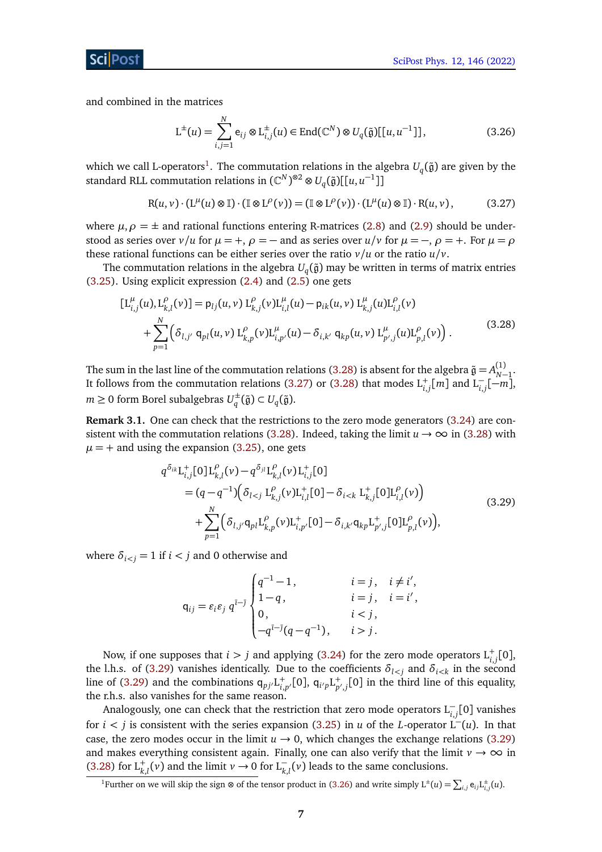and combined in the matrices

<span id="page-6-3"></span><span id="page-6-1"></span>
$$
\mathcal{L}^{\pm}(u) = \sum_{i,j=1}^{N} \mathbf{e}_{ij} \otimes \mathcal{L}_{i,j}^{\pm}(u) \in \text{End}(\mathbb{C}^{N}) \otimes U_{q}(\tilde{\mathfrak{g}})[[u, u^{-1}]],
$$
\n(3.26)

which we call L-operators $^1.$  $^1.$  $^1.$  The commutation relations in the algebra  $U_q(\tilde{\mathfrak{g}})$  are given by the standard RLL commutation relations in  $(\mathbb{C}^N)^{\otimes 2} \otimes U_q(\tilde{\mathfrak{g}})[[u, u^{-1}]]$ 

<span id="page-6-0"></span>
$$
R(u, v) \cdot (L^{\mu}(u) \otimes \mathbb{I}) \cdot (\mathbb{I} \otimes L^{\rho}(v)) = (\mathbb{I} \otimes L^{\rho}(v)) \cdot (L^{\mu}(u) \otimes \mathbb{I}) \cdot R(u, v), \tag{3.27}
$$

where  $\mu$ ,  $\rho = \pm$  and rational functions entering R-matrices [\(2.8\)](#page-3-2) and [\(2.9\)](#page-3-3) should be understood as series over  $v/u$  for  $\mu = +$ ,  $\rho = -$  and as series over  $u/v$  for  $\mu = -$ ,  $\rho = +$ . For  $\mu = \rho$ these rational functions can be either series over the ratio  $v/u$  or the ratio  $u/v$ .

The commutation relations in the algebra  $U_q(\tilde{\mathfrak{g}})$  may be written in terms of matrix entries [\(3.25\)](#page-5-2). Using explicit expression [\(2.4\)](#page-3-6) and [\(2.5\)](#page-3-5) one gets

$$
[L_{i,j}^{\mu}(u), L_{k,l}^{\rho}(v)] = p_{lj}(u, v) L_{k,j}^{\rho}(v)L_{i,l}^{\mu}(u) - p_{ik}(u, v) L_{k,j}^{\mu}(u)L_{i,l}^{\rho}(v) + \sum_{p=1}^{N} (\delta_{l,j'} q_{pl}(u, v) L_{k,p}^{\rho}(v)L_{i,p'}^{\mu}(u) - \delta_{i,k'} q_{kp}(u, v) L_{p',j}^{\mu}(u)L_{p,l}^{\rho}(v)).
$$
\n(3.28)

The sum in the last line of the commutation relations [\(3.28\)](#page-6-0) is absent for the algebra  $\tilde{\mathfrak{g}}=A_{N-1}^{(1)}$ . It follows from the commutation relations [\(3.27\)](#page-6-1) or [\(3.28\)](#page-6-0) that modes  $L_{i,j}^+[m]$  and  $L_{i,j}^-[m]$ ,  $m \geq 0$  form Borel subalgebras  $U_q^{\pm}$  $v_q^{\pm}(\tilde{\mathfrak{g}}) \subset U_q(\tilde{\mathfrak{g}}).$ 

**Remark 3.1.** One can check that the restrictions to the zero mode generators [\(3.24\)](#page-5-3) are con-sistent with the commutation relations [\(3.28\)](#page-6-0). Indeed, taking the limit  $u \to \infty$  in (3.28) with  $\mu$  = + and using the expansion [\(3.25\)](#page-5-2), one gets

<span id="page-6-2"></span>
$$
q^{\delta_{ik}}L_{i,j}^{+}[0]L_{k,l}^{\rho}(v) - q^{\delta_{jl}}L_{k,l}^{\rho}(v)L_{i,j}^{+}[0]
$$
  
\n
$$
= (q - q^{-1}) (\delta_{l < j} L_{k,j}^{\rho}(v)L_{i,l}^{+}[0] - \delta_{i < k} L_{k,j}^{+}[0]L_{i,l}^{\rho}(v))
$$
  
\n
$$
+ \sum_{p=1}^{N} (\delta_{l,j'}q_{pl}L_{k,p}^{\rho}(v)L_{i,p'}^{+}[0] - \delta_{i,k'}q_{kp}L_{p',j}^{+}[0]L_{p,l}^{\rho}(v)),
$$
\n(3.29)

where  $\delta_{i \leq j} = 1$  if  $i \leq j$  and 0 otherwise and

$$
q_{ij} = \varepsilon_i \varepsilon_j \ q^{\bar{i}-\bar{j}} \begin{cases} q^{-1} - 1, & i = j, i \neq i', \\ 1 - q, & i = j, i = i', \\ 0, & i < j, \\ -q^{\bar{i}-\bar{j}}(q - q^{-1}), & i > j. \end{cases}
$$

Now, if one supposes that  $i > j$  and applying [\(3.24\)](#page-5-3) for the zero mode operators  $L_{i,j}^+[0]$ , the l.h.s. of [\(3.29\)](#page-6-2) vanishes identically. Due to the coefficients  $\delta_{l \leq j}$  and  $\delta_{i \leq k}$  in the second line of [\(3.29\)](#page-6-2) and the combinations  $q_{pj'}L_{i,p'}^+[0]$ ,  $q_{i'p}L_{p',j}^+[0]$  in the third line of this equality, the r.h.s. also vanishes for the same reason.

Analogously, one can check that the restriction that zero mode operators L<sup>−</sup> *i*,*j* [0] vanishes for *i*  $\lt$  *j* is consistent with the series expansion [\(3.25\)](#page-5-2) in *u* of the *L*-operator L<sup>−</sup>(*u*). In that case, the zero modes occur in the limit  $u \rightarrow 0$ , which changes the exchange relations [\(3.29\)](#page-6-2) and makes everything consistent again. Finally, one can also verify that the limit  $v \rightarrow \infty$  in [\(3.28\)](#page-6-0) for  $L_{k,l}^+(v)$  and the limit  $v \to 0$  for  $L_{k,l}^-(v)$  leads to the same conclusions.

<sup>&</sup>lt;sup>1</sup>Further on we will skip the sign ⊗ of the tensor product in [\(3.26\)](#page-6-3) and write simply  $L^{\pm}(u) = \sum_{i,j} e_{ij} L^{\pm}_{i,j}(u)$ .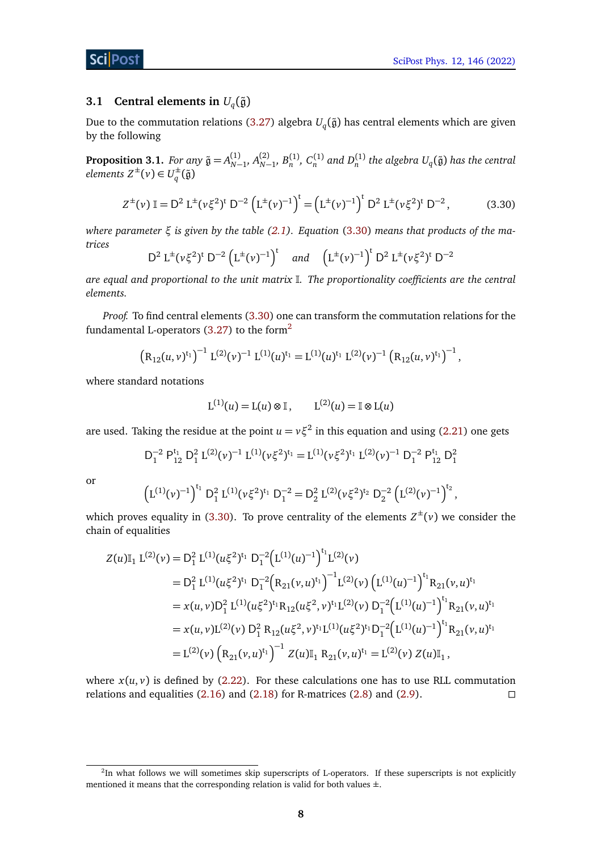## <span id="page-7-0"></span>**3.1 Central elements in**  $U_q(\tilde{\mathfrak{g}})$

Due to the commutation relations [\(3.27\)](#page-6-1) algebra  $U_q(\tilde{\mathfrak{g}})$  has central elements which are given by the following

**Proposition 3.1.** *For any*  $\tilde{\mathfrak{g}} = A_{N-1}^{(1)}, A_{N-1}^{(2)}, B_n^{(1)}, C_n^{(1)}$  *and*  $D_n^{(1)}$  *the algebra*  $U_q(\tilde{\mathfrak{g}})$  *has the central*  $elements Z^{\pm}(v) \in U_q^{\pm}$  $_q^{\pm}(\tilde{\mathfrak{g}})$ 

<span id="page-7-1"></span>
$$
Z^{\pm}(\nu) \mathbb{I} = D^2 L^{\pm}(\nu \xi^2)^{\dagger} D^{-2} (L^{\pm}(\nu)^{-1})^{\dagger} = (L^{\pm}(\nu)^{-1})^{\dagger} D^2 L^{\pm}(\nu \xi^2)^{\dagger} D^{-2}, \qquad (3.30)
$$

*where parameter ξ is given by the table [\(2.1\)](#page-2-1). Equation* [\(3.30\)](#page-7-1) *means that products of the matrices*

$$
D^2 L^{\pm} (\nu \xi^2)^t D^{-2} (L^{\pm} (\nu)^{-1})^t \quad \text{and} \quad (L^{\pm} (\nu)^{-1})^t D^2 L^{\pm} (\nu \xi^2)^t D^{-2}
$$

*are equal and proportional to the unit matrix* I*. The proportionality coefficients are the central elements.*

*Proof.* To find central elements [\(3.30\)](#page-7-1) one can transform the commutation relations for the fundamental L-operators  $(3.27)$  to the form<sup>[2](#page-0-0)</sup>

$$
\left(R_{12}(u,v)^{t_1}\right)^{-1} L^{(2)}(v)^{-1} L^{(1)}(u)^{t_1} = L^{(1)}(u)^{t_1} L^{(2)}(v)^{-1} \left(R_{12}(u,v)^{t_1}\right)^{-1},
$$

where standard notations

$$
L^{(1)}(u) = L(u) \otimes \mathbb{I}, \qquad L^{(2)}(u) = \mathbb{I} \otimes L(u)
$$

are used. Taking the residue at the point  $u = v \xi^2$  in this equation and using [\(2.21\)](#page-5-4) one gets

$$
D_1^{-2} \mathrel{P_{12}^{t_1}} D_1^2 \mathrel{L^{(2)}(\nu)^{-1}} L^{(1)}(\nu \xi^2)^{t_1} = L^{(1)}(\nu \xi^2)^{t_1} \mathrel{L^{(2)}(\nu)^{-1}} D_1^{-2} \mathrel{P_{12}^{t_1}} D_1^2
$$

or

$$
\left(L^{(1)}(\nu)^{-1}\right)^{t_1}D_1^2\ L^{(1)}(\nu\xi^2)^{t_1}\ D_1^{-2}=D_2^2\ L^{(2)}(\nu\xi^2)^{t_2}\ D_2^{-2}\left(L^{(2)}(\nu)^{-1}\right)^{t_2},
$$

which proves equality in [\(3.30\)](#page-7-1). To prove centrality of the elements  $Z^{\pm}(\nu)$  we consider the chain of equalities

$$
Z(u)II_1 L^{(2)}(v) = D_1^2 L^{(1)}(u\xi^2)^{t_1} D_1^{-2} (L^{(1)}(u)^{-1})^{t_1} L^{(2)}(v)
$$
  
\n
$$
= D_1^2 L^{(1)}(u\xi^2)^{t_1} D_1^{-2} (R_{21}(v,u)^{t_1})^{-1} L^{(2)}(v) (L^{(1)}(u)^{-1})^{t_1} R_{21}(v,u)^{t_1}
$$
  
\n
$$
= x(u,v)D_1^2 L^{(1)}(u\xi^2)^{t_1} R_{12}(u\xi^2,v)^{t_1} L^{(2)}(v) D_1^{-2} (L^{(1)}(u)^{-1})^{t_1} R_{21}(v,u)^{t_1}
$$
  
\n
$$
= x(u,v) L^{(2)}(v) D_1^2 R_{12}(u\xi^2,v)^{t_1} L^{(1)}(u\xi^2)^{t_1} D_1^{-2} (L^{(1)}(u)^{-1})^{t_1} R_{21}(v,u)^{t_1}
$$
  
\n
$$
= L^{(2)}(v) (R_{21}(v,u)^{t_1})^{-1} Z(u)I_1 R_{21}(v,u)^{t_1} = L^{(2)}(v) Z(u)I_1,
$$

where  $x(u, v)$  is defined by [\(2.22\)](#page-5-5). For these calculations one has to use RLL commutation relations and equalities  $(2.16)$  and  $(2.18)$  for R-matrices  $(2.8)$  and  $(2.9)$ .

<sup>&</sup>lt;sup>2</sup>In what follows we will sometimes skip superscripts of L-operators. If these superscripts is not explicitly mentioned it means that the corresponding relation is valid for both values  $\pm$ .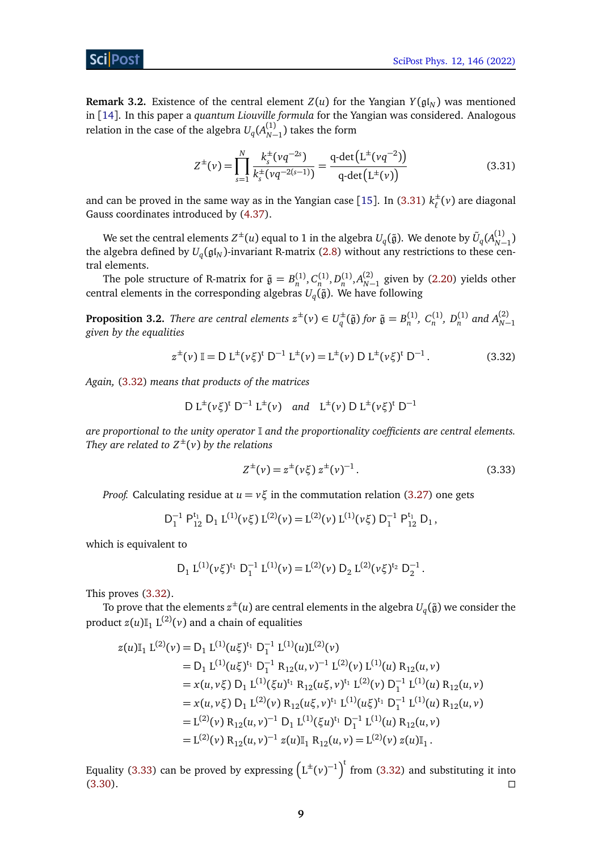**Remark 3.2.** Existence of the central element  $Z(u)$  for the Yangian  $Y(\mathfrak{gl}_N)$  was mentioned in [[14](#page-35-7)]. In this paper a *quantum Liouville formula* for the Yangian was considered. Analogous relation in the case of the algebra  $U_q(A^{(1)}_{N-1})$  takes the form

<span id="page-8-0"></span>
$$
Z^{\pm}(\nu) = \prod_{s=1}^{N} \frac{k_s^{\pm}(\nu q^{-2s})}{k_s^{\pm}(\nu q^{-2(s-1)})} = \frac{\text{q-det}\left(L^{\pm}(\nu q^{-2})\right)}{\text{q-det}\left(L^{\pm}(\nu)\right)}\tag{3.31}
$$

and can be proved in the same way as in the Yangian case [[15](#page-35-8)]. In [\(3.31\)](#page-8-0)  $k_{\ell}^{\pm}$ *`* (*v*) are diagonal Gauss coordinates introduced by [\(4.37\)](#page-9-1).

We set the central elements  $Z^\pm(u)$  equal to 1 in the algebra  $U_q(\tilde{\frak g}).$  We denote by  $\tilde U_q(A^{(1)}_{N-1})$ the algebra defined by  $U_q(\mathfrak{gl}_N)$ -invariant R-matrix [\(2.8\)](#page-3-2) without any restrictions to these central elements.

The pole structure of R-matrix for  $\tilde{g} = B_n^{(1)}, C_n^{(1)}, D_n^{(1)}, A_{N-1}^{(2)}$  given by [\(2.20\)](#page-5-6) yields other central elements in the corresponding algebras  $U_q(\tilde{\mathfrak{g}})$ . We have following

**Proposition 3.2.** *There are central elements*  $z^{\pm}(v) \in U_q^{\pm}$  $q^{\pm}(\tilde{\mathfrak{g}})$  for  $\tilde{\mathfrak{g}} = B_n^{(1)}, C_n^{(1)}, D_n^{(1)}$  and  $A_{N-1}^{(2)}$ *given by the equalities*

<span id="page-8-1"></span>
$$
z^{\pm}(\nu) \mathbb{I} = D L^{\pm}(\nu \xi)^{\dagger} D^{-1} L^{\pm}(\nu) = L^{\pm}(\nu) D L^{\pm}(\nu \xi)^{\dagger} D^{-1}.
$$
 (3.32)

*Again,* [\(3.32\)](#page-8-1) *means that products of the matrices*

$$
D L^{\pm}(\nu \xi)^t \ D^{-1} L^{\pm}(\nu) \quad \text{and} \quad L^{\pm}(\nu) \ D L^{\pm}(\nu \xi)^t \ D^{-1}
$$

*are proportional to the unity operator* I *and the proportionality coefficients are central elements. They are related to*  $Z^{\pm}(v)$  *by the relations* 

<span id="page-8-2"></span>
$$
Z^{\pm}(\nu) = z^{\pm}(\nu \xi) z^{\pm}(\nu)^{-1}.
$$
 (3.33)

*Proof.* Calculating residue at  $u = v\xi$  in the commutation relation [\(3.27\)](#page-6-1) one gets

$$
D_1^{-1} P_{12}^{t_1} D_1 L^{(1)}(\nu \xi) L^{(2)}(\nu) = L^{(2)}(\nu) L^{(1)}(\nu \xi) D_1^{-1} P_{12}^{t_1} D_1,
$$

which is equivalent to

$$
D_1 L^{(1)}(\nu \xi)^{t_1} D_1^{-1} L^{(1)}(\nu) = L^{(2)}(\nu) D_2 L^{(2)}(\nu \xi)^{t_2} D_2^{-1}.
$$

This proves [\(3.32\)](#page-8-1).

To prove that the elements  $z^{\pm}(u)$  are central elements in the algebra  $U_q(\tilde{\mathfrak{g}})$  we consider the product  $z(u) \mathbb{I}_1 \mathop{\rm L}\nolimits^{(2)}\!(v)$  and a chain of equalities

$$
z(u)I_1 L^{(2)}(v) = D_1 L^{(1)}(u\xi)^{t_1} D_1^{-1} L^{(1)}(u)L^{(2)}(v)
$$
  
\n
$$
= D_1 L^{(1)}(u\xi)^{t_1} D_1^{-1} R_{12}(u,v)^{-1} L^{(2)}(v) L^{(1)}(u) R_{12}(u,v)
$$
  
\n
$$
= x(u,v\xi) D_1 L^{(1)}(\xi u)^{t_1} R_{12}(u\xi,v)^{t_1} L^{(2)}(v) D_1^{-1} L^{(1)}(u) R_{12}(u,v)
$$
  
\n
$$
= x(u,v\xi) D_1 L^{(2)}(v) R_{12}(u\xi,v)^{t_1} L^{(1)}(u\xi)^{t_1} D_1^{-1} L^{(1)}(u) R_{12}(u,v)
$$
  
\n
$$
= L^{(2)}(v) R_{12}(u,v)^{-1} D_1 L^{(1)}(\xi u)^{t_1} D_1^{-1} L^{(1)}(u) R_{12}(u,v)
$$
  
\n
$$
= L^{(2)}(v) R_{12}(u,v)^{-1} z(u)I_1 R_{12}(u,v) = L^{(2)}(v) z(u)I_1.
$$

Equality [\(3.33\)](#page-8-2) can be proved by expressing  $\left(L^{\pm}(\nu)^{-1}\right)^t$  from [\(3.32\)](#page-8-1) and substituting it into  $(3.30)$ .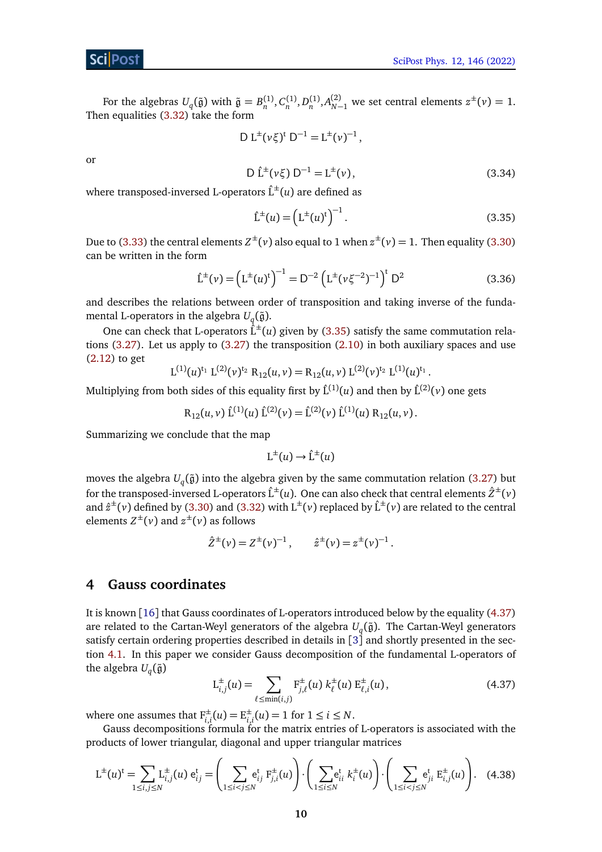For the algebras  $U_q(\tilde{g})$  with  $\tilde{g} = B_n^{(1)}, C_n^{(1)}, D_n^{(1)}, A_{N-1}^{(2)}$  we set central elements  $z^{\pm}(\nu) = 1$ . Then equalities  $(3.32)$  take the form

$$
D L^{\pm} (\nu \xi)^t \ D^{-1} = L^{\pm} (\nu)^{-1} \,,
$$

<span id="page-9-4"></span>or

$$
D \hat{L}^{\pm}(\nu \xi) D^{-1} = L^{\pm}(\nu), \qquad (3.34)
$$

where transposed-inversed L-operators  $\hat{L}^{\pm}(u)$  are defined as

<span id="page-9-2"></span>
$$
\hat{\mathcal{L}}^{\pm}(u) = \left(\mathcal{L}^{\pm}(u)^{\dagger}\right)^{-1}.\tag{3.35}
$$

.

Due to [\(3.33\)](#page-8-2) the central elements  $Z^{\pm}(v)$  also equal to 1 when  $z^{\pm}(v)=1$ . Then equality [\(3.30\)](#page-7-1) can be written in the form

$$
\hat{L}^{\pm}(\nu) = \left(L^{\pm}(u)^{t}\right)^{-1} = D^{-2} \left(L^{\pm}(\nu \xi^{-2})^{-1}\right)^{t} D^{2}
$$
\n(3.36)

and describes the relations between order of transposition and taking inverse of the fundamental L-operators in the algebra  $U_q(\tilde{\mathfrak{g}}).$ 

One can check that L-operators  $\hat{L}^{\pm}(u)$  given by [\(3.35\)](#page-9-2) satisfy the same commutation relations  $(3.27)$ . Let us apply to  $(3.27)$  the transposition  $(2.10)$  in both auxiliary spaces and use [\(2.12\)](#page-4-6) to get

$$
L^{(1)}(u)^{t_1} L^{(2)}(\nu)^{t_2} R_{12}(u,\nu) = R_{12}(u,\nu) L^{(2)}(\nu)^{t_2} L^{(1)}(u)^{t_1}
$$

Multiplying from both sides of this equality first by  $\hat{L}^{(1)}(u)$  and then by  $\hat{L}^{(2)}(\nu)$  one gets

$$
R_{12}(u, v) \hat{L}^{(1)}(u) \hat{L}^{(2)}(v) = \hat{L}^{(2)}(v) \hat{L}^{(1)}(u) R_{12}(u, v).
$$

Summarizing we conclude that the map

$$
L^{\pm}(u) \to \hat{L}^{\pm}(u)
$$

moves the algebra  $U_q(\tilde{\mathfrak{g}})$  into the algebra given by the same commutation relation [\(3.27\)](#page-6-1) but for the transposed-inversed L-operators  $\hat{L}^{\pm}(u)$ . One can also check that central elements  $\hat{Z}^{\pm}(v)$ and  $\hat{z}^{\pm}(\nu)$  defined by [\(3.30\)](#page-7-1) and [\(3.32\)](#page-8-1) with  $L^{\pm}(\nu)$  replaced by  $\hat{L}^{\pm}(\nu)$  are related to the central elements  $Z^{\pm}(\nu)$  and  $z^{\pm}(\nu)$  as follows

$$
\hat{Z}^{\pm}(\nu) = Z^{\pm}(\nu)^{-1}, \qquad \hat{z}^{\pm}(\nu) = z^{\pm}(\nu)^{-1}.
$$

### <span id="page-9-0"></span>**4 Gauss coordinates**

It is known [[16](#page-35-9)] that Gauss coordinates of L-operators introduced below by the equality [\(4.37\)](#page-9-1) are related to the Cartan-Weyl generators of the algebra  $U_q(\tilde{\mathfrak{g}})$ . The Cartan-Weyl generators satisfy certain ordering properties described in details in  $\left[3\right]$  $\left[3\right]$  $\left[3\right]$  and shortly presented in the section [4.1.](#page-10-0) In this paper we consider Gauss decomposition of the fundamental L-operators of the algebra  $U_q(\tilde{\mathfrak{g}})$ 

<span id="page-9-3"></span><span id="page-9-1"></span>
$$
L_{i,j}^{\pm}(u) = \sum_{\ell \le \min(i,j)} F_{j,\ell}^{\pm}(u) \; k_{\ell}^{\pm}(u) \; E_{\ell,i}^{\pm}(u), \tag{4.37}
$$

where one assumes that  $F_{i,i}^{\pm}(u) = E_{i,j}^{\pm}$  $_{i,i}^{\pm}(u) = 1$  for  $1 \le i \le N$ .

Gauss decompositions formula for the matrix entries of L-operators is associated with the products of lower triangular, diagonal and upper triangular matrices

$$
L^{\pm}(u)^{t} = \sum_{1 \leq i,j \leq N} L^{\pm}_{i,j}(u) e_{ij}^{t} = \left(\sum_{1 \leq i < j \leq N} e_{ij}^{t} F_{j,i}^{\pm}(u)\right) \cdot \left(\sum_{1 \leq i \leq N} e_{ii}^{t} k_{i}^{\pm}(u)\right) \cdot \left(\sum_{1 \leq i < j \leq N} e_{ji}^{t} E_{i,j}^{\pm}(u)\right). \tag{4.38}
$$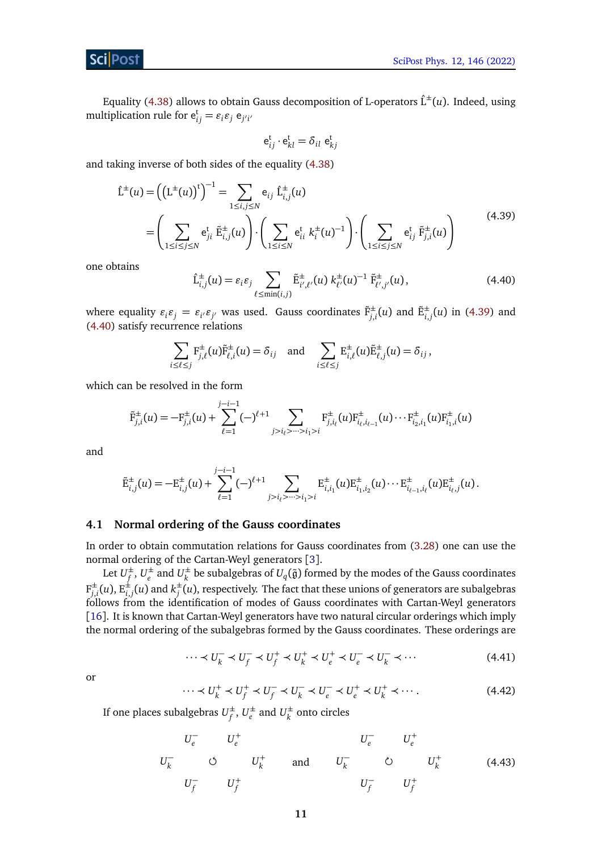Equality [\(4.38\)](#page-9-3) allows to obtain Gauss decomposition of L-operators  $\hat{L}^{\pm}(u)$ . Indeed, using multiplication rule for  $e_{ij}^t = \varepsilon_i \varepsilon_j e_{j'i'}$ 

<span id="page-10-1"></span>
$$
\mathsf{e}_{ij}^{\mathsf{t}}\cdot \mathsf{e}_{kl}^{\mathsf{t}}=\delta_{il}\;\mathsf{e}_{kj}^{\mathsf{t}}
$$

and taking inverse of both sides of the equality [\(4.38\)](#page-9-3)

$$
\hat{L}^{\pm}(u) = ((L^{\pm}(u))^{t})^{-1} = \sum_{1 \le i,j \le N} e_{ij} \hat{L}_{i,j}^{\pm}(u)
$$
\n
$$
= \left(\sum_{1 \le i \le j \le N} e_{ji}^{t} \tilde{E}_{i,j}^{\pm}(u)\right) \cdot \left(\sum_{1 \le i \le N} e_{ii}^{t} k_{i}^{\pm}(u)^{-1}\right) \cdot \left(\sum_{1 \le i \le j \le N} e_{ij}^{t} \tilde{F}_{j,i}^{\pm}(u)\right)
$$
\n(4.39)

one obtains

<span id="page-10-2"></span>
$$
\hat{\mathbf{L}}_{i,j}^{\pm}(u) = \varepsilon_i \varepsilon_j \sum_{\ell \le \min(i,j)} \tilde{\mathbf{E}}_{i',\ell'}^{\pm}(u) \; k_{\ell'}^{\pm}(u)^{-1} \; \tilde{\mathbf{F}}_{\ell',j'}^{\pm}(u), \tag{4.40}
$$

where equality  $\varepsilon_i \varepsilon_j = \varepsilon_{i'} \varepsilon_{j'}$  was used. Gauss coordinates  $\tilde{F}^{\pm}_{j,i}(u)$  and  $\tilde{E}^{\pm}_{i,j}(u)$  in [\(4.39\)](#page-10-1) and [\(4.40\)](#page-10-2) satisfy recurrence relations

$$
\sum_{i\leq \ell\leq j} \mathbf{F}_{j,\ell}^{\pm}(u)\tilde{\mathbf{F}}_{\ell,i}^{\pm}(u)=\delta_{ij} \text{ and } \sum_{i\leq \ell\leq j} \mathbf{E}_{i,\ell}^{\pm}(u)\tilde{\mathbf{E}}_{\ell,j}^{\pm}(u)=\delta_{ij},
$$

which can be resolved in the form

$$
\tilde{F}_{j,i}^{\pm}(u) = -F_{j,i}^{\pm}(u) + \sum_{\ell=1}^{j-i-1} (-)^{\ell+1} \sum_{j>i_{\ell} > \dots > i_1 > i} F_{j,i_{\ell}}^{\pm}(u) F_{i_{\ell},i_{\ell-1}}^{\pm}(u) \cdots F_{i_2,i_1}^{\pm}(u) F_{i_1,i}^{\pm}(u)
$$

and

$$
\tilde{\mathrm{E}}_{i,j}^{\pm}(u) = -\mathrm{E}_{i,j}^{\pm}(u) + \sum_{\ell=1}^{j-i-1} (-)^{\ell+1} \sum_{j>i_{\ell} > \dots > i_1 > i} \mathrm{E}_{i,i_1}^{\pm}(u) \mathrm{E}_{i_1,i_2}^{\pm}(u) \cdots \mathrm{E}_{i_{\ell-1},i_{\ell}}^{\pm}(u) \mathrm{E}_{i_{\ell},j}^{\pm}(u).
$$

### <span id="page-10-0"></span>**4.1 Normal ordering of the Gauss coordinates**

In order to obtain commutation relations for Gauss coordinates from [\(3.28\)](#page-6-0) one can use the normal ordering of the Cartan-Weyl generators [[3](#page-34-3)].

Let  $U^{\pm}_{\epsilon}$  $_f^{\pm}$ ,  $U_e^{\pm}$  $\frac{1}{e}$  and  $U_k^{\pm}$  $\frac{d}{k}$  be subalgebras of  $U_q(\tilde{\mathfrak{g}})$  formed by the modes of the Gauss coordinates  $F_i^{\pm}$  $j_{j,i}^{\pm}(u), \operatorname{E}_{i,j}^{\pm}(u)$  and  $k_j^{\pm}$  $_j^\pm(u)$ , respectively. The fact that these unions of generators are subalgebras follows from the identification of modes of Gauss coordinates with Cartan-Weyl generators [[16](#page-35-9)]. It is known that Cartan-Weyl generators have two natural circular orderings which imply the normal ordering of the subalgebras formed by the Gauss coordinates. These orderings are

$$
\cdots \prec U_k^- \prec U_f^- \prec U_f^+ \prec U_k^+ \prec U_e^+ \prec U_e^- \prec U_k^- \prec \cdots
$$
 (4.41)

<span id="page-10-4"></span><span id="page-10-3"></span>or

<span id="page-10-5"></span>
$$
\cdots \prec U_k^+ \prec U_f^+ \prec U_f^- \prec U_k^- \prec U_e^- \prec U_e^+ \prec U_k^+ \prec \cdots. \tag{4.42}
$$

If one places subalgebras  $U_f^{\pm}$  $_f^{\pm}$ ,  $U_e^{\pm}$  $\frac{d}{e}$  and  $U_k^{\pm}$  $\frac{1}{k}$  onto circles

*U* − *e U* + *e U* − *<sup>k</sup> <sup>U</sup>* + *k U* − *f U* + *f* and *U* − *e U* + *e U* − *<sup>k</sup> <sup>U</sup>* + *k U* − *f U* + *f* (4.43)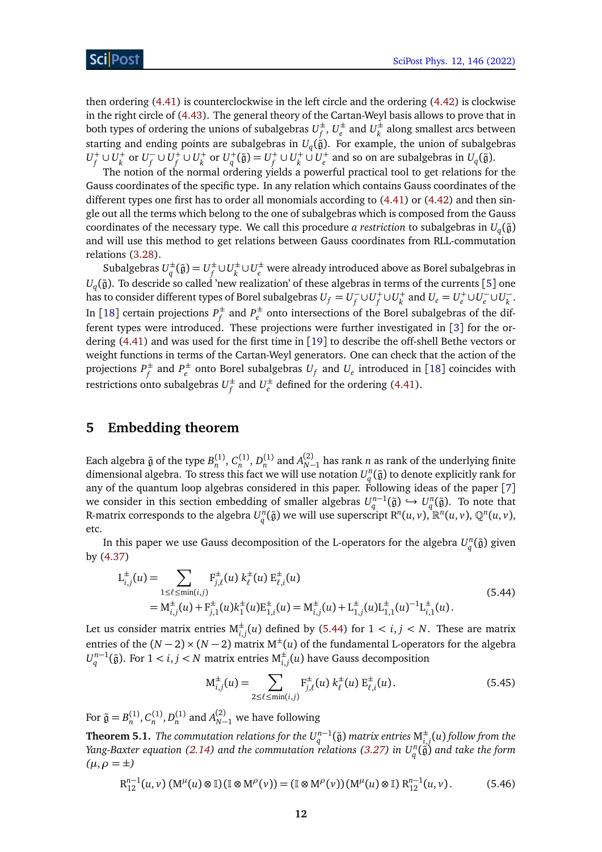then ordering [\(4.41\)](#page-10-3) is counterclockwise in the left circle and the ordering [\(4.42\)](#page-10-4) is clockwise in the right circle of [\(4.43\)](#page-10-5). The general theory of the Cartan-Weyl basis allows to prove that in both types of ordering the unions of subalgebras  $U_f^{\pm}$  $_f^{\pm}$ ,  $U_e^{\pm}$  $\frac{d}{e}$  and  $U_k^{\pm}$  $\frac{d}{k}$  along smallest arcs between starting and ending points are subalgebras in  $U_q(\tilde{\mathfrak{g}})$ . For example, the union of subalgebras  $U_f^+ \cup U_k^+$  or  $U_f^$  $f\cup U_f^+\cup U_k^+$  or  $U_q^+(\tilde{\mathfrak{g}})=U_f^+\cup U_k^+\,\dot\cup\, U_e^+$  and so on are subalgebras in  $U_q(\tilde{\mathfrak{g}}).$ 

The notion of the normal ordering yields a powerful practical tool to get relations for the Gauss coordinates of the specific type. In any relation which contains Gauss coordinates of the different types one first has to order all monomials according to [\(4.41\)](#page-10-3) or [\(4.42\)](#page-10-4) and then single out all the terms which belong to the one of subalgebras which is composed from the Gauss coordinates of the necessary type. We call this procedure *a restriction* to subalgebras in  $U_q(\tilde{\mathfrak{g}})$ and will use this method to get relations between Gauss coordinates from RLL-commutation relations [\(3.28\)](#page-6-0).

Subalgebras  $U_a^{\pm}$  $q^{\pm}(\tilde{\mathfrak{g}}) = U_f^{\pm}$  $f$ <sup>±</sup>∪ $U_k$ <sup>±</sup> *k* ∪*U* ± *<sup>e</sup>* were already introduced above as Borel subalgebras in  $U_q(\tilde{\mathfrak{g}}).$  To descride so called 'new realization' of these algebras in terms of the currents [[5](#page-34-5)] one has to consider different types of Borel subalgebras  $U_f = U_f^ U_f^+ \cup U_k^+$  and  $U_e = U_e^+ \cup U_e^-$ −<br> *e* ∪*U*<sup>*k*</sup> *k* . In [[18](#page-35-10)] certain projections *P* ±  $f$ <sup> $f$ </sup> and  $P_e^{\pm}$ *e* onto intersections of the Borel subalgebras of the different types were introduced. These projections were further investigated in [[3](#page-34-3)] for the ordering [\(4.41\)](#page-10-3) and was used for the first time in [[19](#page-35-11)] to describe the off-shell Bethe vectors or weight functions in terms of the Cartan-Weyl generators. One can check that the action of the projections *P* ±  $f$ <sup> $f$ </sup> and  $P_e^{\pm}$  $e^{\pm}$  onto Borel subalgebras  $U_f$  and  $U_e$  introduced in [[18](#page-35-10)] coincides with restrictions onto subalgebras  $U_f^{\pm}$  $f_f^{\pm}$  and  $U_e^{\pm}$ *e* defined for the ordering [\(4.41\)](#page-10-3).

## <span id="page-11-0"></span>**5 Embedding theorem**

Each algebra  $\tilde{g}$  of the type  $B_n^{(1)}$ ,  $C_n^{(1)}$ ,  $D_n^{(1)}$  and  $A_{N-1}^{(2)}$  has rank *n* as rank of the underlying finite dimensional algebra. To stress this fact we will use notation  $U_q^n(\tilde{\mathfrak{g}})$  to denote explicitly rank for any of the quantum loop algebras considered in this paper. Following ideas of the paper [[7](#page-35-1)] we consider in this section embedding of smaller algebras  $U_q^{n-1}(\tilde{\mathfrak{g}}) \hookrightarrow U_q^n(\tilde{\mathfrak{g}})$ . To note that R-matrix corresponds to the algebra  $U_q^n(\tilde{\mathfrak{g}})$  we will use superscript  $\mathrm{R}^n(u,v),$   $\mathbb{R}^n(u,v),$   $\mathbb{Q}^n(u,v),$ etc.

In this paper we use Gauss decomposition of the L-operators for the algebra  $U_q^n(\tilde{\mathfrak{g}})$  given by [\(4.37\)](#page-9-1)

<span id="page-11-1"></span>
$$
L_{i,j}^{\pm}(u) = \sum_{1 \leq \ell \leq \min(i,j)} F_{j,\ell}^{\pm}(u) k_{\ell}^{\pm}(u) E_{\ell,i}^{\pm}(u)
$$
  
=  $M_{i,j}^{\pm}(u) + F_{j,1}^{\pm}(u)k_1^{\pm}(u)E_{1,i}^{\pm}(u) = M_{i,j}^{\pm}(u) + L_{1,j}^{\pm}(u)L_{1,1}^{\pm}(u)^{-1}L_{i,1}^{\pm}(u)$ . (5.44)

Let us consider matrix entries  $M_{i,j}^{\pm}(u)$  defined by [\(5.44\)](#page-11-1) for  $1 < i,j < N$ . These are matrix entries of the  $(N-2) \times (N-2)$  matrix  $M^{\pm}(u)$  of the fundamental L-operators for the algebra  $U_q^{n-1}(\tilde{\mathfrak{g}})$ . For  $1 < i, j < N$  matrix entries  $\mathsf{M}_{i,j}^\pm(u)$  have Gauss decomposition

<span id="page-11-4"></span>
$$
M_{i,j}^{\pm}(u) = \sum_{2 \le \ell \le \min(i,j)} F_{j,\ell}^{\pm}(u) \; k_{\ell}^{\pm}(u) \; E_{\ell,i}^{\pm}(u). \tag{5.45}
$$

For  $\tilde{\mathfrak{g}} = B_n^{(1)}, C_n^{(1)}, D_n^{(1)}$  and  $A_{N-1}^{(2)}$  we have following

<span id="page-11-2"></span>**Theorem 5.1.** The commutation relations for the  $U_q^{n-1}(\tilde{\mathfrak{g}})$  matrix entries  $\mathsf{M}_{i,j}^{\pm}(u)$  follow from the *Yang-Baxter equation [\(2.14\)](#page-4-7) and the commutation relations [\(3.27\)](#page-6-1) in U<sup>n</sup> q* (g˜) *and take the form*  $(\mu, \rho = \pm)$ 

<span id="page-11-3"></span>
$$
\mathrm{R}_{12}^{n-1}(u,v)\left(\mathrm{M}^{\mu}(u)\otimes\mathbb{I}\right)\left(\mathbb{I}\otimes\mathrm{M}^{\rho}(v)\right)=\left(\mathbb{I}\otimes\mathrm{M}^{\rho}(v)\right)\left(\mathrm{M}^{\mu}(u)\otimes\mathbb{I}\right)\mathrm{R}_{12}^{n-1}(u,v).\tag{5.46}
$$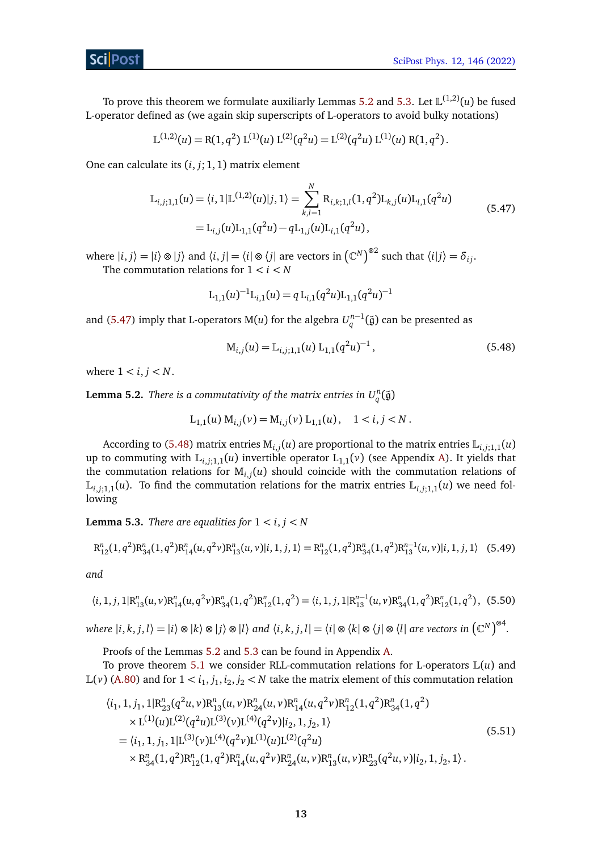To prove this theorem we formulate auxiliarly Lemmas [5.2](#page-12-0) and [5.3.](#page-12-1) Let  $\mathbb{L}^{(1,2)}(u)$  be fused L-operator defined as (we again skip superscripts of L-operators to avoid bulky notations)

<span id="page-12-2"></span>
$$
\mathbb{L}^{(1,2)}(u) = \mathbb{R}(1,q^2) \mathbb{L}^{(1)}(u) \mathbb{L}^{(2)}(q^2u) = \mathbb{L}^{(2)}(q^2u) \mathbb{L}^{(1)}(u) \mathbb{R}(1,q^2).
$$

One can calculate its (*i*, *j*; 1, 1) matrix element

$$
\mathbb{L}_{i,j;1,1}(u) = \langle i, 1 | \mathbb{L}^{(1,2)}(u) | j, 1 \rangle = \sum_{k,l=1}^{N} \mathbb{R}_{i,k;1,l}(1, q^2) \mathbb{L}_{k,j}(u) \mathbb{L}_{l,1}(q^2u)
$$
\n
$$
= \mathbb{L}_{i,j}(u) \mathbb{L}_{1,1}(q^2u) - q \mathbb{L}_{1,j}(u) \mathbb{L}_{i,1}(q^2u), \tag{5.47}
$$

where  $|i, j\rangle = |i\rangle \otimes |j\rangle$  and  $\langle i, j| = \langle i | \otimes \langle j |$  are vectors in  $(\mathbb{C}^N)^{\otimes 2}$  such that  $\langle i | j \rangle = \delta_{ij}$ . The commutation relations for  $1 < i < N$ 

$$
L_{1,1}(u)^{-1}L_{i,1}(u) = q L_{i,1}(q^2 u)L_{1,1}(q^2 u)^{-1}
$$

and [\(5.47\)](#page-12-2) imply that L-operators M(*u*) for the algebra  $U_q^{n-1}(\tilde{\mathfrak{g}})$  can be presented as

<span id="page-12-3"></span>
$$
M_{i,j}(u) = L_{i,j;1,1}(u) L_{1,1}(q^2 u)^{-1},
$$
\n(5.48)

where  $1 < i, j < N$ .

<span id="page-12-0"></span>**Lemma 5.2.** *There is a commutativity of the matrix entries in*  $U_q^n(\tilde{\mathfrak{g}})$ 

<span id="page-12-5"></span>
$$
L_{1,1}(u) M_{i,j}(v) = M_{i,j}(v) L_{1,1}(u), \quad 1 < i, j < N.
$$

According to [\(5.48\)](#page-12-3) matrix entries  $M_{i,j}(u)$  are proportional to the matrix entries  $\mathbb{L}_{i,j;1,1}(u)$ up to commuting with  $\mathbb{L}_{i,i;1,1}(u)$  invertible operator  $L_{1,1}(v)$  (see Appendix [A\)](#page-22-0). It yields that the commutation relations for M*i*,*<sup>j</sup>* (*u*) should coincide with the commutation relations of  $\mathbb{L}_{i,i;1,1}(u)$ . To find the commutation relations for the matrix entries  $\mathbb{L}_{i,i;1,1}(u)$  we need following

<span id="page-12-1"></span>**Lemma 5.3.** *There are equalities for*  $1 < i, j < N$ 

$$
R_{12}^{n}(1,q^{2})R_{34}^{n}(1,q^{2})R_{14}^{n}(u,q^{2}\nu)R_{13}^{n}(u,\nu)|i,1,j,1\rangle = R_{12}^{n}(1,q^{2})R_{34}^{n}(1,q^{2})R_{13}^{n-1}(u,\nu)|i,1,j,1\rangle
$$
 (5.49)

<span id="page-12-6"></span>*and*

$$
\langle i, 1, j, 1 | R_{13}^n(u, v) R_{14}^n(u, q^2 v) R_{34}^n(1, q^2) R_{12}^n(1, q^2) = \langle i, 1, j, 1 | R_{13}^{n-1}(u, v) R_{34}^n(1, q^2) R_{12}^n(1, q^2), (5.50)
$$

where  $|i,k,j,l\rangle=|i\rangle\otimes|k\rangle\otimes|j\rangle\otimes|l\rangle$  and  $\langle i,k,j,l|=\langle i|\otimes\langle k|\otimes\langle j|\otimes\langle l|$  are vectors in  $\left(\mathbb{C}^N\right)^{\otimes 4}$ .

Proofs of the Lemmas [5.2](#page-12-0) and [5.3](#page-12-1) can be found in Appendix [A.](#page-22-0)

To prove theorem [5.1](#page-11-2) we consider RLL-commutation relations for L-operators L(*u*) and  $\mathbb{L}(v)$  [\(A.80\)](#page-22-1) and for  $1 < i_1, j_1, i_2, j_2 < N$  take the matrix element of this commutation relation

<span id="page-12-4"></span>
$$
\langle i_1, 1, j_1, 1 | R_{23}^n(q^2u, v) R_{13}^n(u, v) R_{24}^n(u, v) R_{14}^n(u, q^2v) R_{12}^n(1, q^2) R_{34}^n(1, q^2)
$$
  
\n
$$
\times L^{(1)}(u) L^{(2)}(q^2u) L^{(3)}(v) L^{(4)}(q^2v) | i_2, 1, j_2, 1 \rangle
$$
  
\n
$$
= \langle i_1, 1, j_1, 1 | L^{(3)}(v) L^{(4)}(q^2v) L^{(1)}(u) L^{(2)}(q^2u)
$$
  
\n
$$
\times R_{34}^n(1, q^2) R_{12}^n(1, q^2) R_{14}^n(u, q^2v) R_{24}^n(u, v) R_{13}^n(u, v) R_{23}^n(q^2u, v) | i_2, 1, j_2, 1 \rangle.
$$
\n(5.51)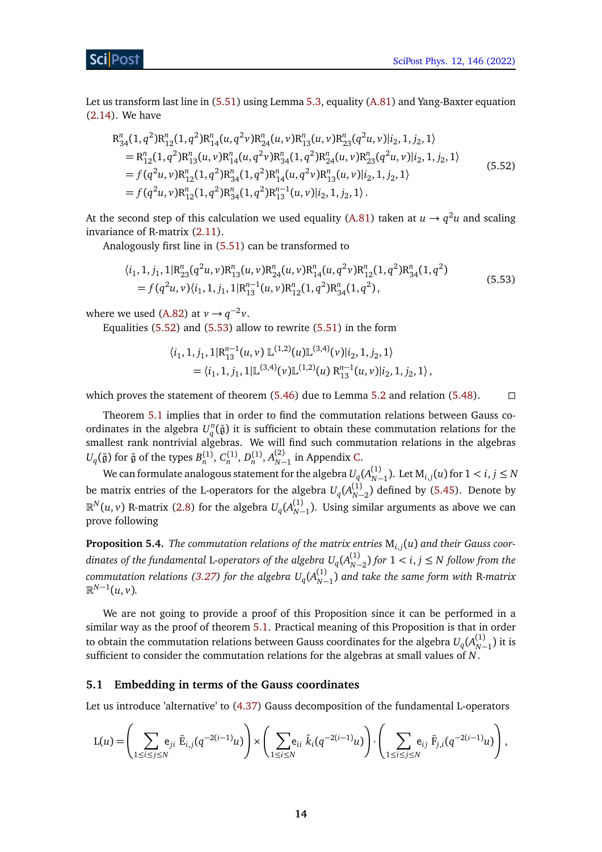Let us transform last line in [\(5.51\)](#page-12-4) using Lemma [5.3,](#page-12-1) equality [\(A.81\)](#page-23-0) and Yang-Baxter equation [\(2.14\)](#page-4-7). We have

<span id="page-13-1"></span>
$$
R_{34}^{n}(1, q^{2})R_{12}^{n}(1, q^{2})R_{14}^{n}(u, q^{2}\nu)R_{24}^{n}(u, \nu)R_{13}^{n}(u, \nu)R_{23}^{n}(q^{2}u, \nu)|i_{2}, 1, j_{2}, 1\rangle
$$
  
\n
$$
= R_{12}^{n}(1, q^{2})R_{13}^{n}(u, \nu)R_{14}^{n}(u, q^{2}\nu)R_{34}^{n}(1, q^{2})R_{24}^{n}(u, \nu)R_{23}^{n}(q^{2}u, \nu)|i_{2}, 1, j_{2}, 1\rangle
$$
  
\n
$$
= f(q^{2}u, \nu)R_{12}^{n}(1, q^{2})R_{34}^{n}(1, q^{2})R_{14}^{n}(u, q^{2}\nu)R_{13}^{n}(u, \nu)|i_{2}, 1, j_{2}, 1\rangle
$$
  
\n
$$
= f(q^{2}u, \nu)R_{12}^{n}(1, q^{2})R_{34}^{n}(1, q^{2})R_{13}^{n-1}(u, \nu)|i_{2}, 1, j_{2}, 1\rangle.
$$
\n(5.52)

At the second step of this calculation we used equality [\(A.81\)](#page-23-0) taken at  $u \to q^2 u$  and scaling invariance of R-matrix [\(2.11\)](#page-4-8).

Analogously first line in [\(5.51\)](#page-12-4) can be transformed to

$$
\langle i_1, 1, j_1, 1 | R_{23}^n(q^2u, v) R_{13}^n(u, v) R_{24}^n(u, v) R_{14}^n(u, q^2v) R_{12}^n(1, q^2) R_{34}^n(1, q^2)
$$
  
=  $f(q^2u, v) \langle i_1, 1, j_1, 1 | R_{13}^{n-1}(u, v) R_{12}^n(1, q^2) R_{34}^n(1, q^2),$  (5.53)

where we used [\(A.82\)](#page-23-1) at  $v \rightarrow q^{-2}v$ .

Equalities  $(5.52)$  and  $(5.53)$  allow to rewrite  $(5.51)$  in the form

<span id="page-13-2"></span>
$$
\langle i_1, 1, j_1, 1 | R_{13}^{n-1}(u, v) \mathbb{L}^{(1,2)}(u) \mathbb{L}^{(3,4)}(v) | i_2, 1, j_2, 1 \rangle
$$
  
= 
$$
\langle i_1, 1, j_1, 1 | \mathbb{L}^{(3,4)}(v) \mathbb{L}^{(1,2)}(u) R_{13}^{n-1}(u, v) | i_2, 1, j_2, 1 \rangle
$$

which proves the statement of theorem  $(5.46)$  due to Lemma [5.2](#page-12-0) and relation  $(5.48)$ .

Theorem [5.1](#page-11-2) implies that in order to find the commutation relations between Gauss coordinates in the algebra  $U_q^n(\tilde{\mathfrak{g}})$  it is sufficient to obtain these commutation relations for the smallest rank nontrivial algebras. We will find such commutation relations in the algebras *U*<sub>*q*</sub>( $\tilde{g}$ ) for  $\tilde{g}$  of the types  $B_n^{(1)}$ ,  $C_n^{(1)}$ ,  $D_n^{(1)}$ ,  $A_{N-1}^{(2)}$  in Appendix [C.](#page-26-0)

We can formulate analogous statement for the algebra  $U_q(A_{N-1}^{(1)})$ . Let  $\mathrm{M}_{i,j}(u)$  for  $1 < i,j \leq N$ be matrix entries of the L-operators for the algebra  $U_q(A_{N-2}^{(1)})$  defined by [\(5.45\)](#page-11-4). Denote by  $\mathbb{R}^N(u,v)$  R-matrix [\(2.8\)](#page-3-2) for the algebra  $U_q(A^{(1)}_{N-1})$ . Using similar arguments as above we can prove following

**Proposition 5.4.** *The commutation relations of the matrix entries* M*i*,*<sup>j</sup>* (*u*) *and their Gauss coor* $d$  *dinates of the fundamental L-operators of the algebra*  $U_q(A^{(1)}_{N-2})$  *for*  $1 <$  $i,j$  $\leq$  $N$  *follow from the*  $\alpha$  *commutation relations [\(3.27\)](#page-6-1) for the algebra*  $U_q(A_{N-1}^{(1)})$  *and take the same form with R-matrix*  $\mathbb{R}^{N-1}(u,v)$ .

We are not going to provide a proof of this Proposition since it can be performed in a similar way as the proof of theorem [5.1.](#page-11-2) Practical meaning of this Proposition is that in order to obtain the commutation relations between Gauss coordinates for the algebra  $U_q(A^{(1)}_{N-1})$  it is sufficient to consider the commutation relations for the algebras at small values of *N*.

#### <span id="page-13-0"></span>**5.1 Embedding in terms of the Gauss coordinates**

Let us introduce 'alternative' to [\(4.37\)](#page-9-1) Gauss decomposition of the fundamental L-operators

$$
L(u) = \left(\sum_{1 \leq i \leq j \leq N} e_{ji} \bar{E}_{i,j}(q^{-2(i-1)}u)\right) \times \left(\sum_{1 \leq i \leq N} e_{ii} \bar{k}_i(q^{-2(i-1)}u)\right) \cdot \left(\sum_{1 \leq i \leq j \leq N} e_{ij} \bar{F}_{j,i}(q^{-2(i-1)}u)\right),
$$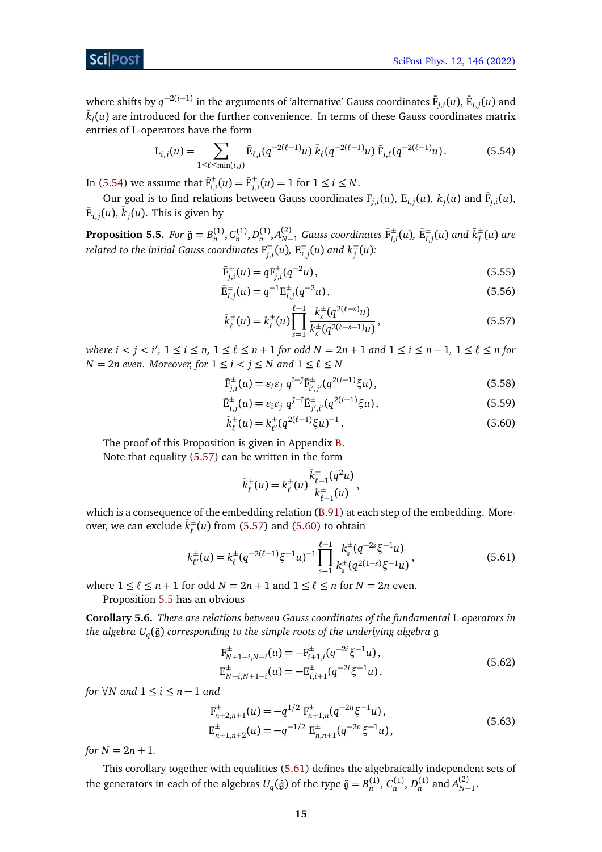where shifts by  $q^{-2(i-1)}$  in the arguments of 'alternative' Gauss coordinates  $\bar{\bm{\mathsf{F}}}_{j,i}(u)$ ,  $\bar{\bm{\mathsf{E}}}_{i,j}(u)$  and  $\bar{k}_i(u)$  are introduced for the further convenience. In terms of these Gauss coordinates matrix entries of L-operators have the form

<span id="page-14-1"></span>
$$
L_{i,j}(u) = \sum_{1 \leq \ell \leq \min(i,j)} \bar{E}_{\ell,i}(q^{-2(\ell-1)}u) \,\bar{k}_{\ell}(q^{-2(\ell-1)}u) \,\bar{F}_{j,\ell}(q^{-2(\ell-1)}u). \tag{5.54}
$$

In [\(5.54\)](#page-14-1) we assume that  $\bar{F}_{i,i}^{\pm}(u) = \bar{E}_{i,i}^{\pm}(u) = 1$  for  $1 \le i \le N$ .

Our goal is to find relations between Gauss coordinates  $F_{j,i}(u)$ ,  $E_{i,j}(u)$ ,  $k_j(u)$  and  $\overline{F}_{j,i}(u)$ ,  $\bar{\bm{\mathrm{E}}}_{i,j}(u)$ ,  $\bar{k}_j(u)$ . This is given by

<span id="page-14-0"></span>**Proposition 5.5.** For  $\tilde{\mathfrak{g}}=B_n^{(1)},C_n^{(1)},D_n^{(1)},A_{N-1}^{(2)}$  Gauss coordinates  $\bar{\mathrm{F}}_{j,i}^{\pm}(u)$ ,  $\bar{\mathrm{E}}_{i,j}^{\pm}(u)$  and  $\bar{k}_j^{\pm}$ *j* (*u*) *are related to the initial Gauss coordinates* F ±  $j, i$ <sup>t</sup> $(u)$ , E<sup> $\pm$ </sup><sub>i</sub>  $_{i,j}^{\pm}(u)$  and  $k_j^{\pm}(u)$ :

<span id="page-14-10"></span><span id="page-14-9"></span>
$$
\bar{F}_{j,i}^{\pm}(u) = q F_{j,i}^{\pm}(q^{-2}u),\tag{5.55}
$$

$$
\bar{\mathbf{E}}_{i,j}^{\pm}(u) = q^{-1} \mathbf{E}_{i,j}^{\pm}(q^{-2}u),\tag{5.56}
$$

<span id="page-14-2"></span>
$$
\bar{k}_{\ell}^{\pm}(u) = k_{\ell}^{\pm}(u) \prod_{s=1}^{\ell-1} \frac{k_s^{\pm}(q^{2(\ell-s)}u)}{k_s^{\pm}(q^{2(\ell-s-1)}u)},
$$
\n(5.57)

 $\alpha$  *where i*  $\alpha$  *j*  $\alpha$  *i*<sub></sub>  $\beta$  *(*  $\leq$  *n*, 1  $\leq$   $\ell \leq$  *n* + 1 *for odd N* = 2*n* + 1 *and* 1  $\leq$  *i*  $\leq$  *n* - 1, 1  $\leq$   $\ell \leq$  *n for N* = 2*n* even. Moreover, for  $1 \le i < j \le N$  and  $1 \le \ell \le N$ 

<span id="page-14-7"></span>
$$
\bar{\mathbf{F}}_{j,i}^{\pm}(u) = \varepsilon_i \varepsilon_j \ q^{\bar{\imath}-\bar{\jmath}} \tilde{\mathbf{F}}_{i',j'}^{\pm}(q^{2(i-1)}\xi u),\tag{5.58}
$$

$$
\bar{\mathbf{E}}_{i,j}^{\pm}(u) = \varepsilon_i \varepsilon_j \ q^{j-\bar{\iota}} \tilde{\mathbf{E}}_{j',i'}^{\pm}(q^{2(i-1)} \xi u), \qquad (5.59)
$$

$$
\bar{k}_{\ell}^{\pm}(u) = k_{\ell'}^{\pm}(q^{2(\ell-1)}\xi u)^{-1}.
$$
\n(5.60)

The proof of this Proposition is given in Appendix [B.](#page-24-0) Note that equality [\(5.57\)](#page-14-2) can be written in the form

<span id="page-14-8"></span><span id="page-14-4"></span><span id="page-14-3"></span>
$$
\bar{k}_{\ell}^{\pm}(u) = k_{\ell}^{\pm}(u) \frac{\bar{k}_{\ell-1}^{\pm}(q^2u)}{k_{\ell-1}^{\pm}(u)},
$$

which is a consequence of the embedding relation [\(B.91\)](#page-25-0) at each step of the embedding. Moreover, we can exclude  $\bar{k}^{\pm}_{\ell}$  $\int_{\ell}^{\pm}$  (*u*) from [\(5.57\)](#page-14-2) and [\(5.60\)](#page-14-3) to obtain

$$
k_{\ell'}^{\pm}(u) = k_{\ell}^{\pm}(q^{-2(\ell-1)}\xi^{-1}u)^{-1} \prod_{s=1}^{\ell-1} \frac{k_s^{\pm}(q^{-2s}\xi^{-1}u)}{k_s^{\pm}(q^{2(1-s)}\xi^{-1}u)},
$$
(5.61)

where  $1 \leq \ell \leq n+1$  for odd  $N = 2n + 1$  and  $1 \leq \ell \leq n$  for  $N = 2n$  even. Proposition [5.5](#page-14-0) has an obvious

**Corollary 5.6.** *There are relations between Gauss coordinates of the fundamental* L*-operators in the algebra U<sup>q</sup>* (g˜) *corresponding to the simple roots of the underlying algebra* g

<span id="page-14-5"></span>
$$
F_{N+1-i,N-i}^{\pm}(u) = -F_{i+1,i}^{\pm}(q^{-2i}\xi^{-1}u),
$$
  
\n
$$
E_{N-i,N+1-i}^{\pm}(u) = -E_{i,i+1}^{\pm}(q^{-2i}\xi^{-1}u),
$$
\n(5.62)

*for*  $\forall N$  *and*  $1 \le i \le n-1$  *and* 

<span id="page-14-6"></span>
$$
F_{n+2,n+1}^{\pm}(u) = -q^{1/2} F_{n+1,n}^{\pm}(q^{-2n}\xi^{-1}u),
$$
  
\n
$$
E_{n+1,n+2}^{\pm}(u) = -q^{-1/2} E_{n,n+1}^{\pm}(q^{-2n}\xi^{-1}u),
$$
\n(5.63)

*for*  $N = 2n + 1$ .

This corollary together with equalities [\(5.61\)](#page-14-4) defines the algebraically independent sets of the generators in each of the algebras  $U_q(\tilde{\mathfrak{g}})$  of the type  $\tilde{\mathfrak{g}} = B_n^{(1)}$ ,  $C_n^{(1)}$ ,  $D_n^{(1)}$  and  $A_{N-1}^{(2)}$ .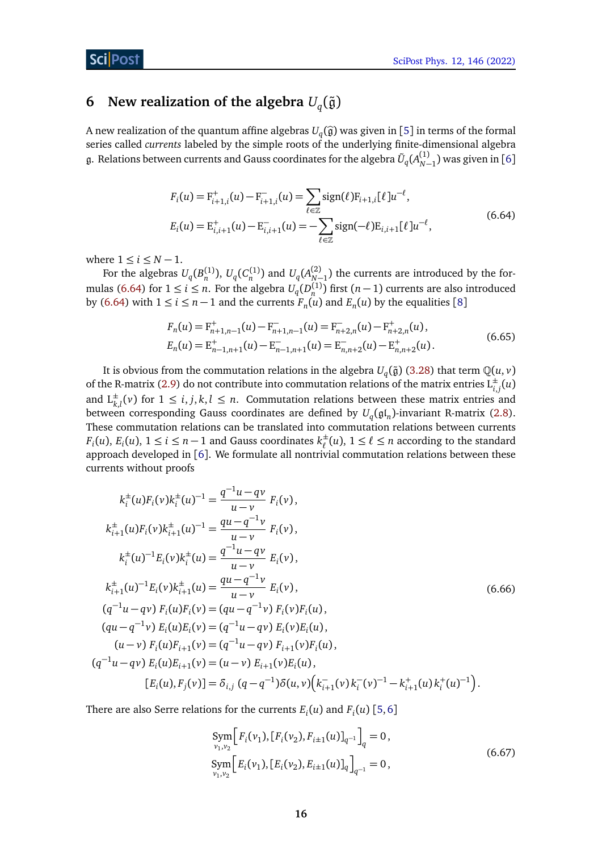# <span id="page-15-0"></span>**6 New realization of the algebra**  $U_q(\tilde{\mathfrak{g}})$

<span id="page-15-1"></span>A new realization of the quantum affine algebras  $U_q(\hat{g})$  was given in [[5](#page-34-5)] in terms of the formal algebras called *numeric* labeled by the simple rests of the underlying finite dimensional algebras series called *currents* labeled by the simple roots of the underlying finite-dimensional algebra  $\frak g$ . Relations between currents and Gauss coordinates for the algebra  $\tilde{U}_q(A^{(1)}_{N-1})$  was given in [[6](#page-35-0)]

$$
F_i(u) = F_{i+1,i}^+(u) - F_{i+1,i}^-(u) = \sum_{\ell \in \mathbb{Z}} sign(\ell) F_{i+1,i}[\ell] u^{-\ell},
$$
  
\n
$$
E_i(u) = E_{i,i+1}^+(u) - E_{i,i+1}^-(u) = -\sum_{\ell \in \mathbb{Z}} sign(-\ell) E_{i,i+1}[\ell] u^{-\ell},
$$
\n(6.64)

where  $1 \le i \le N-1$ .

For the algebras  $U_q(B_n^{(1)}), U_q(C_n^{(1)})$  and  $U_q(A_{N-1}^{(2)})$  the currents are introduced by the for-mulas [\(6.64\)](#page-15-1) for  $1 \le i \le n$ . For the algebra  $U_q(D_n^{(1)})$  first  $(n-1)$  currents are also introduced by [\(6.64\)](#page-15-1) with  $1 \le i \le n-1$  and the currents  $F_n(u)$  and  $E_n(u)$  by the equalities [[8](#page-35-2)]

<span id="page-15-3"></span>
$$
F_n(u) = F_{n+1,n-1}^+(u) - F_{n+1,n-1}^-(u) = F_{n+2,n}^-(u) - F_{n+2,n}^+(u),
$$
  
\n
$$
E_n(u) = E_{n-1,n+1}^+(u) - E_{n-1,n+1}^-(u) = E_{n,n+2}^-(u) - E_{n,n+2}^+(u).
$$
\n(6.65)

It is obvious from the commutation relations in the algebra  $U_q(\tilde{\mathfrak{g}})$  [\(3.28\)](#page-6-0) that term  $\mathbb Q(u,v)$ of the R-matrix [\(2.9\)](#page-3-3) do not contribute into commutation relations of the matrix entries  $L_{i,j}^{\pm}(u)$ and  $L_{k,l}^{\pm}(v)$  for  $1 \leq i, j, k, l \leq n$ . Commutation relations between these matrix entries and between corresponding Gauss coordinates are defined by  $U_q(\mathfrak{gl}_n)$ -invariant R-matrix [\(2.8\)](#page-3-2). These commutation relations can be translated into commutation relations between currents *F*<sub>*i*</sub>(*u*), *E*<sub>*i*</sub>(*u*), 1 ≤ *i* ≤ *n* − 1 and Gauss coordinates  $k_{\ell}^{\pm}$  $\frac{1}{\ell}(u)$ ,  $1 \leq \ell \leq n$  according to the standard approach developed in [[6](#page-35-0)]. We formulate all nontrivial commutation relations between these currents without proofs

$$
k_i^{\pm}(u)F_i(v)k_i^{\pm}(u)^{-1} = \frac{q^{-1}u - qv}{u - v} F_i(v),
$$
  
\n
$$
k_{i+1}^{\pm}(u)F_i(v)k_{i+1}^{\pm}(u)^{-1} = \frac{qu - q^{-1}v}{u - v} F_i(v),
$$
  
\n
$$
k_i^{\pm}(u)^{-1}E_i(v)k_i^{\pm}(u) = \frac{q^{-1}u - qv}{u - v} E_i(v),
$$
  
\n
$$
k_{i+1}^{\pm}(u)^{-1}E_i(v)k_{i+1}^{\pm}(u) = \frac{qu - q^{-1}v}{u - v} E_i(v),
$$
  
\n
$$
(q^{-1}u - qv) F_i(u)F_i(v) = (qu - q^{-1}v) F_i(v)F_i(u),
$$
  
\n
$$
(qu - q^{-1}v) E_i(u)E_i(v) = (q^{-1}u - qv) E_i(v)E_i(u),
$$
  
\n
$$
(u - v) F_i(u)F_{i+1}(v) = (q^{-1}u - qv) F_{i+1}(v)F_i(u),
$$
  
\n
$$
(q^{-1}u - qv) E_i(u)E_{i+1}(v) = (u - v) E_{i+1}(v)E_i(u),
$$
  
\n
$$
[E_i(u), F_j(v)] = \delta_{i,j} (q - q^{-1})\delta(u, v) (k_{i+1}^-(v)k_i^-(v)^{-1} - k_{i+1}^+(u)k_i^+(u)^{-1}).
$$

There are also Serre relations for the currents  $E_i(u)$  and  $F_i(u)$  [[5,](#page-34-5)[6](#page-35-0)]

<span id="page-15-2"></span>
$$
\begin{aligned} \text{Sym} \Big[ F_i(\nu_1), [F_i(\nu_2), F_{i\pm 1}(u)]_{q^{-1}} \Big]_q &= 0, \\ \text{Sym} \Big[ E_i(\nu_1), [E_i(\nu_2), E_{i\pm 1}(u)]_q \Big]_{q^{-1}} &= 0, \end{aligned} \tag{6.67}
$$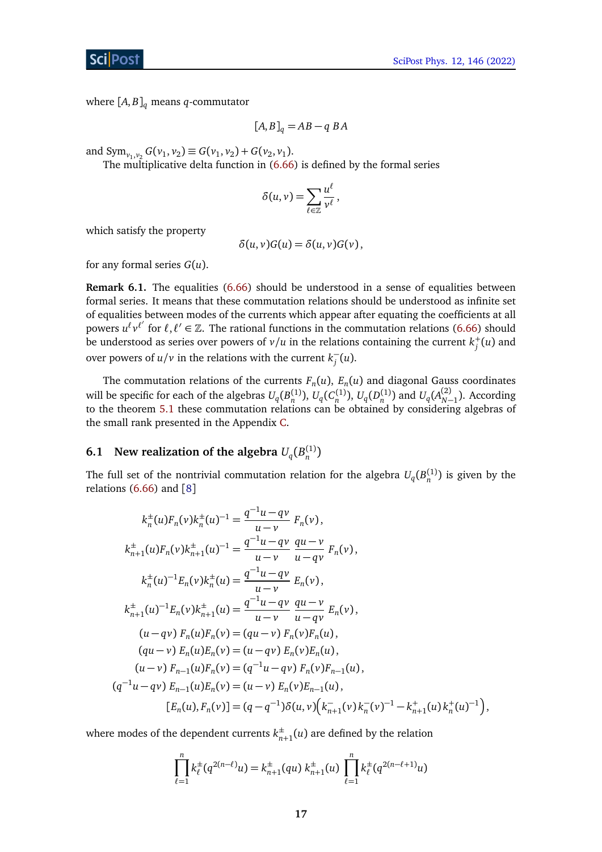where  $[A, B]_q$  means *q*-commutator

<span id="page-16-1"></span>
$$
[A, B]_q = AB - q\ BA
$$

and  $Sym_{v_1, v_2} G(v_1, v_2) \equiv G(v_1, v_2) + G(v_2, v_1)$ .

The multiplicative delta function in [\(6.66\)](#page-15-2) is defined by the formal series

$$
\delta(u,v)=\sum_{\ell\in\mathbb{Z}}\frac{u^{\ell}}{v^{\ell}},
$$

which satisfy the property

$$
\delta(u,v)G(u)=\delta(u,v)G(v),
$$

for any formal series *G*(*u*).

**Remark 6.1.** The equalities [\(6.66\)](#page-15-2) should be understood in a sense of equalities between formal series. It means that these commutation relations should be understood as infinite set of equalities between modes of the currents which appear after equating the coefficients at all powers  $u^{\ell}v^{\ell'}$  for  $\ell, \ell' \in \mathbb{Z}$ . The rational functions in the commutation relations [\(6.66\)](#page-15-2) should be understood as series over powers of  $\nu/u$  in the relations containing the current  $k^+_j(u)$  and over powers of  $u/v$  in the relations with the current  $k_i^$ *j* (*u*).

The commutation relations of the currents  $F_n(u)$ ,  $E_n(u)$  and diagonal Gauss coordinates will be specific for each of the algebras  $U_q(B_n^{(1)}), U_q(C_n^{(1)}), U_q(D_n^{(1)})$  and  $U_q(A_{N-1}^{(2)})$ . According to the theorem [5.1](#page-11-2) these commutation relations can be obtained by considering algebras of the small rank presented in the Appendix [C.](#page-26-0)

# <span id="page-16-0"></span>**6.1** New realization of the algebra  $U_q(B_n^{(1)})$

The full set of the nontrivial commutation relation for the algebra  $U_q(B_n^{(1)})$  is given by the relations  $(6.66)$  and  $[8]$  $[8]$  $[8]$ 

$$
k_n^{\pm}(u)F_n(v)k_n^{\pm}(u)^{-1} = \frac{q^{-1}u - qv}{u - v} F_n(v),
$$
  
\n
$$
k_{n+1}^{\pm}(u)F_n(v)k_{n+1}^{\pm}(u)^{-1} = \frac{q^{-1}u - qv}{u - v} \frac{qu - v}{u - qv} F_n(v),
$$
  
\n
$$
k_n^{\pm}(u)^{-1}E_n(v)k_n^{\pm}(u) = \frac{q^{-1}u - qv}{u - v} E_n(v),
$$
  
\n
$$
k_{n+1}^{\pm}(u)^{-1}E_n(v)k_{n+1}^{\pm}(u) = \frac{q^{-1}u - qv}{u - v} \frac{qu - v}{u - qv} E_n(v),
$$
  
\n
$$
(u - qv) F_n(u)F_n(v) = (qu - v) F_n(v)F_n(u),
$$
  
\n
$$
(qu - v) E_n(u)E_n(v) = (u - qv) E_n(v)E_n(u),
$$
  
\n
$$
(u - v) F_{n-1}(u)F_n(v) = (q^{-1}u - qv) F_n(v)F_{n-1}(u),
$$
  
\n
$$
(q^{-1}u - qv) E_{n-1}(u)E_n(v) = (u - v) E_n(v)E_{n-1}(u),
$$
  
\n
$$
[E_n(u), F_n(v)] = (q - q^{-1})\delta(u, v) (k_{n+1}^-(v)k_n^-(v)^{-1} - k_{n+1}^+(u)k_n^+(u)^{-1}),
$$

where modes of the dependent currents  $k_n^{\pm}$  $_{n+1}^{\pm}(u)$  are defined by the relation

$$
\prod_{\ell=1}^n k_\ell^{\pm}(q^{2(n-\ell)}u) = k_{n+1}^{\pm}(qu) k_{n+1}^{\pm}(u) \prod_{\ell=1}^n k_\ell^{\pm}(q^{2(n-\ell+1)}u)
$$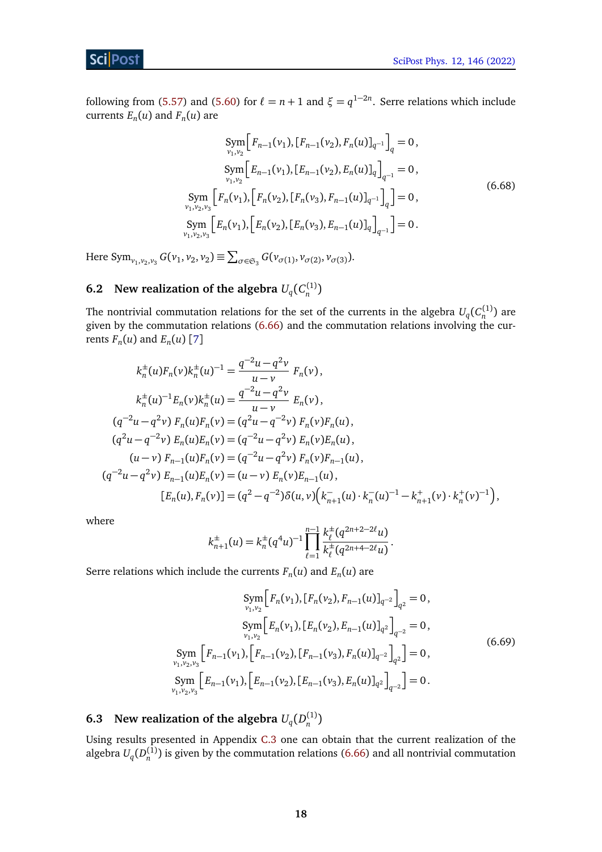following from [\(5.57\)](#page-14-2) and [\(5.60\)](#page-14-3) for  $\ell = n + 1$  and  $\xi = q^{1-2n}$ . Serre relations which include currents  $E_n(u)$  and  $F_n(u)$  are

$$
\text{Sym}_{\nu_1,\nu_2} \Big[ F_{n-1}(\nu_1), [F_{n-1}(\nu_2), F_n(u)]_{q^{-1}} \Big]_q = 0,
$$
\n
$$
\text{Sym}_{\nu_1,\nu_2} \Big[ E_{n-1}(\nu_1), [E_{n-1}(\nu_2), F_n(u)]_{q} \Big]_{q^{-1}} = 0,
$$
\n
$$
\text{Sym}_{\nu_1,\nu_2,\nu_3} \Big[ F_n(\nu_1), [F_n(\nu_2), [F_n(\nu_3), F_{n-1}(u)]_{q^{-1}} \Big]_q = 0,
$$
\n
$$
\text{Sym}_{\nu_1,\nu_2,\nu_3} \Big[ E_n(\nu_1), [E_n(\nu_2), [E_n(\nu_3), E_{n-1}(u)]_{q} \Big]_{q^{-1}} \Big] = 0.
$$
\n(6.68)

Here  $\text{Sym}_{\nu_1, \nu_2, \nu_3} G(\nu_1, \nu_2, \nu_2) \equiv \sum_{\sigma \in \mathfrak{S}_3} G(\nu_{\sigma(1)}, \nu_{\sigma(2)}, \nu_{\sigma(3)})$ .

# <span id="page-17-0"></span>**6.2** New realization of the algebra  $U_q(C_n^{(1)})$

The nontrivial commutation relations for the set of the currents in the algebra  $U_q(C_n^{(1)})$  are given by the commutation relations [\(6.66\)](#page-15-2) and the commutation relations involving the currents  $F_n(u)$  and  $E_n(u)$  [[7](#page-35-1)]

$$
k_n^{\pm}(u)F_n(v)k_n^{\pm}(u)^{-1} = \frac{q^{-2}u - q^2v}{u - v} F_n(v),
$$
  
\n
$$
k_n^{\pm}(u)^{-1}E_n(v)k_n^{\pm}(u) = \frac{q^{-2}u - q^2v}{u - v} E_n(v),
$$
  
\n
$$
(q^{-2}u - q^2v) F_n(u)F_n(v) = (q^2u - q^{-2}v) F_n(v)F_n(u),
$$
  
\n
$$
(q^2u - q^{-2}v) E_n(u)E_n(v) = (q^{-2}u - q^2v) E_n(v)E_n(u),
$$
  
\n
$$
(u - v) F_{n-1}(u)F_n(v) = (q^{-2}u - q^2v) F_n(v)F_{n-1}(u),
$$
  
\n
$$
(q^{-2}u - q^2v) E_{n-1}(u)E_n(v) = (u - v) E_n(v)E_{n-1}(u),
$$
  
\n
$$
[E_n(u), F_n(v)] = (q^2 - q^{-2})\delta(u, v) (k_{n+1}^-(u) \cdot k_n^-(u)^{-1} - k_{n+1}^+(v) \cdot k_n^+(v)^{-1}),
$$

where

<span id="page-17-2"></span>
$$
k_{n+1}^{\pm}(u) = k_n^{\pm}(q^4u)^{-1} \prod_{\ell=1}^{n-1} \frac{k_{\ell}^{\pm}(q^{2n+2-2\ell}u)}{k_{\ell}^{\pm}(q^{2n+4-2\ell}u)}.
$$

Serre relations which include the currents  $F_n(u)$  and  $E_n(u)$  are

$$
\text{Sym}_{\nu_1,\nu_2} \Big[ F_n(\nu_1), [F_n(\nu_2), F_{n-1}(u)]_{q^{-2}} \Big]_{q^2} = 0,
$$
\n
$$
\text{Sym}_{\nu_1,\nu_2} \Big[ E_n(\nu_1), [E_n(\nu_2), E_{n-1}(u)]_{q^2} \Big]_{q^{-2}} = 0,
$$
\n
$$
\text{Sym}_{\nu_1,\nu_2,\nu_3} \Big[ F_{n-1}(\nu_1), \Big[ F_{n-1}(\nu_2), [F_{n-1}(\nu_3), F_n(u)]_{q^{-2}} \Big]_{q^2} \Big] = 0,
$$
\n
$$
\text{Sym}_{\nu_1,\nu_2,\nu_3} \Big[ E_{n-1}(\nu_1), \Big[ E_{n-1}(\nu_2), [E_{n-1}(\nu_3), F_n(u)]_{q^2} \Big]_{q^{-2}} \Big] = 0.
$$
\n(6.69)

# <span id="page-17-1"></span>**6.3** New realization of the algebra  $U_q(D_n^{(1)})$

Using results presented in Appendix [C.3](#page-28-0) one can obtain that the current realization of the algebra  $U_q(D_n^{(1)})$  is given by the commutation relations [\(6.66\)](#page-15-2) and all nontrivial commutation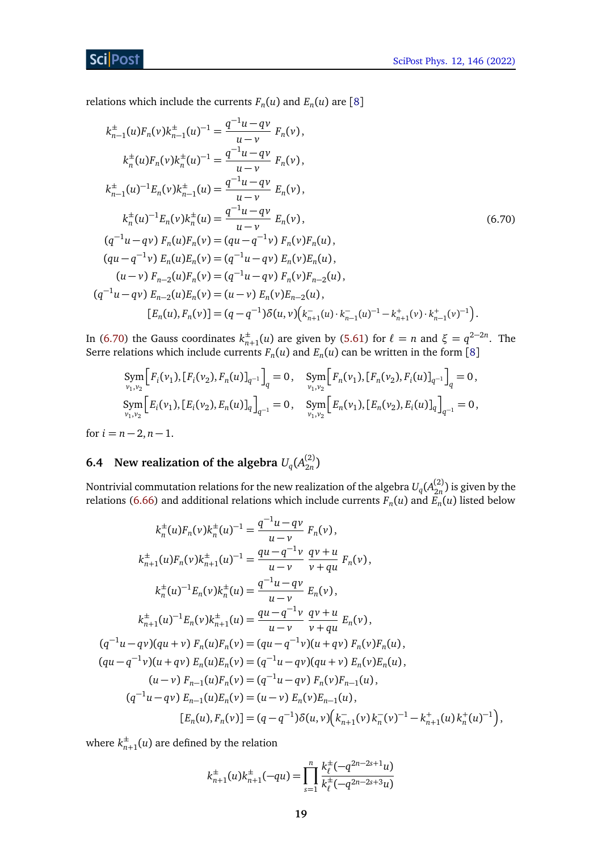relations which include the currents  $F_n(u)$  and  $E_n(u)$  are [[8](#page-35-2)]

$$
k_{n-1}^{\pm}(u)F_n(v)k_{n-1}^{\pm}(u)^{-1} = \frac{q^{-1}u - qv}{u - v} F_n(v),
$$
  
\n
$$
k_n^{\pm}(u)F_n(v)k_n^{\pm}(u)^{-1} = \frac{q^{-1}u - qv}{u - v} F_n(v),
$$
  
\n
$$
k_{n-1}^{\pm}(u)^{-1}E_n(v)k_{n-1}^{\pm}(u) = \frac{q^{-1}u - qv}{u - v} E_n(v),
$$
  
\n
$$
k_n^{\pm}(u)^{-1}E_n(v)k_n^{\pm}(u) = \frac{q^{-1}u - qv}{u - v} E_n(v),
$$
  
\n
$$
(q^{-1}u - qv) F_n(u)F_n(v) = (qu - q^{-1}v) F_n(v)F_n(u),
$$
  
\n
$$
(qu - q^{-1}v) E_n(u)E_n(v) = (q^{-1}u - qv) E_n(v)E_n(u),
$$
  
\n
$$
(u - v) F_{n-2}(u)F_n(v) = (q^{-1}u - qv) F_n(v)F_{n-2}(u),
$$
  
\n
$$
(q^{-1}u - qv) E_{n-2}(u)E_n(v) = (u - v) E_n(v)E_{n-2}(u),
$$
  
\n
$$
[E_n(u), F_n(v)] = (q - q^{-1})\delta(u, v) (k_{n+1}^-(u) \cdot k_{n-1}^-(u)^{-1} - k_{n+1}^+(v) \cdot k_{n-1}^+(v)^{-1}).
$$

In [\(6.70\)](#page-18-1) the Gauss coordinates  $k_{n}^{\pm}$  $_{n+1}^{\pm}(u)$  are given by [\(5.61\)](#page-14-4) for  $\ell = n$  and  $\xi = q^{2-2n}$ . The Serre relations which include currents  $F_n(u)$  and  $E_n(u)$  can be written in the form [[8](#page-35-2)]

<span id="page-18-1"></span>
$$
\begin{aligned}\n\text{Sym}_{\nu_1,\nu_2} \Big[ F_i(\nu_1), [F_i(\nu_2), F_n(u)]_{q^{-1}} \Big]_q &= 0, \quad \text{Sym}_{\nu_1,\nu_2} \Big[ F_n(\nu_1), [F_n(\nu_2), F_i(u)]_{q^{-1}} \Big]_q &= 0, \\
\text{Sym}_{\nu_1,\nu_2} \Big[ E_i(\nu_1), [E_i(\nu_2), F_n(u)]_q \Big]_{q^{-1}} &= 0, \quad \text{Sym}_{\nu_1,\nu_2} \Big[ E_n(\nu_1), [E_n(\nu_2), F_i(u)]_q \Big]_{q^{-1}} &= 0, \\
\text{Sym}_{\nu_1,\nu_2} \Big[ E_i(\nu_1), [F_n(\nu_2), F_n(u)]_q \Big]_q &= 0, \quad \text{Sym}_{\nu_1,\nu_2} \Big[ E_n(\nu_1), [F_n(\nu_2), F_n(u)]_q \Big]_q &= 0,\n\end{aligned}
$$

for  $i = n - 2, n - 1$ .

#### <span id="page-18-0"></span>**6.4 New realization of the algebra**  $U_q(A_{2n}^{(2)})$  $\binom{2}{2n}$

Nontrivial commutation relations for the new realization of the algebra  $U_q(A_{2n}^{(2)}$  $\binom{2}{2n}$  is given by the relations [\(6.66\)](#page-15-2) and additional relations which include currents  $F_n(u)$  and  $E_n(u)$  listed below

$$
k_n^{\pm}(u)F_n(v)k_n^{\pm}(u)^{-1} = \frac{q^{-1}u - qv}{u - v} F_n(v),
$$
  
\n
$$
k_{n+1}^{\pm}(u)F_n(v)k_{n+1}^{\pm}(u)^{-1} = \frac{qu - q^{-1}v}{u - v} \frac{qv + u}{v + qu} F_n(v),
$$
  
\n
$$
k_n^{\pm}(u)^{-1}E_n(v)k_n^{\pm}(u) = \frac{q^{-1}u - qv}{u - v} E_n(v),
$$
  
\n
$$
k_{n+1}^{\pm}(u)^{-1}E_n(v)k_{n+1}^{\pm}(u) = \frac{qu - q^{-1}v}{u - v} \frac{qv + u}{v + qu} E_n(v),
$$
  
\n
$$
(q^{-1}u - qv)(qu + v) F_n(u)F_n(v) = (qu - q^{-1}v)(u + qv) F_n(v)F_n(u),
$$
  
\n
$$
(qu - q^{-1}v)(u + qv) E_n(u)E_n(v) = (q^{-1}u - qv)(qu + v) E_n(v)E_n(u),
$$
  
\n
$$
(u - v) F_{n-1}(u)F_n(v) = (q^{-1}u - qv) F_n(v)F_{n-1}(u),
$$
  
\n
$$
(q^{-1}u - qv) E_{n-1}(u)E_n(v) = (u - v) E_n(v)E_{n-1}(u),
$$
  
\n
$$
[E_n(u), F_n(v)] = (q - q^{-1})\delta(u, v) (k_{n+1}^-(v)k_n^-(v)^{-1} - k_{n+1}^+(u)k_n^+(u)^{-1}),
$$

where  $k_{n}^{\pm}$  $_{n+1}^{\pm}(u)$  are defined by the relation

$$
k_{n+1}^{\pm}(u)k_{n+1}^{\pm}(-qu) = \prod_{s=1}^{n} \frac{k_{\ell}^{\pm}(-q^{2n-2s+1}u)}{k_{\ell}^{\pm}(-q^{2n-2s+3}u)}
$$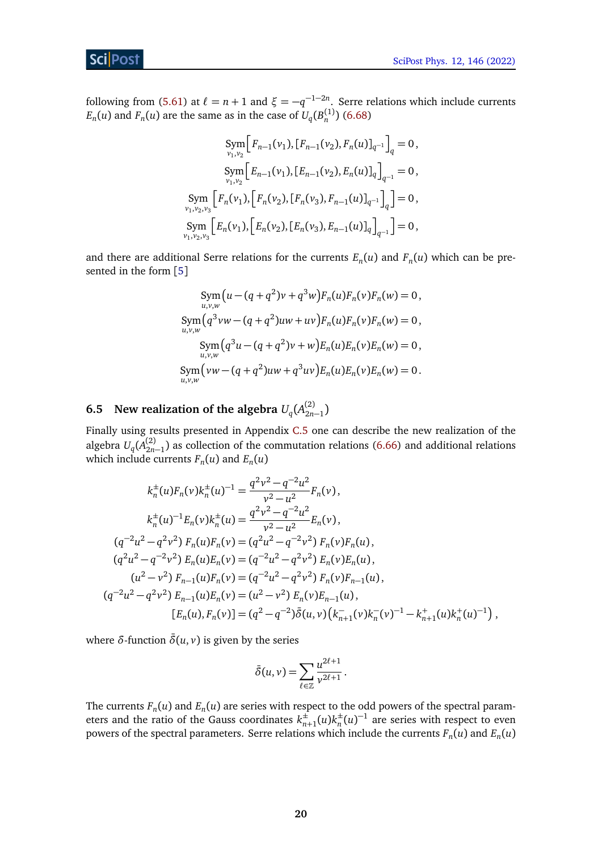following from [\(5.61\)](#page-14-4) at  $\ell = n + 1$  and  $\xi = -q^{-1-2n}$ . Serre relations which include currents  $E_n(u)$  and  $F_n(u)$  are the same as in the case of  $U_q(B_n^{(1)})$  [\(6.68\)](#page-16-1)

$$
\text{Sym}_{\nu_1,\nu_2} \Big[ F_{n-1}(\nu_1), [F_{n-1}(\nu_2), F_n(u)]_{q^{-1}} \Big]_q = 0,
$$
  
\n
$$
\text{Sym}_{\nu_1,\nu_2} \Big[ E_{n-1}(\nu_1), [E_{n-1}(\nu_2), F_n(u)]_q \Big]_{q^{-1}} = 0,
$$
  
\n
$$
\text{Sym}_{\nu_1,\nu_2,\nu_3} \Big[ F_n(\nu_1), [F_n(\nu_2), [F_n(\nu_3), F_{n-1}(u)]_{q^{-1}} \Big]_q = 0,
$$
  
\n
$$
\text{Sym}_{\nu_1,\nu_2,\nu_3} \Big[ E_n(\nu_1), [E_n(\nu_2), [E_n(\nu_3), E_{n-1}(u)]_q \Big]_{q^{-1}} \Big] = 0,
$$

and there are additional Serre relations for the currents  $E_n(u)$  and  $F_n(u)$  which can be presented in the form [[5](#page-34-5)]

$$
\begin{aligned}\n\text{Sym}\left(u - (q + q^2)v + q^3w\right) &F_n(u)F_n(v)F_n(w) = 0, \\
\text{Sym}\left(q^3vw - (q + q^2)uw + uv\right) &F_n(u)F_n(v)F_n(w) = 0, \\
\text{Sym}\left(q^3u - (q + q^2)v + w\right) &E_n(u)E_n(v)E_n(w) = 0, \\
\text{Sym}\left(vw - (q + q^2)uw + q^3uv\right) &F_n(u)E_n(v)E_n(w) = 0.\n\end{aligned}
$$

# <span id="page-19-0"></span>**6.5 New realization of the algebra**  $U_q(A_{2n-1}^{(2)})$

Finally using results presented in Appendix [C.5](#page-30-0) one can describe the new realization of the algebra  $U_q(A_{2n-1}^{(2)})$  as collection of the commutation relations [\(6.66\)](#page-15-2) and additional relations which include currents  $F_n(u)$  and  $E_n(u)$ 

$$
k_n^{\pm}(u)F_n(v)k_n^{\pm}(u)^{-1} = \frac{q^2v^2 - q^{-2}u^2}{v^2 - u^2}F_n(v),
$$
  
\n
$$
k_n^{\pm}(u)^{-1}E_n(v)k_n^{\pm}(u) = \frac{q^2v^2 - q^{-2}u^2}{v^2 - u^2}E_n(v),
$$
  
\n
$$
(q^{-2}u^2 - q^2v^2) F_n(u)F_n(v) = (q^2u^2 - q^{-2}v^2) F_n(v)F_n(u),
$$
  
\n
$$
(q^2u^2 - q^{-2}v^2) E_n(u)E_n(v) = (q^{-2}u^2 - q^2v^2) E_n(v)E_n(u),
$$
  
\n
$$
(u^2 - v^2) F_{n-1}(u)F_n(v) = (q^{-2}u^2 - q^2v^2) F_n(v)F_{n-1}(u),
$$
  
\n
$$
(q^{-2}u^2 - q^2v^2) E_{n-1}(u)E_n(v) = (u^2 - v^2) E_n(v)E_{n-1}(u),
$$
  
\n
$$
[E_n(u), F_n(v)] = (q^2 - q^{-2})\bar{\delta}(u, v) (k_{n+1}^-(v)k_n^-(v)^{-1} - k_{n+1}^+(u)k_n^+(u)^{-1}),
$$

where  $\delta$ -function  $\bar{\delta}(u, v)$  is given by the series

$$
\bar{\delta}(u,v) = \sum_{\ell \in \mathbb{Z}} \frac{u^{2\ell+1}}{v^{2\ell+1}}.
$$

The currents  $F_n(u)$  and  $E_n(u)$  are series with respect to the odd powers of the spectral parameters and the ratio of the Gauss coordinates  $k_n^{\pm}$  $\frac{1}{n+1}(u)k_{n}^{\pm}$  $\frac{1}{n}(u)^{-1}$  are series with respect to even powers of the spectral parameters. Serre relations which include the currents  $F_n(u)$  and  $E_n(u)$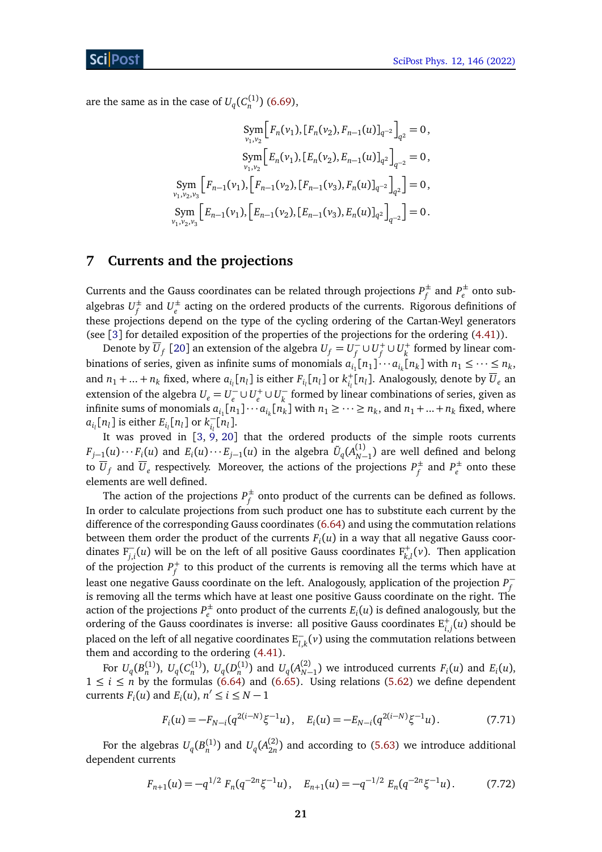are the same as in the case of  $U_q(C_n^{(1)})$  [\(6.69\)](#page-17-2),

$$
\begin{aligned}\n\text{Sym} \Big[ F_n(v_1), [F_n(v_2), F_{n-1}(u)]_{q^{-2}} \Big]_{q^2} &= 0, \\
\text{Sym} \Big[ E_n(v_1), [E_n(v_2), E_{n-1}(u)]_{q^2} \Big]_{q^{-2}} &= 0, \\
\text{Sym} \Big[ F_{n-1}(v_1), \Big[ F_{n-1}(v_2), [F_{n-1}(v_3), F_n(u)]_{q^{-2}} \Big]_{q^2} \Big] &= 0, \\
\text{Sym} \Big[ E_{n-1}(v_1), \Big[ E_{n-1}(v_2), [E_{n-1}(v_3), F_n(u)]_{q^2} \Big]_{q^{-2}} \Big] &= 0. \\
\text{Sym} \Big[ E_{n-1}(v_1), \Big[ E_{n-1}(v_2), [E_{n-1}(v_3), F_n(u)]_{q^2} \Big]_{q^{-2}} \Big] &= 0.\n\end{aligned}
$$

## <span id="page-20-0"></span>**7 Currents and the projections**

*ν* 

Currents and the Gauss coordinates can be related through projections  $P_f^{\pm}$  $f_f^{\pm}$  and  $P_e^{\pm}$  $e^{\pm}$  onto subalgebras  $U^{\pm}_{\epsilon}$  $f$ <sup> $f$ </sup> and  $U_e^{\pm}$ *e* acting on the ordered products of the currents. Rigorous definitions of these projections depend on the type of the cycling ordering of the Cartan-Weyl generators (see [[3](#page-34-3)] for detailed exposition of the properties of the projections for the ordering [\(4.41\)](#page-10-3)).

Denote by  $\overline{U}_f$  [[20](#page-35-12)] an extension of the algebra  $U_f = U_f^$  $f^{\top}$ ∪ $U^+_f$  ∪ $U^+_k$  formed by linear combinations of series, given as infinite sums of monomials  $a_{i_1}[n_1] \cdots a_{i_k}[n_k]$  with  $n_1 \leq \cdots \leq n_k$ , and  $n_1 + ... + n_k$  fixed, where  $a_{i_l}[n_l]$  is either  $F_{i_l}[n_l]$  or  $k_{i_l}^+[n_l]$ . Analogously, denote by  $U_e$  an extension of the algebra  $U_e = U_e$ <sup> $\bar{U}_e$ </sup> .<sup>*i*</sup> – ∪ *U*<sub>*e*</sub> ∪ *U*<sub>*k*</sub> *k* formed by linear combinations of series, given as infinite sums of monomials  $a_{i_1} [n_1] \cdots a_{i_k} [n_k]$  with  $n_1 \geq \cdots \geq n_k$ , and  $n_1 + ... + n_k$  fixed, where  $a_{i_l}$ [*n*<sub>*l*</sub>] is either  $E_{i_l}$ [*n*<sub>*l*</sub>] or  $k_{i_l}^ \bar{i}_l$ <sup>[*nl*].</sup>

It was proved in [[3,](#page-34-3) [9,](#page-35-3) [20](#page-35-12)] that the ordered products of the simple roots currents  $F_{j-1}(u)\cdots F_i(u)$  and  $E_i(u)\cdots E_{j-1}(u)$  in the algebra  $\tilde{U}_q(A^{(1)}_{N-1})$  are well defined and belong to  $\overline{U}_f$  and  $\overline{U}_e$  respectively. Moreover, the actions of the projections  $P_f^{\pm}$  $f_f^{\pm}$  and  $P_e^{\pm}$  $e^{\pm}$  onto these elements are well defined.

The action of the projections  $P_f^{\pm}$  $f \atop f$  onto product of the currents can be defined as follows. In order to calculate projections from such product one has to substitute each current by the difference of the corresponding Gauss coordinates [\(6.64\)](#page-15-1) and using the commutation relations between them order the product of the currents *F<sup>i</sup>* (*u*) in a way that all negative Gauss coordinates  $F_{j,i}^-(u)$  will be on the left of all positive Gauss coordinates  $F_{k,l}^+(v)$ . Then application of the projection *P* + *f* to this product of the currents is removing all the terms which have at least one negative Gauss coordinate on the left. Analogously, application of the projection *P* − *f* is removing all the terms which have at least one positive Gauss coordinate on the right. The action of the projections  $P_e^{\pm}$  $e^{\pm}$  onto product of the currents  $E_i(u)$  is defined analogously, but the ordering of the Gauss coordinates is inverse: all positive Gauss coordinates  $\mathrm{E}_{i,j}^+(u)$  should be placed on the left of all negative coordinates  $E_{l,k}^-(v)$  using the commutation relations between them and according to the ordering [\(4.41\)](#page-10-3).

For  $U_q(B_n^{(1)}), U_q(C_n^{(1)}), U_q(D_n^{(1)})$  and  $U_q(A_{N-1}^{(2)})$  we introduced currents  $F_i(u)$  and  $E_i(u)$ ,  $1 \le i \le n$  by the formulas [\(6.64\)](#page-15-1) and [\(6.65\)](#page-15-3). Using relations [\(5.62\)](#page-14-5) we define dependent currents  $F_i(u)$  and  $E_i(u)$ ,  $n' \le i \le N-1$ 

<span id="page-20-2"></span><span id="page-20-1"></span>
$$
F_i(u) = -F_{N-i}(q^{2(i-N)}\xi^{-1}u), \quad E_i(u) = -E_{N-i}(q^{2(i-N)}\xi^{-1}u). \tag{7.71}
$$

For the algebras  $U_q(B_n^{(1)})$  and  $U_q(A_{2n}^{(2)})$  $\binom{2}{2n}$  and according to [\(5.63\)](#page-14-6) we introduce additional dependent currents

$$
F_{n+1}(u) = -q^{1/2} F_n(q^{-2n}\xi^{-1}u), \quad E_{n+1}(u) = -q^{-1/2} F_n(q^{-2n}\xi^{-1}u). \tag{7.72}
$$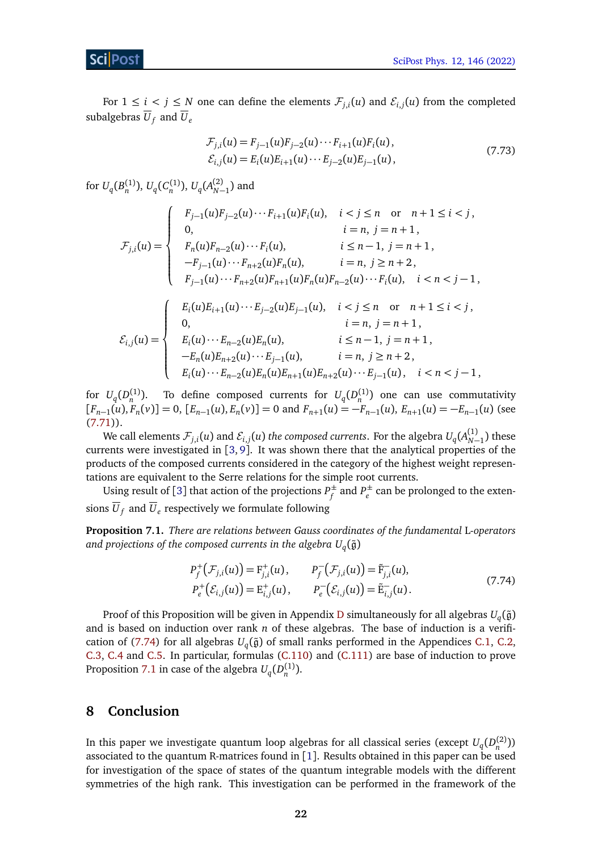For  $1 \leq i \leq j \leq N$  one can define the elements  $\mathcal{F}_{j,i}(u)$  and  $\mathcal{E}_{i,j}(u)$  from the completed subalgebras  $\overline{U}_f$  and  $\overline{U}_e$ 

$$
\mathcal{F}_{j,i}(u) = F_{j-1}(u)F_{j-2}(u)\cdots F_{i+1}(u)F_i(u), \n\mathcal{E}_{i,j}(u) = E_i(u)E_{i+1}(u)\cdots E_{j-2}(u)E_{j-1}(u),
$$
\n(7.73)

for  $U_q(B_n^{(1)}), U_q(C_n^{(1)}), U_q(A_{N-1}^{(2)})$  and

$$
F_{j,i}(u) = \begin{cases} F_{j-1}(u)F_{j-2}(u)\cdots F_{i+1}(u)F_i(u), & i < j \le n \text{ or } n+1 \le i < j, \\ 0, & i = n, j = n+1, \\ F_n(u)F_{n-2}(u)\cdots F_i(u), & i \le n-1, j = n+1, \\ -F_{j-1}(u)\cdots F_{n+2}(u)F_n(u), & i = n, j \ge n+2, \\ F_{j-1}(u)\cdots F_{n+2}(u)F_{n+1}(u)F_n(u)F_{n-2}(u)\cdots F_i(u), & i < n < j-1, \\ E_i(u)E_{i+1}(u)\cdots E_{j-2}(u)E_{j-1}(u), & i < j \le n \text{ or } n+1 \le i < j, \\ 0, & i = n, j = n+1, \\ E_i(u)\cdots E_{n-2}(u)E_n(u), & i \le n-1, j = n+1, \\ -E_n(u)E_{n+2}(u)\cdots E_{j-1}(u), & i = n, j \ge n+2, \\ E_i(u)\cdots E_{n-2}(u)E_n(u)E_{n+1}(u)E_{n+2}(u)\cdots E_{j-1}(u), & i < n < j-1, \end{cases}
$$

for  $U_q(D_n^{(1)})$ . To define composed currents for  $U_q(D_n^{(1)})$  one can use commutativity  $[F_{n-1}(u), F_n(v)] = 0$ ,  $[E_{n-1}(u), E_n(v)] = 0$  and  $F_{n+1}(u) = -F_{n-1}(u), E_{n+1}(u) = -E_{n-1}(u)$  (see  $(7.71)$ ).

We call elements  $\mathcal{F}_{j,i}(u)$  and  $\mathcal{E}_{i,j}(u)$  *the composed currents*. For the algebra  $U_q(A^{(1)}_{N-1})$  these currents were investigated in [[3,](#page-34-3) [9](#page-35-3)]. It was shown there that the analytical properties of the products of the composed currents considered in the category of the highest weight representations are equivalent to the Serre relations for the simple root currents.

Using result of [[3](#page-34-3)] that action of the projections  $P_f^{\pm}$  $f_f^{\pm}$  and  $P_e^{\pm}$  $e^{\pm}$  can be prolonged to the extensions  $U_f$  and  $U_e$  respectively we formulate following

<span id="page-21-0"></span>**Proposition 7.1.** *There are relations between Gauss coordinates of the fundamental* L*-operators* and projections of the composed currents in the algebra  $U_q(\tilde{\mathfrak{g}})$ 

<span id="page-21-1"></span>
$$
P_f^+(\mathcal{F}_{j,i}(u)) = F_{j,i}^+(u), \qquad P_f^-(\mathcal{F}_{j,i}(u)) = \tilde{F}_{j,i}^-(u),
$$
  
\n
$$
P_e^+(\mathcal{E}_{i,j}(u)) = E_{i,j}^+(u), \qquad P_e^-(\mathcal{E}_{i,j}(u)) = \tilde{E}_{i,j}^-(u).
$$
\n(7.74)

Proof of this Proposition will be given in Appendix [D](#page-33-0) simultaneously for all algebras  $U_q(\tilde{\mathfrak{g}})$ and is based on induction over rank *n* of these algebras. The base of induction is a verifi-cation of [\(7.74\)](#page-21-1) for all algebras  $U_q(\tilde{\mathfrak{g}})$  of small ranks performed in the Appendices [C.1,](#page-26-1) [C.2,](#page-27-0) [C.3,](#page-28-0) [C.4](#page-29-0) and [C.5.](#page-30-0) In particular, formulas [\(C.110\)](#page-29-1) and [\(C.111\)](#page-29-2) are base of induction to prove Proposition [7.1](#page-21-0) in case of the algebra  $U_q(D_n^{(1)})$ .

## **8 Conclusion**

In this paper we investigate quantum loop algebras for all classical series (except  $U_q(D_n^{(2)}$ )) associated to the quantum R-matrices found in [[1](#page-34-1)]. Results obtained in this paper can be used for investigation of the space of states of the quantum integrable models with the different symmetries of the high rank. This investigation can be performed in the framework of the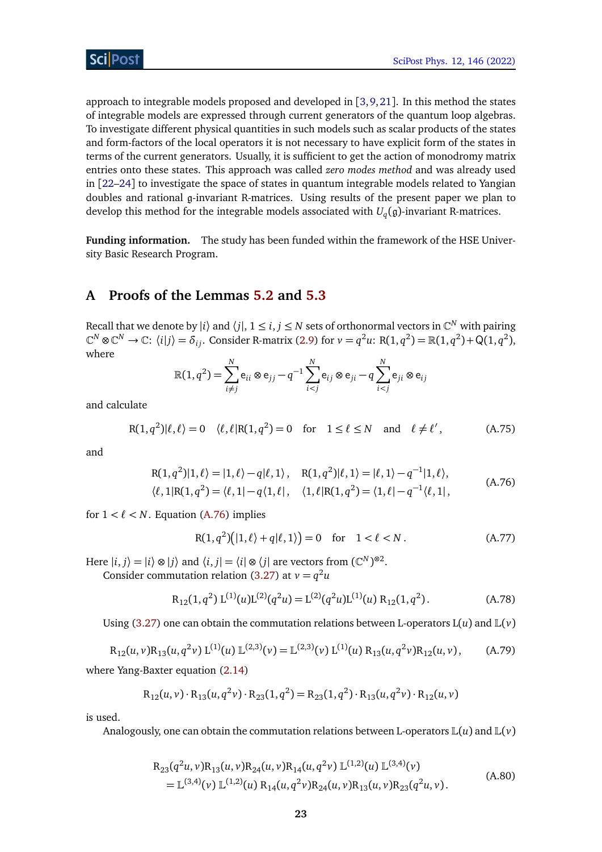approach to integrable models proposed and developed in [[3,](#page-34-3)[9,](#page-35-3)[21](#page-35-13)]. In this method the states of integrable models are expressed through current generators of the quantum loop algebras. To investigate different physical quantities in such models such as scalar products of the states and form-factors of the local operators it is not necessary to have explicit form of the states in terms of the current generators. Usually, it is sufficient to get the action of monodromy matrix entries onto these states. This approach was called *zero modes method* and was already used in [[22–](#page-35-14)[24](#page-36-0)] to investigate the space of states in quantum integrable models related to Yangian doubles and rational g-invariant R-matrices. Using results of the present paper we plan to develop this method for the integrable models associated with *U<sup>q</sup>* (g)-invariant R-matrices.

**Funding information.** The study has been funded within the framework of the HSE University Basic Research Program.

## <span id="page-22-0"></span>**A Proofs of the Lemmas [5.2](#page-12-0) and [5.3](#page-12-1)**

Recall that we denote by  $|i\rangle$  and  $\langle j|, 1 \le i, j \le N$  sets of orthonormal vectors in  $\mathbb{C}^N$  with pairing  $\mathbb{C}^N \otimes \mathbb{C}^N \to \mathbb{C}$ :  $\langle i | j \rangle = \delta_{ij}$ . Consider R-matrix [\(2.9\)](#page-3-3) for  $v = q^2u$ : R(1,  $q^2$ ) = R(1,  $q^2$ ) + Q(1,  $q^2$ ), where

$$
\mathbb{R}(1, q^2) = \sum_{i \neq j}^{N} e_{ii} \otimes e_{jj} - q^{-1} \sum_{i < j}^{N} e_{ij} \otimes e_{ji} - q \sum_{i < j}^{N} e_{ji} \otimes e_{ij}
$$

and calculate

<span id="page-22-5"></span>
$$
R(1, q^2)|\ell, \ell\rangle = 0 \quad \langle \ell, \ell | R(1, q^2) = 0 \quad \text{for} \quad 1 \le \ell \le N \quad \text{and} \quad \ell \ne \ell', \tag{A.75}
$$

<span id="page-22-2"></span>and

$$
R(1, q2)|1, l\rangle = |1, l\rangle - q|l, 1\rangle, \quad R(1, q2)|l, 1\rangle = |l, 1\rangle - q-1|1, l\rangle, \n\langle l, 1|R(1, q2) = \langle l, 1| - q\langle 1, l|, \quad \langle 1, l|R(1, q2) = \langle 1, l| - q-1\langle l, 1|,
$$
\n(A.76)

for  $1 < \ell < N$ . Equation [\(A.76\)](#page-22-2) implies

<span id="page-22-6"></span><span id="page-22-3"></span>
$$
R(1, q2)(|1, \ell\rangle + q|\ell, 1\rangle) = 0 \quad \text{for} \quad 1 < \ell < N. \tag{A.77}
$$

Here  $|i, j\rangle = |i\rangle \otimes |j\rangle$  and  $\langle i, j| = \langle i | \otimes \langle j|$  are vectors from  $(\mathbb{C}^N)^{\otimes 2}$ .

Consider commutation relation [\(3.27\)](#page-6-1) at  $v = q^2u$ 

$$
R_{12}(1,q^2) L^{(1)}(u) L^{(2)}(q^2 u) = L^{(2)}(q^2 u) L^{(1)}(u) R_{12}(1,q^2).
$$
 (A.78)

<span id="page-22-4"></span>Using [\(3.27\)](#page-6-1) one can obtain the commutation relations between L-operators  $L(u)$  and  $L(v)$ 

$$
R_{12}(u, v)R_{13}(u, q^2v) L^{(1)}(u) L^{(2,3)}(v) = L^{(2,3)}(v) L^{(1)}(u) R_{13}(u, q^2v)R_{12}(u, v), \quad (A.79)
$$

where Yang-Baxter equation [\(2.14\)](#page-4-7)

$$
R_{12}(u, v) \cdot R_{13}(u, q^2 v) \cdot R_{23}(1, q^2) = R_{23}(1, q^2) \cdot R_{13}(u, q^2 v) \cdot R_{12}(u, v)
$$

is used.

<span id="page-22-1"></span>Analogously, one can obtain the commutation relations between L-operators  $\mathbb{L}(u)$  and  $\mathbb{L}(v)$ 

$$
R_{23}(q^{2}u, v)R_{13}(u, v)R_{24}(u, v)R_{14}(u, q^{2}v) \mathbb{L}^{(1,2)}(u) \mathbb{L}^{(3,4)}(v)
$$
  
= 
$$
\mathbb{L}^{(3,4)}(v) \mathbb{L}^{(1,2)}(u) R_{14}(u, q^{2}v)R_{24}(u, v)R_{13}(u, v)R_{23}(q^{2}u, v).
$$
 (A.80)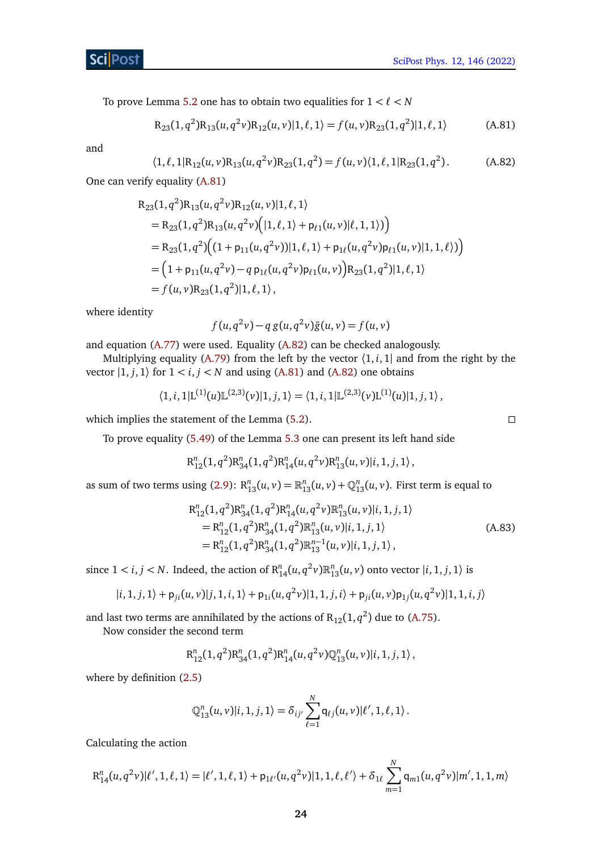To prove Lemma [5.2](#page-12-0) one has to obtain two equalities for  $1 < \ell < N$ 

<span id="page-23-0"></span>
$$
R_{23}(1,q^2)R_{13}(u,q^2v)R_{12}(u,v)|1,\ell,1\rangle = f(u,v)R_{23}(1,q^2)|1,\ell,1\rangle
$$
 (A.81)

<span id="page-23-1"></span>and

$$
\langle 1, \ell, 1 | R_{12}(u, v) R_{13}(u, q^2 v) R_{23}(1, q^2) = f(u, v) \langle 1, \ell, 1 | R_{23}(1, q^2). \tag{A.82}
$$

One can verify equality [\(A.81\)](#page-23-0)

$$
R_{23}(1, q^2)R_{13}(u, q^2v)R_{12}(u, v)|1, \ell, 1\rangle
$$
  
= R\_{23}(1, q^2)R\_{13}(u, q^2v)([1, \ell, 1) + p\_{\ell 1}(u, v)|\ell, 1, 1\rangle))  
= R\_{23}(1, q^2)((1 + p\_{11}(u, q^2v))|1, \ell, 1\rangle + p\_{1\ell}(u, q^2v)p\_{\ell 1}(u, v)|1, 1, \ell\rangle))  
= (1 + p\_{11}(u, q^2v) - q p\_{1\ell}(u, q^2v)p\_{\ell 1}(u, v))R\_{23}(1, q^2)|1, \ell, 1\rangle  
= f(u, v)R\_{23}(1, q^2)|1, \ell, 1\rangle,

where identity

$$
f(u, q2v) - q g(u, q2v) \tilde{g}(u, v) = f(u, v)
$$

and equation [\(A.77\)](#page-22-3) were used. Equality [\(A.82\)](#page-23-1) can be checked analogously.

Multiplying equality [\(A.79\)](#page-22-4) from the left by the vector  $\langle 1, i, 1 \rangle$  and from the right by the vector  $|1, j, 1\rangle$  for  $1 < i, j < N$  and using [\(A.81\)](#page-23-0) and [\(A.82\)](#page-23-1) one obtains

$$
\langle 1,i,1|L^{(1)}(u)L^{(2,3)}(v)|1,j,1\rangle = \langle 1,i,1|L^{(2,3)}(v)L^{(1)}(u)|1,j,1\rangle,
$$

which implies the statement of the Lemma  $(5.2)$ .

To prove equality [\(5.49\)](#page-12-5) of the Lemma [5.3](#page-12-1) one can present its left hand side

$$
R_{12}^n(1,q^2)R_{34}^n(1,q^2)R_{14}^n(u,q^2v)R_{13}^n(u,v)|i,1,j,1\rangle,
$$

as sum of two terms using [\(2.9\)](#page-3-3):  $R_{13}^n(u, v) = R_{13}^n(u, v) + Q_{13}^n(u, v)$ . First term is equal to

$$
R_{12}^{n}(1, q^{2})R_{34}^{n}(1, q^{2})R_{14}^{n}(u, q^{2}\nu)R_{13}^{n}(u, \nu)|i, 1, j, 1\rangle
$$
  
=  $R_{12}^{n}(1, q^{2})R_{34}^{n}(1, q^{2})R_{13}^{n}(u, \nu)|i, 1, j, 1\rangle$   
=  $R_{12}^{n}(1, q^{2})R_{34}^{n}(1, q^{2})R_{13}^{n-1}(u, \nu)|i, 1, j, 1\rangle$ , (A.83)

since  $1 < i, j < N$ . Indeed, the action of  $R_{14}^n(u, q^2v)R_{13}^n(u, v)$  onto vector  $|i, 1, j, 1\rangle$  is

$$
|i, 1, j, 1\rangle + \mathsf{p}_{ji}(u, v)|j, 1, i, 1\rangle + \mathsf{p}_{1i}(u, q^2 v)|1, 1, j, i\rangle + \mathsf{p}_{ji}(u, v)\mathsf{p}_{1j}(u, q^2 v)|1, 1, i, j\rangle
$$

and last two terms are annihilated by the actions of  $R_{12}(1,q^2)$  due to [\(A.75\)](#page-22-5).

Now consider the second term

$$
R_{12}^n(1,q^2)R_{34}^n(1,q^2)R_{14}^n(u,q^2v)Q_{13}^n(u,v)|i,1,j,1\rangle,
$$

where by definition [\(2.5\)](#page-3-5)

$$
\mathbb{Q}_{13}^n(u,v)|i,1,j,1\rangle=\delta_{ij'}\sum_{\ell=1}^N\mathsf{q}_{\ell j}(u,v)|\ell',1,\ell,1\rangle.
$$

Calculating the action

$$
R_{14}^n(u, q^2v)|\ell', 1, \ell, 1\rangle = |\ell', 1, \ell, 1\rangle + p_{1\ell'}(u, q^2v)|1, 1, \ell, \ell'\rangle + \delta_{1\ell} \sum_{m=1}^N q_{m1}(u, q^2v)|m', 1, 1, m\rangle
$$

<span id="page-23-2"></span>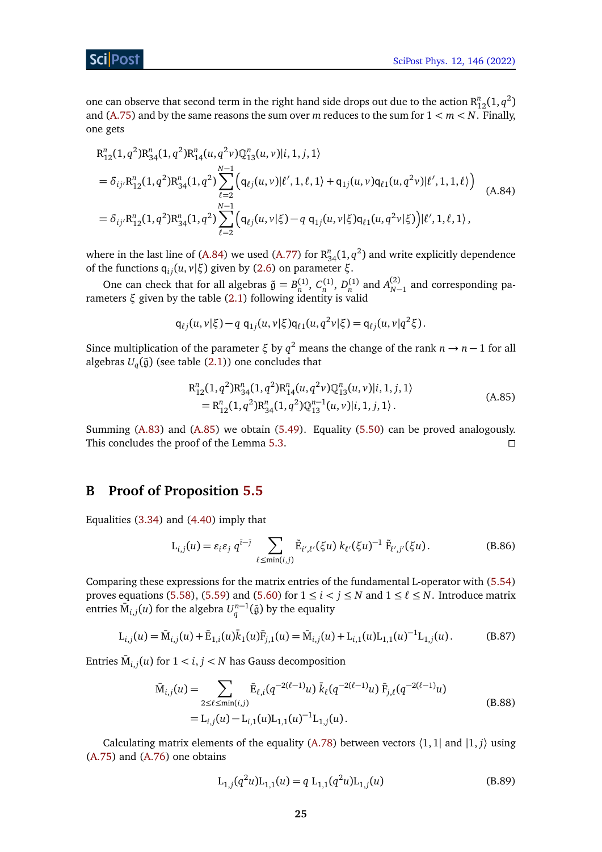ScilPos<sup>.</sup>

one can observe that second term in the right hand side drops out due to the action  $R_{12}^n(1,q^2)$ and [\(A.75\)](#page-22-5) and by the same reasons the sum over *m* reduces to the sum for  $1 < m < N$ . Finally, one gets

<span id="page-24-1"></span>
$$
R_{12}^{n}(1, q^{2})R_{34}^{n}(1, q^{2})R_{14}^{n}(u, q^{2}v)Q_{13}^{n}(u, v)|i, 1, j, 1\rangle
$$
  
=  $\delta_{ij'}R_{12}^{n}(1, q^{2})R_{34}^{n}(1, q^{2})\sum_{\ell=2}^{N-1} (q_{\ell j}(u, v)|\ell', 1, \ell, 1) + q_{1j}(u, v)q_{\ell 1}(u, q^{2}v)|\ell', 1, 1, \ell\rangle)$   
=  $\delta_{ij'}R_{12}^{n}(1, q^{2})R_{34}^{n}(1, q^{2})\sum_{\ell=2}^{N-1} (q_{\ell j}(u, v|\xi) - q q_{1j}(u, v|\xi)q_{\ell 1}(u, q^{2}v|\xi))|\ell', 1, \ell, 1\rangle,$  (A.84)

where in the last line of [\(A.84\)](#page-24-1) we used [\(A.77\)](#page-22-3) for  $R_{34}^n(1,q^2)$  and write explicitly dependence of the functions  $q_{ij}(u, v | \xi)$  given by [\(2.6\)](#page-3-0) on parameter *ξ*.

One can check that for all algebras  $\tilde{\mathfrak{g}} = B_n^{(1)}$ ,  $C_n^{(1)}$ ,  $D_n^{(1)}$  and  $A_{N-1}^{(2)}$  and corresponding parameters *ξ* given by the table [\(2.1\)](#page-2-1) following identity is valid

$$
q_{\ell j}(u, v | \xi) - q q_{1j}(u, v | \xi) q_{\ell 1}(u, q^2 v | \xi) = q_{\ell j}(u, v | q^2 \xi).
$$

Since multiplication of the parameter  $\xi$  by  $q^2$  means the change of the rank  $n \to n - 1$  for all algebras  $U_q(\tilde{\mathfrak{g}})$  (see table [\(2.1\)](#page-2-1)) one concludes that

<span id="page-24-2"></span>
$$
R_{12}^{n}(1,q^{2})R_{34}^{n}(1,q^{2})R_{14}^{n}(u,q^{2}\nu)Q_{13}^{n}(u,\nu)|i,1,j,1\rangle
$$
  
= 
$$
R_{12}^{n}(1,q^{2})R_{34}^{n}(1,q^{2})Q_{13}^{n-1}(u,\nu)|i,1,j,1\rangle.
$$
 (A.85)

Summing [\(A.83\)](#page-23-2) and [\(A.85\)](#page-24-2) we obtain [\(5.49\)](#page-12-5). Equality [\(5.50\)](#page-12-6) can be proved analogously. This concludes the proof of the Lemma [5.3.](#page-12-1)

## <span id="page-24-0"></span>**B Proof of Proposition [5.5](#page-14-0)**

Equalities [\(3.34\)](#page-9-4) and [\(4.40\)](#page-10-2) imply that

<span id="page-24-4"></span>
$$
L_{i,j}(u) = \varepsilon_i \varepsilon_j q^{i-j} \sum_{\ell \le \min(i,j)} \tilde{E}_{i',\ell'}(\xi u) k_{\ell'}(\xi u)^{-1} \tilde{F}_{\ell',j'}(\xi u).
$$
 (B.86)

Comparing these expressions for the matrix entries of the fundamental L-operator with [\(5.54\)](#page-14-1) proves equations [\(5.58\)](#page-14-7), [\(5.59\)](#page-14-8) and [\(5.60\)](#page-14-3) for  $1 \le i < j \le N$  and  $1 \le \ell \le N$ . Introduce matrix entries  $\bar{\bm{\mathrm{M}}}_{i,j}(u)$  for the algebra  $U_q^{n-1}(\tilde{\bm{\mathfrak{g}}})$  by the equality

$$
L_{i,j}(u) = \bar{M}_{i,j}(u) + \bar{E}_{1,i}(u)\bar{k}_1(u)\bar{F}_{j,1}(u) = \bar{M}_{i,j}(u) + L_{i,1}(u)L_{1,1}(u)^{-1}L_{1,j}(u).
$$
 (B.87)

Entries  $\bar{M}_{i,j}(u)$  for  $1 < i, j < N$  has Gauss decomposition

$$
\bar{M}_{i,j}(u) = \sum_{2 \le \ell \le \min(i,j)} \bar{E}_{\ell,i}(q^{-2(\ell-1)}u) \,\bar{k}_{\ell}(q^{-2(\ell-1)}u) \,\bar{F}_{j,\ell}(q^{-2(\ell-1)}u) \n= L_{i,j}(u) - L_{i,1}(u)L_{1,1}(u)^{-1}L_{1,j}(u).
$$
\n(B.88)

Calculating matrix elements of the equality [\(A.78\)](#page-22-6) between vectors  $\langle 1, 1 |$  and  $|1, j \rangle$  using [\(A.75\)](#page-22-5) and [\(A.76\)](#page-22-2) one obtains

<span id="page-24-5"></span><span id="page-24-3"></span>
$$
L_{1,j}(q^2u)L_{1,1}(u) = q L_{1,1}(q^2u)L_{1,j}(u)
$$
\n(B.89)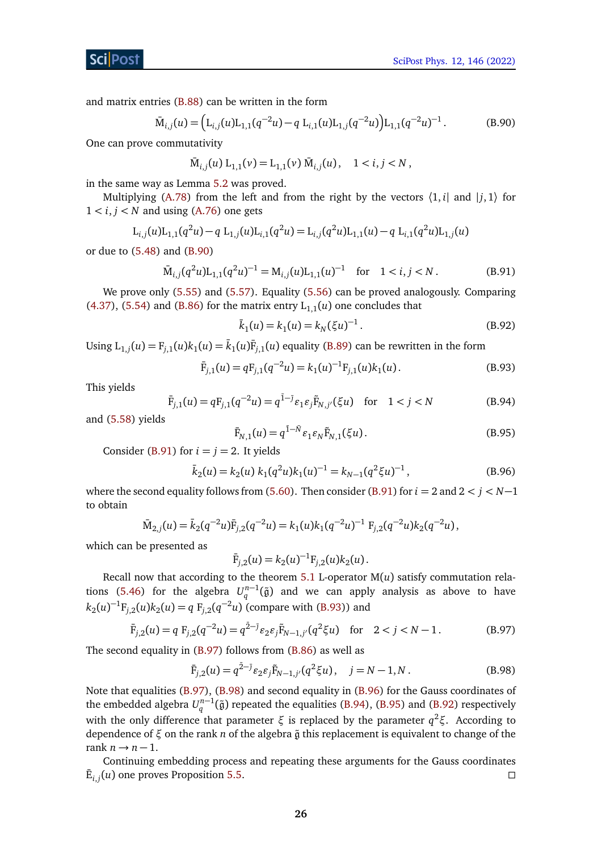and matrix entries [\(B.88\)](#page-24-3) can be written in the form

$$
\bar{M}_{i,j}(u) = \left( L_{i,j}(u) L_{1,1}(q^{-2}u) - q L_{i,1}(u) L_{1,j}(q^{-2}u) \right) L_{1,1}(q^{-2}u)^{-1}.
$$
\n(B.90)

One can prove commutativity

<span id="page-25-1"></span>
$$
\bar{M}_{i,j}(u) L_{1,1}(v) = L_{1,1}(v) \bar{M}_{i,j}(u), \quad 1 < i, j < N,
$$

in the same way as Lemma [5.2](#page-12-0) was proved.

Multiplying [\(A.78\)](#page-22-6) from the left and from the right by the vectors  $\langle 1, i |$  and  $|j, 1 \rangle$  for  $1 < i, j < N$  and using [\(A.76\)](#page-22-2) one gets

$$
L_{i,j}(u)L_{1,1}(q^2u) - q L_{1,j}(u)L_{i,1}(q^2u) = L_{i,j}(q^2u)L_{1,1}(u) - q L_{i,1}(q^2u)L_{1,j}(u)
$$

or due to [\(5.48\)](#page-12-3) and [\(B.90\)](#page-25-1)

<span id="page-25-0"></span>
$$
\overline{M}_{i,j}(q^2u)L_{1,1}(q^2u)^{-1} = M_{i,j}(u)L_{1,1}(u)^{-1} \quad \text{for} \quad 1 < i, j < N. \tag{B.91}
$$

We prove only [\(5.55\)](#page-14-9) and [\(5.57\)](#page-14-2). Equality [\(5.56\)](#page-14-10) can be proved analogously. Comparing [\(4.37\)](#page-9-1), [\(5.54\)](#page-14-1) and [\(B.86\)](#page-24-4) for the matrix entry  $L_{1,1}(u)$  one concludes that

<span id="page-25-8"></span><span id="page-25-2"></span>
$$
\bar{k}_1(u) = k_1(u) = k_N(\xi u)^{-1}.
$$
\n(B.92)

Using  $L_{1,j}(u) = F_{j,1}(u)k_1(u) = \overline{k}_1(u)\overline{F}_{j,1}(u)$  equality [\(B.89\)](#page-24-5) can be rewritten in the form

$$
\bar{F}_{j,1}(u) = qF_{j,1}(q^{-2}u) = k_1(u)^{-1}F_{j,1}(u)k_1(u).
$$
 (B.93)

This yields

<span id="page-25-7"></span><span id="page-25-6"></span>
$$
\bar{F}_{j,1}(u) = qF_{j,1}(q^{-2}u) = q^{\bar{1}-\bar{j}} \varepsilon_1 \varepsilon_j \tilde{F}_{N,j'}(\xi u) \quad \text{for} \quad 1 < j < N \tag{B.94}
$$

and [\(5.58\)](#page-14-7) yields

<span id="page-25-5"></span>
$$
\bar{F}_{N,1}(u) = q^{\bar{1}-\bar{N}} \varepsilon_1 \varepsilon_N \tilde{F}_{N,1}(\xi u).
$$
 (B.95)

Consider [\(B.91\)](#page-25-0) for  $i = j = 2$ . It yields

$$
\bar{k}_2(u) = k_2(u) k_1(q^2 u) k_1(u)^{-1} = k_{N-1}(q^2 \xi u)^{-1}, \tag{B.96}
$$

where the second equality follows from [\(5.60\)](#page-14-3). Then consider [\(B.91\)](#page-25-0) for  $i = 2$  and  $2 < j < N-1$ to obtain

$$
\bar{M}_{2,j}(u) = \bar{k}_2(q^{-2}u)\bar{F}_{j,2}(q^{-2}u) = k_1(u)k_1(q^{-2}u)^{-1} F_{j,2}(q^{-2}u)k_2(q^{-2}u),
$$

which can be presented as

<span id="page-25-4"></span><span id="page-25-3"></span>
$$
\bar{F}_{j,2}(u) = k_2(u)^{-1} F_{j,2}(u) k_2(u).
$$

Recall now that according to the theorem  $5.1$  L-operator  $M(u)$  satisfy commutation rela-tions [\(5.46\)](#page-11-3) for the algebra  $U_q^{n-1}(\tilde{g})$  and we can apply analysis as above to have  $k_2(u)^{-1}F_{j,2}(u)k_2(u) = q F_{j,2}(q^{-2}u)$  (compare with [\(B.93\)](#page-25-2)) and

$$
\bar{F}_{j,2}(u) = q F_{j,2}(q^{-2}u) = q^{\bar{2}-\bar{j}} \varepsilon_2 \varepsilon_j \tilde{F}_{N-1,j'}(q^2 \xi u) \quad \text{for} \quad 2 < j < N-1.
$$
 (B.97)

The second equality in [\(B.97\)](#page-25-3) follows from [\(B.86\)](#page-24-4) as well as

$$
\bar{F}_{j,2}(u) = q^{\bar{2}-\bar{j}} \varepsilon_2 \varepsilon_j \tilde{F}_{N-1,j'}(q^2 \xi u), \quad j = N-1, N. \tag{B.98}
$$

Note that equalities [\(B.97\)](#page-25-3), [\(B.98\)](#page-25-4) and second equality in [\(B.96\)](#page-25-5) for the Gauss coordinates of the embedded algebra  $U_q^{n-1}(\tilde{g})$  repeated the equalities [\(B.94\)](#page-25-6), [\(B.95\)](#page-25-7) and [\(B.92\)](#page-25-8) respectively with the only difference that parameter *ξ* is replaced by the parameter *q* <sup>2</sup>*ξ*. According to dependence of  $ξ$  on the rank *n* of the algebra  $\tilde{g}$  this replacement is equivalent to change of the rank  $n \rightarrow n-1$ .

Continuing embedding process and repeating these arguments for the Gauss coordinates  $\bar{E}_{i,j}(u)$  one proves Proposition [5.5.](#page-14-0)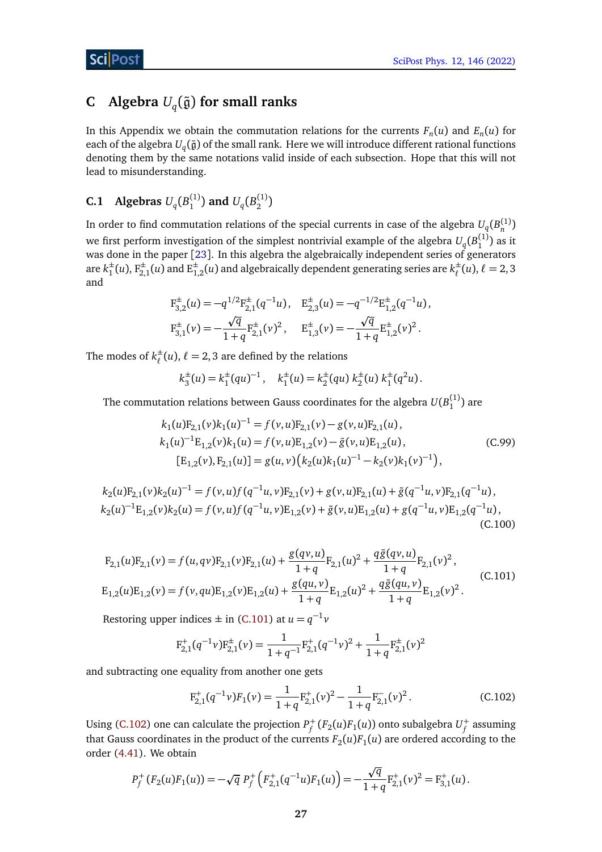# <span id="page-26-0"></span>**C** Algebra  $U_q(\tilde{\mathfrak{g}})$  for small ranks

In this Appendix we obtain the commutation relations for the currents  $F_n(u)$  and  $E_n(u)$  for each of the algebra  $U_q(\tilde{\mathfrak{g}})$  of the small rank. Here we will introduce different rational functions denoting them by the same notations valid inside of each subsection. Hope that this will not lead to misunderstanding.

#### <span id="page-26-1"></span>**C.1 Algebras**  $U_q(B_1^{(1)}$  $U_q(B_2^{(1)})$  and  $U_q(B_2^{(1)})$  $\binom{1}{2}$

In order to find commutation relations of the special currents in case of the algebra  $U_q(B_n^{(1)})$ we first perform investigation of the simplest nontrivial example of the algebra  $U_q(\overline{B}_1^{(1)})$  as it was done in the paper [[23](#page-36-1)]. In this algebra the algebraically independent series of generators are *k* ±  $\frac{1}{1}(u)$ ,  $F_{2,1}^{\pm}(u)$  and  $E_{1,2}^{\pm}(u)$  and algebraically dependent generating series are  $k_{\ell}^{\pm}$  $\ell^{\pm}(\mu), \ell = 2, 3$ and

$$
F_{3,2}^{\pm}(u) = -q^{1/2}F_{2,1}^{\pm}(q^{-1}u), \quad E_{2,3}^{\pm}(u) = -q^{-1/2}E_{1,2}^{\pm}(q^{-1}u),
$$
  

$$
F_{3,1}^{\pm}(v) = -\frac{\sqrt{q}}{1+q}F_{2,1}^{\pm}(v)^2, \quad E_{1,3}^{\pm}(v) = -\frac{\sqrt{q}}{1+q}E_{1,2}^{\pm}(v)^2.
$$

The modes of  $k_{\ell}^{\pm}$  $\ell^{\pm}(u)$ ,  $\ell = 2, 3$  are defined by the relations

<span id="page-26-4"></span>
$$
k_3^{\pm}(u) = k_1^{\pm}(qu)^{-1}, \quad k_1^{\pm}(u) = k_2^{\pm}(qu) k_2^{\pm}(u) k_1^{\pm}(q^2u).
$$

The commutation relations between Gauss coordinates for the algebra  $U(B_1^{(1)})$  are

$$
k_1(u)F_{2,1}(v)k_1(u)^{-1} = f(v,u)F_{2,1}(v) - g(v,u)F_{2,1}(u),
$$
  
\n
$$
k_1(u)^{-1}E_{1,2}(v)k_1(u) = f(v,u)E_{1,2}(v) - \tilde{g}(v,u)E_{1,2}(u),
$$
  
\n
$$
[E_{1,2}(v), F_{2,1}(u)] = g(u,v) (k_2(u)k_1(u)^{-1} - k_2(v)k_1(v)^{-1}),
$$
\n(C.99)

$$
k_2(u)F_{2,1}(v)k_2(u)^{-1} = f(v,u)f(q^{-1}u,v)F_{2,1}(v) + g(v,u)F_{2,1}(u) + \tilde{g}(q^{-1}u,v)F_{2,1}(q^{-1}u),
$$
  
\n
$$
k_2(u)^{-1}E_{1,2}(v)k_2(u) = f(v,u)f(q^{-1}u,v)E_{1,2}(v) + \tilde{g}(v,u)E_{1,2}(u) + g(q^{-1}u,v)E_{1,2}(q^{-1}u),
$$
  
\n(C.100)

<span id="page-26-2"></span>
$$
F_{2,1}(u)F_{2,1}(v) = f(u,qv)F_{2,1}(v)F_{2,1}(u) + \frac{g(qv,u)}{1+q}F_{2,1}(u)^2 + \frac{q\tilde{g}(qv,u)}{1+q}F_{2,1}(v)^2,
$$
  
\n
$$
E_{1,2}(u)E_{1,2}(v) = f(v,qu)E_{1,2}(v)E_{1,2}(u) + \frac{g(qu,v)}{1+q}E_{1,2}(u)^2 + \frac{q\tilde{g}(qu,v)}{1+q}E_{1,2}(v)^2.
$$
\n(C.101)

Restoring upper indices  $\pm$  in [\(C.101\)](#page-26-2) at  $u = q^{-1}v$ 

$$
F_{2,1}^+(q^{-1}\nu)F_{2,1}^{\pm}(\nu) = \frac{1}{1+q^{-1}}F_{2,1}^+(q^{-1}\nu)^2 + \frac{1}{1+q}F_{2,1}^{\pm}(\nu)^2
$$

and subtracting one equality from another one gets

<span id="page-26-3"></span>
$$
F_{2,1}^+(q^{-1}\nu)F_1(\nu) = \frac{1}{1+q}F_{2,1}^+(\nu)^2 - \frac{1}{1+q}F_{2,1}^-(\nu)^2.
$$
 (C.102)

Using [\(C.102\)](#page-26-3) one can calculate the projection  $P_f^+(F_2(u)F_1(u))$  onto subalgebra  $U_f^+$  assuming that Gauss coordinates in the product of the currents  $F_2(u)F_1(u)$  are ordered according to the order [\(4.41\)](#page-10-3). We obtain

$$
P_f^+(F_2(u)F_1(u)) = -\sqrt{q} P_f^+\left(F_{2,1}^+(q^{-1}u)F_1(u)\right) = -\frac{\sqrt{q}}{1+q}F_{2,1}^+(v)^2 = F_{3,1}^+(u).
$$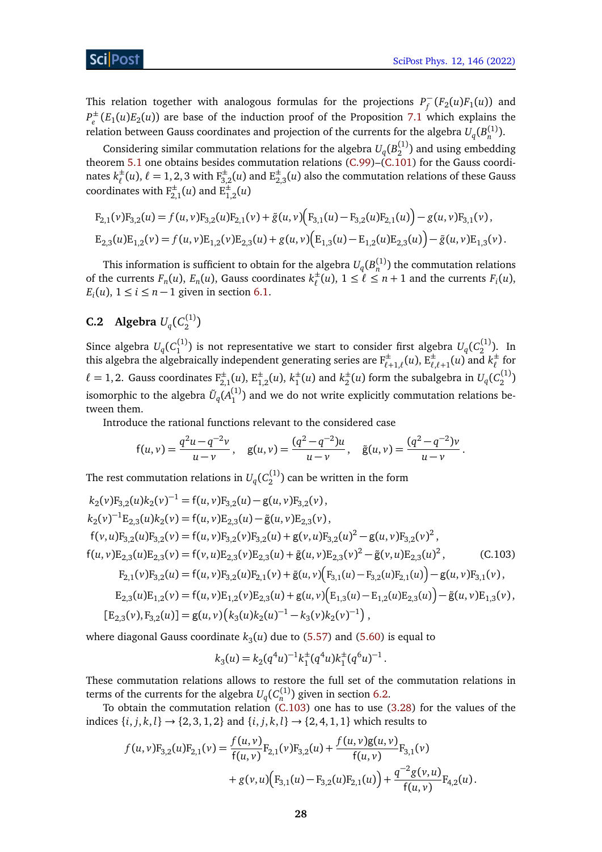This relation together with analogous formulas for the projections  $P_{\epsilon}^$  $f_f^{\top}$  $(F_2(u)F_1(u))$  and  $P_{\rho}^{\pm}$  $e^{\pm}_e(E_1(u)E_2(u))$  are base of the induction proof of the Proposition [7.1](#page-21-0) which explains the relation between Gauss coordinates and projection of the currents for the algebra  $U_q(B_n^{(1)}).$ 

Considering similar commutation relations for the algebra  $U_q(B_2^{(1)})$  and using embedding theorem [5.1](#page-11-2) one obtains besides commutation relations  $(C.99)$ – $(C.101)$  for the Gauss coordinates  $k_{\ell}^{\pm}$  $^{\pm}_{\ell}(u),$   $\ell = 1,2,3$  with  $\mathrm{F}^{\pm}_{3,2}(u)$  and  $\mathrm{E}^{\pm}_{2,3}(u)$  also the commutation relations of these Gauss coordinates with  $F_{2,1}^{\pm}(u)$  and  $F_{1,2}^{\pm}(u)$ 

$$
F_{2,1}(v)F_{3,2}(u) = f(u, v)F_{3,2}(u)F_{2,1}(v) + \tilde{g}(u, v)\Big(F_{3,1}(u) - F_{3,2}(u)F_{2,1}(u)\Big) - g(u, v)F_{3,1}(v),
$$
  
\n
$$
E_{2,3}(u)E_{1,2}(v) = f(u, v)E_{1,2}(v)E_{2,3}(u) + g(u, v)\Big(E_{1,3}(u) - E_{1,2}(u)E_{2,3}(u)\Big) - \tilde{g}(u, v)E_{1,3}(v).
$$

This information is sufficient to obtain for the algebra  $U_q(B_n^{(1)})$  the commutation relations of the currents  $F_n(u)$ ,  $E_n(u)$ , Gauss coordinates  $k_{\ell}^{\pm}$  $\ell^{\pm}(u)$ ,  $1 \leq \ell \leq n+1$  and the currents  $F_i(u)$ ,  $E_i(u)$ ,  $1 \le i \le n-1$  given in section [6.1.](#page-16-0)

#### <span id="page-27-0"></span>**C.2** Algebra  $U_q(C_2^{(1)})$  $\binom{1}{2}$

Since algebra  $U_q(C_1^{(1)})$  is not representative we start to consider first algebra  $U_q(C_2^{(1)})$ . In this algebra the algebraically independent generating series are  $F_{\ell+1,\ell}^{\pm}(u)$ ,  $E_{\ell,\ell+1}^{\pm}(u)$  and  $k_{\ell}^{\pm}$ *`* for  $\ell = 1, 2$ . Gauss coordinates  $F_{2,1}^{\pm}(u)$ ,  $E_{1,2}^{\pm}(u)$ ,  $k_1^{\pm}$  $h_1^{\pm}(u)$  and  $k_2^{\pm}$  $\frac{1}{2}(u)$  form the subalgebra in  $U_q(C_2^{(1)})$ isomorphic to the algebra  $\tilde{U}_q(A_1^{(1)})$  and we do not write explicitly commutation relations between them.

Introduce the rational functions relevant to the considered case

$$
f(u, v) = \frac{q^2u - q^{-2}v}{u - v}, \quad g(u, v) = \frac{(q^2 - q^{-2})u}{u - v}, \quad \tilde{g}(u, v) = \frac{(q^2 - q^{-2})v}{u - v}.
$$

The rest commutation relations in  $U_q(C_2^{(1)})$  can be written in the form

$$
k_{2}(v)F_{3,2}(u)k_{2}(v)^{-1} = f(u, v)F_{3,2}(u) - g(u, v)F_{3,2}(v),
$$
  
\n
$$
k_{2}(v)^{-1}E_{2,3}(u)k_{2}(v) = f(u, v)E_{2,3}(u) - \tilde{g}(u, v)E_{2,3}(v),
$$
  
\n
$$
f(v, u)F_{3,2}(u)F_{3,2}(v) = f(u, v)F_{3,2}(v)F_{3,2}(u) + g(v, u)F_{3,2}(u)^{2} - g(u, v)F_{3,2}(v)^{2},
$$
  
\n
$$
f(u, v)E_{2,3}(u)E_{2,3}(v) = f(v, u)E_{2,3}(v)E_{2,3}(u) + \tilde{g}(u, v)E_{2,3}(v)^{2} - \tilde{g}(v, u)E_{2,3}(u)^{2},
$$
  
\n
$$
F_{2,1}(v)F_{3,2}(u) = f(u, v)F_{3,2}(u)F_{2,1}(v) + \tilde{g}(u, v)\left(F_{3,1}(u) - F_{3,2}(u)F_{2,1}(u)\right) - g(u, v)F_{3,1}(v),
$$
  
\n
$$
E_{2,3}(u)E_{1,2}(v) = f(u, v)E_{1,2}(v)E_{2,3}(u) + g(u, v)\left(F_{1,3}(u) - F_{1,2}(u)E_{2,3}(u)\right) - \tilde{g}(u, v)F_{1,3}(v),
$$
  
\n
$$
[E_{2,3}(v), F_{3,2}(u)] = g(u, v)\left(k_{3}(u)k_{2}(u)^{-1} - k_{3}(v)k_{2}(v)^{-1}\right),
$$

where diagonal Gauss coordinate  $k_3(u)$  due to [\(5.57\)](#page-14-2) and [\(5.60\)](#page-14-3) is equal to

<span id="page-27-1"></span>
$$
k_3(u) = k_2(q^4u)^{-1}k_1^{\pm}(q^4u)k_1^{\pm}(q^6u)^{-1}.
$$

These commutation relations allows to restore the full set of the commutation relations in terms of the currents for the algebra  $U_q(C_n^{(1)})$  given in section [6.2.](#page-17-0)

To obtain the commutation relation [\(C.103\)](#page-27-1) one has to use [\(3.28\)](#page-6-0) for the values of the indices {*i*, *j*, *k*, *l*} → {2, 3, 1, 2} and {*i*, *j*, *k*, *l*} → {2, 4, 1, 1} which results to

$$
f(u, v)F_{3,2}(u)F_{2,1}(v) = \frac{f(u, v)}{f(u, v)}F_{2,1}(v)F_{3,2}(u) + \frac{f(u, v)g(u, v)}{f(u, v)}F_{3,1}(v) + g(v, u)\Big(F_{3,1}(u) - F_{3,2}(u)F_{2,1}(u)\Big) + \frac{q^{-2}g(v, u)}{f(u, v)}F_{4,2}(u).
$$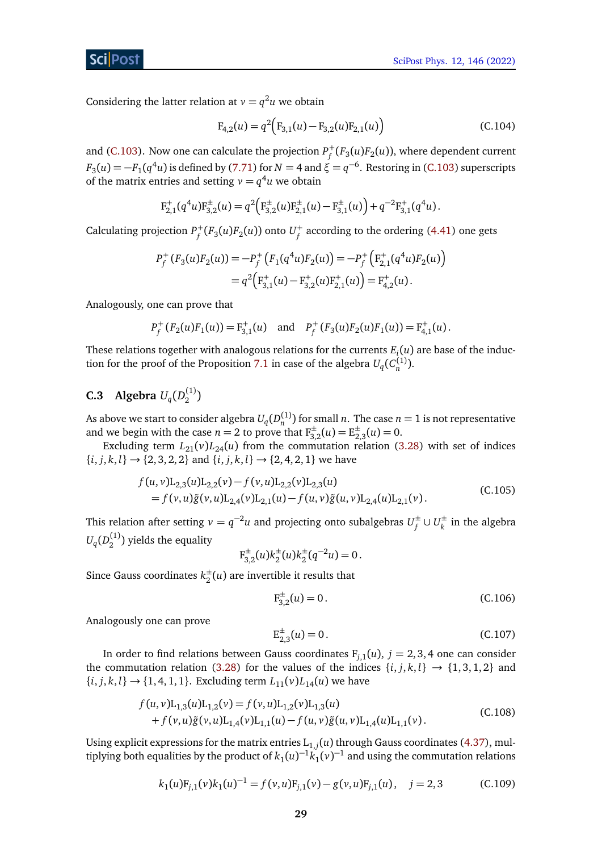Considering the latter relation at  $v = q^2 u$  we obtain

$$
F_{4,2}(u) = q^2 \Big( F_{3,1}(u) - F_{3,2}(u) F_{2,1}(u) \Big)
$$
 (C.104)

and [\(C.103\)](#page-27-1). Now one can calculate the projection  $P_f^+(F_3(u)F_2(u))$ , where dependent current  $F_3(u) = -F_1(q^4u)$  is defined by [\(7.71\)](#page-20-1) for  $N=4$  and  $\xi=q^{-6}$ . Restoring in [\(C.103\)](#page-27-1) superscripts of the matrix entries and setting  $v = q^4 u$  we obtain

$$
F_{2,1}^+(q^4u)F_{3,2}^{\pm}(u) = q^2\Big(F_{3,2}^{\pm}(u)F_{2,1}^{\pm}(u) - F_{3,1}^{\pm}(u)\Big) + q^{-2}F_{3,1}^+(q^4u).
$$

Calculating projection  $P_f^+(F_3(u)F_2(u))$  onto  $U_f^+$  according to the ordering [\(4.41\)](#page-10-3) one gets

$$
P_f^+(F_3(u)F_2(u)) = -P_f^+(F_1(q^4u)F_2(u)) = -P_f^+\left(F_{2,1}^+(q^4u)F_2(u)\right)
$$
  
=  $q^2\left(F_{3,1}^+(u) - F_{3,2}^+(u)F_{2,1}^+(u)\right) = F_{4,2}^+(u).$ 

Analogously, one can prove that

$$
P_f^+(F_2(u)F_1(u)) = F_{3,1}^+(u) \quad \text{and} \quad P_f^+(F_3(u)F_2(u)F_1(u)) = F_{4,1}^+(u).
$$

These relations together with analogous relations for the currents  $E_i(u)$  are base of the induc-tion for the proof of the Proposition [7.1](#page-21-0) in case of the algebra  $U_q(C_n^{(1)})$ .

#### <span id="page-28-0"></span>**C.3** Algebra  $U_q(D_2^{(1)})$  $\binom{1}{2}$

As above we start to consider algebra  $U_q(D_n^{(1)})$  for small *n*. The case  $n=1$  is not representative and we begin with the case  $n = 2$  to prove that  $F_{3,2}^{\pm}(u) = E_{2,3}^{\pm}(u) = 0$ .

Excluding term  $L_{21}(v)L_{24}(u)$  from the commutation relation [\(3.28\)](#page-6-0) with set of indices  ${i, j, k, l} \rightarrow {2, 3, 2, 2}$  and  ${i, j, k, l} \rightarrow {2, 4, 2, 1}$  we have

$$
f(u, v)L_{2,3}(u)L_{2,2}(v) - f(v, u)L_{2,2}(v)L_{2,3}(u)
$$
  
=  $f(v, u)\tilde{g}(v, u)L_{2,4}(v)L_{2,1}(u) - f(u, v)\tilde{g}(u, v)L_{2,4}(u)L_{2,1}(v)$ . (C.105)

This relation after setting  $v = q^{-2}u$  and projecting onto subalgebras  $U_f^{\pm}$  $f^{\pm}$  ∪  $U^{\pm}_k$  $\frac{1}{k}$  in the algebra  $U_q(D_2^{(1)})$  yields the equality

$$
F_{3,2}^{\pm}(u)k_2^{\pm}(u)k_2^{\pm}(q^{-2}u) = 0.
$$

Since Gauss coordinates *k* ±  $\frac{1}{2}(u)$  are invertible it results that

<span id="page-28-2"></span>
$$
F_{3,2}^{\pm}(u) = 0. \tag{C.106}
$$

Analogously one can prove

<span id="page-28-1"></span>
$$
E_{2,3}^{\pm}(u) = 0. \tag{C.107}
$$

In order to find relations between Gauss coordinates  $F_{j,1}(u)$ ,  $j = 2, 3, 4$  one can consider the commutation relation [\(3.28\)](#page-6-0) for the values of the indices  $\{i, j, k, l\} \rightarrow \{1, 3, 1, 2\}$  and  ${i, j, k, l} \rightarrow {1, 4, 1, 1}.$  Excluding term  $L_{11}(v)L_{14}(u)$  we have

$$
f(u, v)L_{1,3}(u)L_{1,2}(v) = f(v, u)L_{1,2}(v)L_{1,3}(u)
$$
  
+  $f(v, u)\tilde{g}(v, u)L_{1,4}(v)L_{1,1}(u) - f(u, v)\tilde{g}(u, v)L_{1,4}(u)L_{1,1}(v)$ . (C.108)

<span id="page-28-3"></span>Using explicit expressions for the matrix entries  $\mathrm{L}_{1,j}(u)$  through Gauss coordinates [\(4.37\)](#page-9-1), multiplying both equalities by the product of  $k_1(u)^{-1}$ ,  $k_1(v)^{-1}$  and using the commutation relations

$$
k_1(u)F_{j,1}(v)k_1(u)^{-1} = f(v,u)F_{j,1}(v) - g(v,u)F_{j,1}(u), \quad j = 2,3
$$
 (C.109)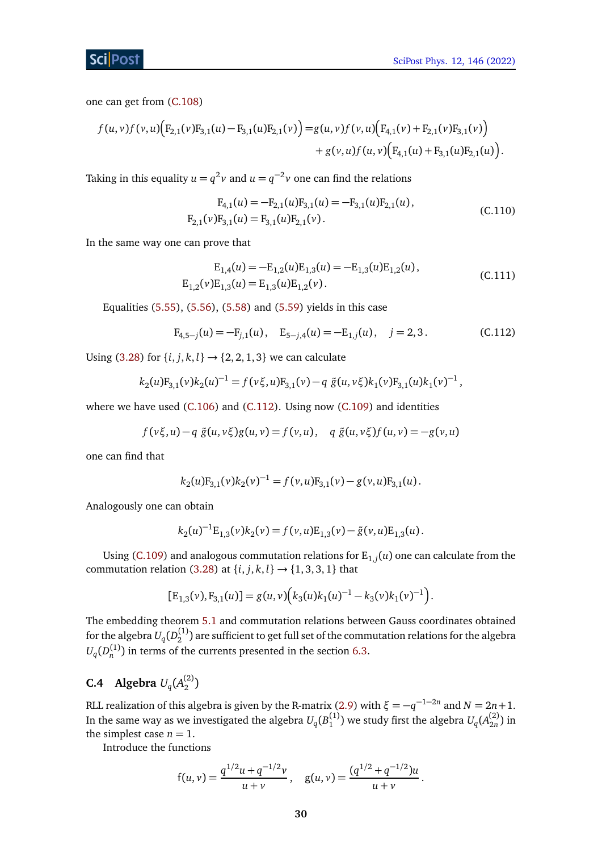one can get from [\(C.108\)](#page-28-1)

$$
f(u, v) f(v, u) (F_{2,1}(v)F_{3,1}(u) - F_{3,1}(u)F_{2,1}(v)) = g(u, v) f(v, u) (F_{4,1}(v) + F_{2,1}(v)F_{3,1}(v)) + g(v, u) f(u, v) (F_{4,1}(u) + F_{3,1}(u)F_{2,1}(u)).
$$

Taking in this equality  $u = q^2 v$  and  $u = q^{-2} v$  one can find the relations

<span id="page-29-2"></span><span id="page-29-1"></span>
$$
F_{4,1}(u) = -F_{2,1}(u)F_{3,1}(u) = -F_{3,1}(u)F_{2,1}(u),
$$
  
\n
$$
F_{2,1}(v)F_{3,1}(u) = F_{3,1}(u)F_{2,1}(v).
$$
\n(C.110)

In the same way one can prove that

<span id="page-29-3"></span>
$$
E_{1,4}(u) = -E_{1,2}(u)E_{1,3}(u) = -E_{1,3}(u)E_{1,2}(u),
$$
  
\n
$$
E_{1,2}(v)E_{1,3}(u) = E_{1,3}(u)E_{1,2}(v).
$$
\n(C.111)

Equalities [\(5.55\)](#page-14-9), [\(5.56\)](#page-14-10), [\(5.58\)](#page-14-7) and [\(5.59\)](#page-14-8) yields in this case

$$
F_{4,5-j}(u) = -F_{j,1}(u), \quad E_{5-j,4}(u) = -E_{1,j}(u), \quad j = 2,3.
$$
 (C.112)

Using [\(3.28\)](#page-6-0) for  $\{i, j, k, l\} \rightarrow \{2, 2, 1, 3\}$  we can calculate

$$
k_2(u)F_{3,1}(v)k_2(u)^{-1} = f(v\xi, u)F_{3,1}(v) - q \tilde{g}(u, v\xi)k_1(v)F_{3,1}(u)k_1(v)^{-1},
$$

where we have used [\(C.106\)](#page-28-2) and [\(C.112\)](#page-29-3). Using now [\(C.109\)](#page-28-3) and identities

$$
f(v\xi, u) - q \tilde{g}(u, v\xi)g(u, v) = f(v, u), \quad q \tilde{g}(u, v\xi)f(u, v) = -g(v, u)
$$

one can find that

$$
k_2(u)F_{3,1}(v)k_2(v)^{-1} = f(v,u)F_{3,1}(v) - g(v,u)F_{3,1}(u).
$$

Analogously one can obtain

$$
k_2(u)^{-1} \mathcal{E}_{1,3}(v) k_2(v) = f(v, u) \mathcal{E}_{1,3}(v) - \tilde{g}(v, u) \mathcal{E}_{1,3}(u).
$$

Using [\(C.109\)](#page-28-3) and analogous commutation relations for  $E_{1,j}(u)$  one can calculate from the commutation relation [\(3.28\)](#page-6-0) at  $\{i, j, k, l\} \rightarrow \{1, 3, 3, 1\}$  that

$$
[E_{1,3}(v), F_{3,1}(u)] = g(u, v) \Big( k_3(u) k_1(u)^{-1} - k_3(v) k_1(v)^{-1} \Big).
$$

The embedding theorem [5.1](#page-11-2) and commutation relations between Gauss coordinates obtained for the algebra  $U_q(D_2^{(1)})$  are sufficient to get full set of the commutation relations for the algebra  $U_q(D_n^{(1)})$  in terms of the currents presented in the section [6.3.](#page-17-1)

#### <span id="page-29-0"></span>**C.4 Algebra**  $U_q(A_2^{(2)}$  $\binom{2}{2}$

RLL realization of this algebra is given by the R-matrix [\(2.9\)](#page-3-3) with  $\xi = -q^{-1-2n}$  and  $N = 2n + 1$ . In the same way as we investigated the algebra  $U_q(B_1^{(1)})$  we study first the algebra  $U_q(A_{2n}^{(2)}$  $\binom{2}{2n}$  in the simplest case  $n = 1$ .

Introduce the functions

$$
f(u, v) = \frac{q^{1/2}u + q^{-1/2}v}{u + v}, \quad g(u, v) = \frac{(q^{1/2} + q^{-1/2})u}{u + v}.
$$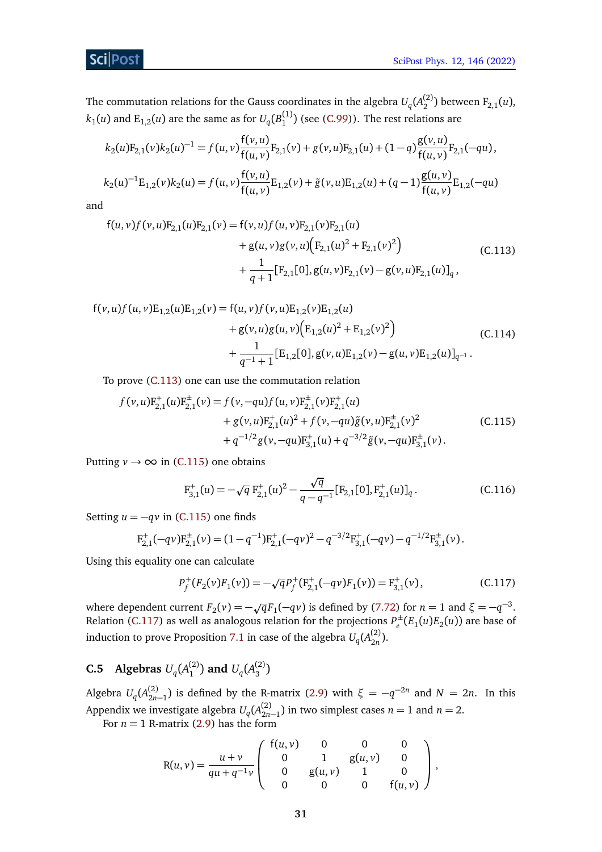The commutation relations for the Gauss coordinates in the algebra  $U_q(A_2^{(2)})$  between  $F_{2,1}(u)$ ,  $k_1(u)$  and  $\mathrm{E}_{1,2}(u)$  are the same as for  $U_q(B_1^{(1)})$  (see [\(C.99\)](#page-26-4)). The rest relations are

$$
k_2(u)F_{2,1}(v)k_2(u)^{-1} = f(u,v)\frac{f(v,u)}{f(u,v)}F_{2,1}(v) + g(v,u)F_{2,1}(u) + (1-q)\frac{g(v,u)}{f(u,v)}F_{2,1}(-qu),
$$
  

$$
k_2(u)^{-1}E_{1,2}(v)k_2(u) = f(u,v)\frac{f(v,u)}{f(u,v)}E_{1,2}(v) + \tilde{g}(v,u)E_{1,2}(u) + (q-1)\frac{g(u,v)}{f(u,v)}E_{1,2}(-qu)
$$

and

<span id="page-30-1"></span>
$$
f(u, v)f(v, u)F_{2,1}(u)F_{2,1}(v) = f(v, u)f(u, v)F_{2,1}(v)F_{2,1}(u) + g(u, v)g(v, u)\Big(F_{2,1}(u)^{2} + F_{2,1}(v)^{2}\Big) + \frac{1}{q+1}[F_{2,1}[0], g(u, v)F_{2,1}(v) - g(v, u)F_{2,1}(u)]_{q},
$$
(C.113)

$$
f(v, u) f (u, v) E_{1,2}(u) E_{1,2}(v) = f(u, v) f(v, u) E_{1,2}(v) E_{1,2}(u)
$$
  
+  $g(v, u) g(u, v) (E_{1,2}(u)^2 + E_{1,2}(v)^2)$   
+  $\frac{1}{q^{-1} + 1} [E_{1,2}[0], g(v, u) E_{1,2}(v) - g(u, v) E_{1,2}(u)]_{q^{-1}}.$  (C.114)

To prove [\(C.113\)](#page-30-1) one can use the commutation relation

$$
f(v, u)F_{2,1}^{+}(u)F_{2,1}^{+}(v) = f(v, -qu)f(u, v)F_{2,1}^{+}(v)F_{2,1}^{+}(u) + g(v, u)F_{2,1}^{+}(u)^{2} + f(v, -qu)\tilde{g}(v, u)F_{2,1}^{+}(v)^{2} + q^{-1/2}g(v, -qu)F_{3,1}^{+}(u) + q^{-3/2}\tilde{g}(v, -qu)F_{3,1}^{+}(v).
$$
 (C.115)

Putting  $v \rightarrow \infty$  in [\(C.115\)](#page-30-2) one obtains

<span id="page-30-2"></span>
$$
F_{3,1}^{+}(u) = -\sqrt{q} F_{2,1}^{+}(u)^{2} - \frac{\sqrt{q}}{q - q^{-1}} [F_{2,1}[0], F_{2,1}^{+}(u)]_{q}.
$$
 (C.116)

Setting  $u = -qv$  in [\(C.115\)](#page-30-2) one finds

$$
F_{2,1}^+(-qv)F_{2,1}^{\pm}(\nu) = (1-q^{-1})F_{2,1}^+(-qv)^2 - q^{-3/2}F_{3,1}^+(-qv) - q^{-1/2}F_{3,1}^{\pm}(\nu).
$$

Using this equality one can calculate

<span id="page-30-3"></span>
$$
P_f^+(F_2(\nu)F_1(\nu)) = -\sqrt{q}P_f^+(F_{2,1}^+(-q\nu)F_1(\nu)) = F_{3,1}^+(\nu), \qquad (C.117)
$$

where dependent current  $F_2(v) = -\sqrt{q}F_1(-qv)$  is defined by [\(7.72\)](#page-20-2) for  $n = 1$  and  $\xi = -q^{-3}$ . Relation [\(C.117\)](#page-30-3) as well as analogous relation for the projections  $P_e^{\pm}$  $e^{\pm}$  $(E_1(u)E_2(u))$  are base of induction to prove Proposition [7.1](#page-21-0) in case of the algebra  $U_q(A_{2n}^{(2)})$  $\binom{2}{2n}$ .

#### <span id="page-30-0"></span>**C.5 Algebras**  $U_q(A_1^{(2)}$  $U_q(A_3^{(2)})$  and  $U_q(A_3^{(2)})$  $\binom{(-)}{3}$

Algebra  $U_q(A_{2n-1}^{(2)})$  is defined by the R-matrix [\(2.9\)](#page-3-3) with  $\xi = -q^{-2n}$  and  $N = 2n$ . In this Appendix we investigate algebra  $U_q(A_{2n-1}^{(2)})$  in two simplest cases  $n=1$  and  $n=2$ .

For  $n = 1$  R-matrix [\(2.9\)](#page-3-3) has the form

$$
R(u,v) = \frac{u+v}{qu+q^{-1}v} \begin{pmatrix} f(u,v) & 0 & 0 & 0 \ 0 & 1 & g(u,v) & 0 \ 0 & g(u,v) & 1 & 0 \ 0 & 0 & 0 & f(u,v) \end{pmatrix},
$$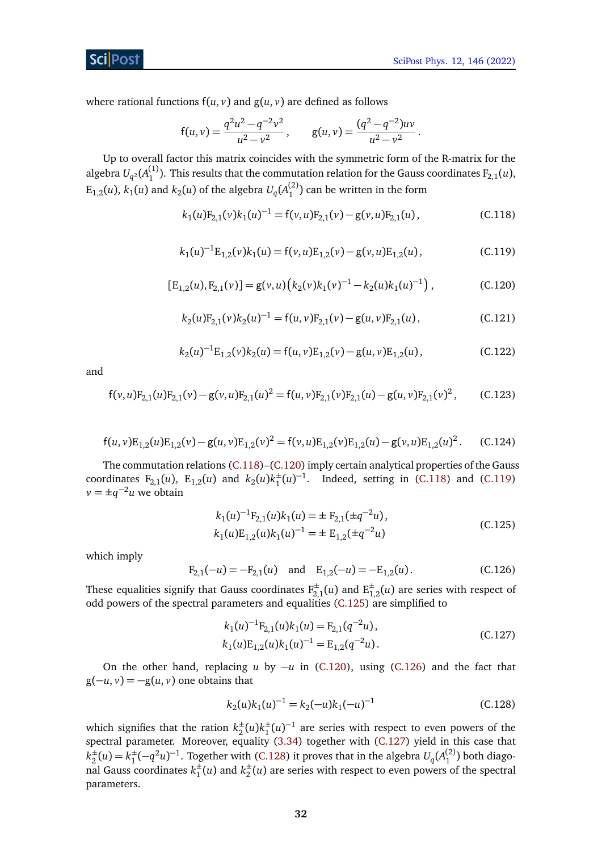where rational functions  $f(u, v)$  and  $g(u, v)$  are defined as follows

$$
f(u, v) = \frac{q^2u^2 - q^{-2}v^2}{u^2 - v^2}
$$
,  $g(u, v) = \frac{(q^2 - q^{-2})uv}{u^2 - v^2}$ .

<span id="page-31-2"></span>Up to overall factor this matrix coincides with the symmetric form of the R-matrix for the algebra  $U_{q^2}(A_1^{(1)})$ . This results that the commutation relation for the Gauss coordinates  $F_{2,1}(u)$ ,  $E_{1,2}(u)$ ,  $k_1(u)$  and  $k_2(u)$  of the algebra  $U_q(A_1^{(2)})$  can be written in the form

<span id="page-31-0"></span>
$$
k_1(u)F_{2,1}(v)k_1(u)^{-1} = f(v,u)F_{2,1}(v) - g(v,u)F_{2,1}(u),
$$
\n(C.118)

$$
k_1(u)^{-1}E_{1,2}(v)k_1(u) = f(v,u)E_{1,2}(v) - g(v,u)E_{1,2}(u),
$$
\n(C.119)

<span id="page-31-1"></span>
$$
[E_{1,2}(u), F_{2,1}(v)] = g(v, u) (k_2(v)k_1(v)^{-1} - k_2(u)k_1(u)^{-1}), \qquad (C.120)
$$

$$
k_2(u)F_{2,1}(v)k_2(u)^{-1} = f(u,v)F_{2,1}(v) - g(u,v)F_{2,1}(u),
$$
\n(C.121)

$$
k_2(u)^{-1}E_{1,2}(v)k_2(u) = f(u,v)E_{1,2}(v) - g(u,v)E_{1,2}(u),
$$
\n(C.122)

and

<span id="page-31-7"></span>
$$
f(v, u)F_{2,1}(u)F_{2,1}(v) - g(v, u)F_{2,1}(u)^2 = f(u, v)F_{2,1}(v)F_{2,1}(u) - g(u, v)F_{2,1}(v)^2,
$$
 (C.123)

$$
f(u, v)E_{1,2}(u)E_{1,2}(v) - g(u, v)E_{1,2}(v)^2 = f(v, u)E_{1,2}(v)E_{1,2}(u) - g(v, u)E_{1,2}(u)^2.
$$
 (C.124)

The commutation relations [\(C.118\)](#page-31-0)–[\(C.120\)](#page-31-1) imply certain analytical properties of the Gauss coordinates  $F_{2,1}(u)$ ,  $E_{1,2}(u)$  and  $k_2(u)k_1^{\pm}$  $_{1}^{\pm}$ (*u*)<sup>-1</sup>. Indeed, setting in [\(C.118\)](#page-31-0) and [\(C.119\)](#page-31-2)  $v = \pm q^{-2}u$  we obtain

<span id="page-31-3"></span>
$$
k_1(u)^{-1}F_{2,1}(u)k_1(u) = \pm F_{2,1}(\pm q^{-2}u),
$$
  
\n
$$
k_1(u)E_{1,2}(u)k_1(u)^{-1} = \pm E_{1,2}(\pm q^{-2}u)
$$
\n(C.125)

which imply

<span id="page-31-4"></span>
$$
F_{2,1}(-u) = -F_{2,1}(u)
$$
 and  $E_{1,2}(-u) = -E_{1,2}(u)$ . (C.126)

These equalities signify that Gauss coordinates  $F^\pm_{2,1}(u)$  and  $E^\pm_{1,2}(u)$  are series with respect of odd powers of the spectral parameters and equalities  $(C.125)$  are simplified to

<span id="page-31-5"></span>
$$
k_1(u)^{-1}F_{2,1}(u)k_1(u) = F_{2,1}(q^{-2}u),
$$
  
\n
$$
k_1(u)E_{1,2}(u)k_1(u)^{-1} = E_{1,2}(q^{-2}u).
$$
\n(C.127)

On the other hand, replacing *u* by −*u* in [\(C.120\)](#page-31-1), using [\(C.126\)](#page-31-4) and the fact that  $g(-u, v) = -g(u, v)$  one obtains that

<span id="page-31-6"></span>
$$
k_2(u)k_1(u)^{-1} = k_2(-u)k_1(-u)^{-1}
$$
\n(C.128)

which signifies that the ration  $k_2^{\pm}$  $_{2}^{\pm}(u)k_{1}^{\pm}$  $\frac{1}{1}(u)^{-1}$  are series with respect to even powers of the spectral parameter. Moreover, equality [\(3.34\)](#page-9-4) together with [\(C.127\)](#page-31-5) yield in this case that  $k_2^{\pm}$  $2^{\pm}(u) = k_1^{\pm}$  $\pm$ <sup>1</sup>(− $q^2u$ )<sup>−1</sup>. Together with [\(C.128\)](#page-31-6) it proves that in the algebra  $U_q(A_1^{(2)})$  both diagonal Gauss coordinates  $k_1^{\pm}$  $\frac{1}{1}(u)$  and  $k_2^{\pm}$  $2^{\pm}(u)$  are series with respect to even powers of the spectral parameters.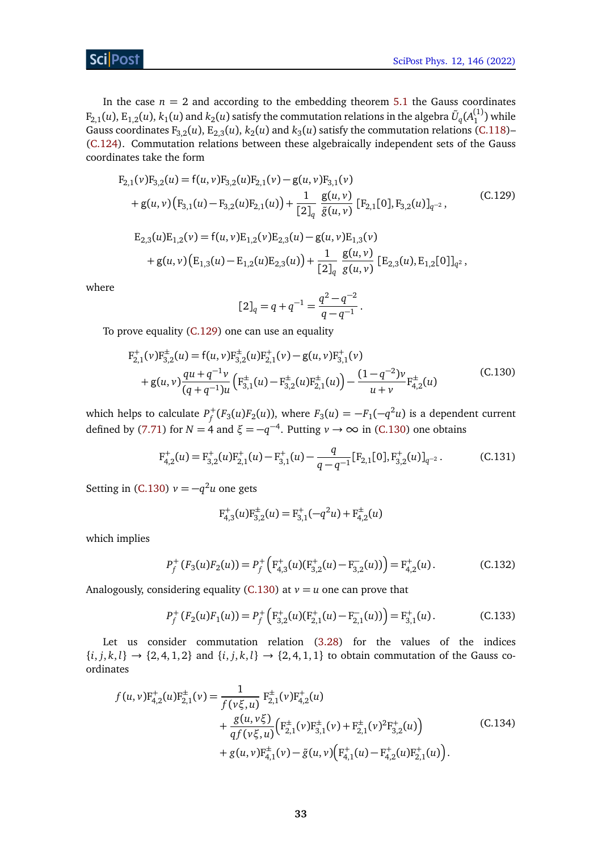In the case  $n = 2$  and according to the embedding theorem [5.1](#page-11-2) the Gauss coordinates  $F_{2,1}(u)$ ,  $E_{1,2}(u)$ ,  $k_1(u)$  and  $k_2(u)$  satisfy the commutation relations in the algebra  $\tilde{U}_q(A_1^{(1)})$  while Gauss coordinates  $F_{3,2}(u)$ ,  $E_{2,3}(u)$ ,  $k_2(u)$  and  $k_3(u)$  satisfy the commutation relations [\(C.118\)](#page-31-0)– [\(C.124\)](#page-31-7). Commutation relations between these algebraically independent sets of the Gauss coordinates take the form

<span id="page-32-0"></span>
$$
F_{2,1}(v)F_{3,2}(u) = f(u, v)F_{3,2}(u)F_{2,1}(v) - g(u, v)F_{3,1}(v)
$$
  
+  $g(u, v) (F_{3,1}(u) - F_{3,2}(u)F_{2,1}(u)) + \frac{1}{[2]_q} \frac{g(u, v)}{\tilde{g}(u, v)} [F_{2,1}[0], F_{3,2}(u)]_{q^{-2}},$   

$$
E_{2,3}(u)E_{1,2}(v) = f(u, v)E_{1,2}(v)E_{2,3}(u) - g(u, v)E_{1,3}(v)
$$
  
+  $g(u, v) (E_{1,3}(u) - E_{1,2}(u)E_{2,3}(u)) + \frac{1}{[2]_q} \frac{g(u, v)}{g(u, v)} [E_{2,3}(u), E_{1,2}[0]]_{q^2},$  (C.129)

where

<span id="page-32-1"></span>
$$
[2]_q = q + q^{-1} = \frac{q^2 - q^{-2}}{q - q^{-1}}.
$$

To prove equality [\(C.129\)](#page-32-0) one can use an equality

$$
F_{2,1}^{+}(v)F_{3,2}^{+}(u) = f(u,v)F_{3,2}^{+}(u)F_{2,1}^{+}(v) - g(u,v)F_{3,1}^{+}(v) + g(u,v)\frac{qu + q^{-1}v}{(q+q^{-1})u} \left( F_{3,1}^{+}(u) - F_{3,2}^{+}(u)F_{2,1}^{+}(u) \right) - \frac{(1-q^{-2})v}{u+v}F_{4,2}^{+}(u)
$$
(C.130)

which helps to calculate  $P_f^+(F_3(u)F_2(u))$ , where  $F_3(u) = -F_1(-q^2u)$  is a dependent current defined by [\(7.71\)](#page-20-1) for  $N = 4$  and  $\xi = -q^{-4}$ . Putting  $\nu \to \infty$  in [\(C.130\)](#page-32-1) one obtains

$$
F_{4,2}^{+}(u) = F_{3,2}^{+}(u)F_{2,1}^{+}(u) - F_{3,1}^{+}(u) - \frac{q}{q - q^{-1}}[F_{2,1}[0], F_{3,2}^{+}(u)]_{q^{-2}}.
$$
 (C.131)

Setting in [\(C.130\)](#page-32-1)  $v = -q^2u$  one gets

<span id="page-32-4"></span>
$$
F_{4,3}^+(u)F_{3,2}^{\pm}(u) = F_{3,1}^+(-q^2u) + F_{4,2}^{\pm}(u)
$$

which implies

<span id="page-32-3"></span>
$$
P_f^+(F_3(u)F_2(u)) = P_f^+\left(F_{4,3}^+(u)(F_{3,2}^+(u) - F_{3,2}^-(u))\right) = F_{4,2}^+(u).
$$
 (C.132)

Analogously, considering equality [\(C.130\)](#page-32-1) at  $v = u$  one can prove that

$$
P_f^+(F_2(u)F_1(u)) = P_f^+\left(F_{3,2}^+(u)(F_{2,1}^+(u) - F_{2,1}^-(u))\right) = F_{3,1}^+(u).
$$
 (C.133)

Let us consider commutation relation [\(3.28\)](#page-6-0) for the values of the indices  $\{i, j, k, l\} \rightarrow \{2, 4, 1, 2\}$  and  $\{i, j, k, l\} \rightarrow \{2, 4, 1, 1\}$  to obtain commutation of the Gauss coordinates

<span id="page-32-2"></span>
$$
f(u, v)F_{4,2}^{+}(u)F_{2,1}^{+}(v) = \frac{1}{f(v\xi, u)} F_{2,1}^{+}(v)F_{4,2}^{+}(u) + \frac{g(u, v\xi)}{qf(v\xi, u)} \Big( F_{2,1}^{+}(v)F_{3,1}^{+}(v) + F_{2,1}^{+}(v)^{2}F_{3,2}^{+}(u) \Big) + g(u, v)F_{4,1}^{+}(v) - \tilde{g}(u, v) \Big( F_{4,1}^{+}(u) - F_{4,2}^{+}(u)F_{2,1}^{+}(u) \Big).
$$
 (C.134)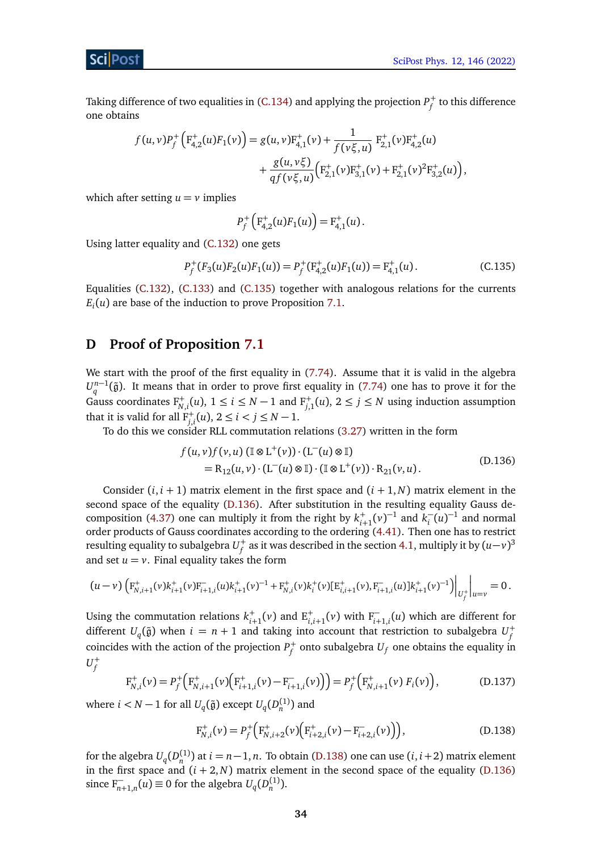Taking difference of two equalities in [\(C.134\)](#page-32-2) and applying the projection  $P^+_f$  to this difference one obtains

$$
f(u,v)P_f^+\left(F_{4,2}^+(u)F_1(v)\right) = g(u,v)F_{4,1}^+(v) + \frac{1}{f(v\xi,u)} F_{2,1}^+(v)F_{4,2}^+(u) + \frac{g(u,v\xi)}{qf(v\xi,u)}\left(F_{2,1}^+(v)F_{3,1}^+(v) + F_{2,1}^+(v)^2F_{3,2}^+(u)\right),
$$

which after setting  $u = v$  implies

<span id="page-33-1"></span>
$$
P_f^+\left(\mathrm{F}_{4,2}^+(u)F_1(u)\right)=\mathrm{F}_{4,1}^+(u).
$$

Using latter equality and [\(C.132\)](#page-32-3) one gets

$$
P_f^+(F_3(u)F_2(u)F_1(u)) = P_f^+(F_{4,2}^+(u)F_1(u)) = F_{4,1}^+(u).
$$
\n(C.135)

Equalities [\(C.132\)](#page-32-3), [\(C.133\)](#page-32-4) and [\(C.135\)](#page-33-1) together with analogous relations for the currents *Ei* (*u*) are base of the induction to prove Proposition [7.1.](#page-21-0)

## <span id="page-33-0"></span>**D Proof of Proposition [7.1](#page-21-0)**

We start with the proof of the first equality in [\(7.74\)](#page-21-1). Assume that it is valid in the algebra  $U_q^{n-1}(\tilde{g})$ . It means that in order to prove first equality in [\(7.74\)](#page-21-1) one has to prove it for the Gauss coordinates  $F_{N,i}^+(u)$ ,  $1 \le i \le N-1$  and  $F_{j,1}^+(u)$ ,  $2 \le j \le N$  using induction assumption that it is valid for all  $F_{j,i}^+(u)$ ,  $2 \le i < j \le N-1$ .

To do this we consider RLL commutation relations [\(3.27\)](#page-6-1) written in the form

<span id="page-33-2"></span>
$$
f(u, v)f(v, u) (\mathbb{I} \otimes L^+(v)) \cdot (L^-(u) \otimes \mathbb{I})
$$
  
= R<sub>12</sub>(u, v) \cdot (L^-(u) \otimes \mathbb{I}) \cdot (\mathbb{I} \otimes L^+(v)) \cdot R<sub>21</sub>(v, u). (D.136)

Consider  $(i, i + 1)$  matrix element in the first space and  $(i + 1, N)$  matrix element in the second space of the equality [\(D.136\)](#page-33-2). After substitution in the resulting equality Gauss de-composition [\(4.37\)](#page-9-1) one can multiply it from the right by  $k_{i+1}^+(v)^{-1}$  and  $k_i^ \overline{i}(u)^{-1}$  and normal order products of Gauss coordinates according to the ordering [\(4.41\)](#page-10-3). Then one has to restrict resulting equality to subalgebra  $U_f^+$  as it was described in the section [4.1,](#page-10-0) multiply it by  $(u{-}\nu)^3$ and set  $u = v$ . Final equality takes the form

$$
(u-v)\left(\mathbf{F}_{N,i+1}^+(v)\mathbf{k}_{i+1}^+(v)\mathbf{F}_{i+1,i}^-(u)\mathbf{k}_{i+1}^+(v)^{-1}+\mathbf{F}_{N,i}^+(v)\mathbf{k}_i^+(v)[\mathbf{E}_{i,i+1}^+(v),\mathbf{F}_{i+1,i}^-(u)]\mathbf{k}_{i+1}^+(v)^{-1}\right)\bigg|_{U_f^+}\bigg|_{u=v}=0.
$$

Using the commutation relations  $k_{i+1}^+(v)$  and  $E_{i,i+1}^+(v)$  with  $F_{i+1,i}^-(u)$  which are different for different  $U_q(\tilde{\mathfrak{g}})$  when  $i = n + 1$  and taking into account that restriction to subalgebra  $U_f^+$ coincides with the action of the projection  $P^+_f$  onto subalgebra  $U_f$  one obtains the equality in  $U_f^+$ 

<span id="page-33-4"></span>
$$
F_{N,i}^+(v) = P_f^+\Big(F_{N,i+1}^+(v)\Big(F_{i+1,i}^+(v) - F_{i+1,i}^-(v)\Big)\Big) = P_f^+\Big(F_{N,i+1}^+(v) F_i(v)\Big),\tag{D.137}
$$

where  $i < N - 1$  for all  $U_q(\tilde{\mathfrak{g}})$  except  $U_q(D_n^{(1)})$  and

<span id="page-33-3"></span>
$$
F_{N,i}^+(\nu) = P_f^+\Big(F_{N,i+2}^+(\nu)\Big(F_{i+2,i}^+(\nu) - F_{i+2,i}^-(\nu)\Big)\Big),\tag{D.138}
$$

for the algebra  $U_q(D_n^{(1)})$  at  $i = n-1, n$ . To obtain [\(D.138\)](#page-33-3) one can use  $(i, i+2)$  matrix element in the first space and  $(i + 2, N)$  matrix element in the second space of the equality [\(D.136\)](#page-33-2) since  $F_{n+1,n}^{-}(u) \equiv 0$  for the algebra  $U_q(D_n^{(1)})$ .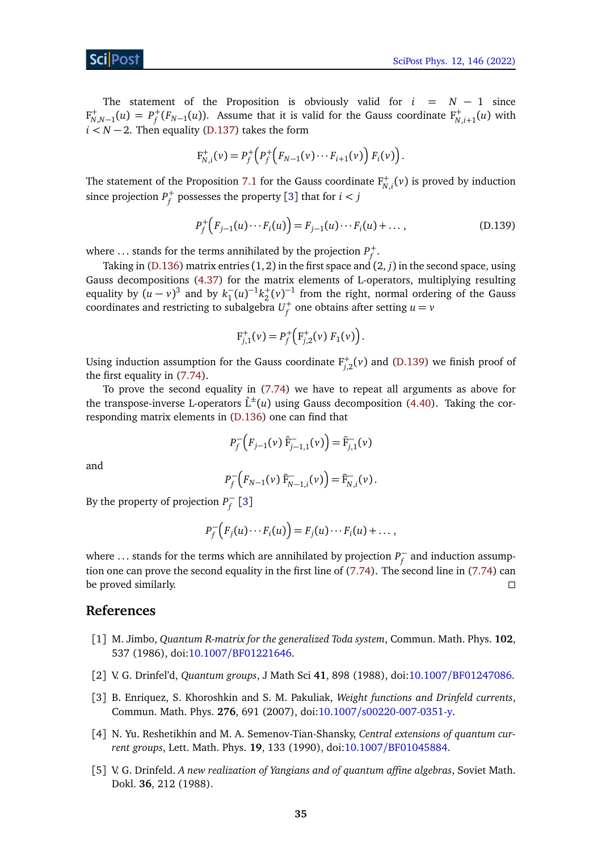The statement of the Proposition is obviously valid for  $i = N - 1$  since  $F^+_{N,N-1}(u) = P^+_f(F_{N-1}(u))$ . Assume that it is valid for the Gauss coordinate  $F^+_{N,i+1}(u)$  with  $i < N-2$ . Then equality [\(D.137\)](#page-33-4) takes the form

$$
F_{N,i}^+(\nu) = P_f^+\Big(P_f^+\Big(F_{N-1}(\nu)\cdots F_{i+1}(\nu)\Big)\,F_i(\nu)\Big).
$$

The statement of the Proposition [7.1](#page-21-0) for the Gauss coordinate  $F^+_{N,i}(v)$  is proved by induction since projection  $P_f^+$  possesses the property [[3](#page-34-3)] that for  $i < j$ 

<span id="page-34-0"></span>
$$
P_f^+\Big(F_{j-1}(u)\cdots F_i(u)\Big) = F_{j-1}(u)\cdots F_i(u) + \dots, \tag{D.139}
$$

where ... stands for the terms annihilated by the projection  $P_f^+$ .

Taking in [\(D.136\)](#page-33-2) matrix entries (1, 2) in the first space and (2, *j*) in the second space, using Gauss decompositions [\(4.37\)](#page-9-1) for the matrix elements of L-operators, multiplying resulting equality by  $(u - v)^3$  and by  $k_1^ \frac{1}{1}(u)^{-1}k_2^+(v)^{-1}$  from the right, normal ordering of the Gauss coordinates and restricting to subalgebra  $U_f^+$  one obtains after setting  $u=v$ 

$$
F_{j,1}^+(\nu) = P_f^+\Big(F_{j,2}^+(\nu) F_1(\nu)\Big).
$$

Using induction assumption for the Gauss coordinate  $F_{j,2}^+(v)$  and [\(D.139\)](#page-34-0) we finish proof of the first equality in [\(7.74\)](#page-21-1).

To prove the second equality in [\(7.74\)](#page-21-1) we have to repeat all arguments as above for the transpose-inverse L-operators  $\hat{L}^{\pm}(u)$  using Gauss decomposition [\(4.40\)](#page-10-2). Taking the corresponding matrix elements in [\(D.136\)](#page-33-2) one can find that

$$
P_f^-\left(F_{j-1}(\nu)\tilde{F}_{j-1,1}^-(\nu)\right) = \tilde{F}_{j,1}^-(\nu)
$$

and

$$
P_f^-\big(F_{N-1}(\nu)\,\tilde{F}_{N-1,i}^-(\nu)\big) = \tilde{F}_{N,i}^-(\nu).
$$

By the property of projection  $P_f^$ *f* [[3](#page-34-3)]

$$
P_f^-(F_j(u)\cdots F_i(u))=F_j(u)\cdots F_i(u)+\ldots,
$$

where ... stands for the terms which are annihilated by projection  $P_f^{\perp}$  $\bar{f}$  and induction assumption one can prove the second equality in the first line of [\(7.74\)](#page-21-1). The second line in [\(7.74\)](#page-21-1) can be proved similarly.  $\square$ 

### **References**

- <span id="page-34-1"></span>[1] M. Jimbo, *Quantum R-matrix for the generalized Toda system*, Commun. Math. Phys. **102**, 537 (1986), doi:10.1007/[BF01221646.](https://doi.org/10.1007/BF01221646)
- <span id="page-34-2"></span>[2] V. G. Drinfel'd, *Quantum groups*, J Math Sci **41**, 898 (1988), doi:10.1007/[BF01247086.](https://doi.org/10.1007/BF01247086)
- <span id="page-34-3"></span>[3] B. Enriquez, S. Khoroshkin and S. M. Pakuliak, *Weight functions and Drinfeld currents*, Commun. Math. Phys. **276**, 691 (2007), doi:10.1007/[s00220-007-0351-y.](https://doi.org/10.1007/s00220-007-0351-y)
- <span id="page-34-4"></span>[4] N. Yu. Reshetikhin and M. A. Semenov-Tian-Shansky, *Central extensions of quantum current groups*, Lett. Math. Phys. **19**, 133 (1990), doi:10.1007/[BF01045884.](https://doi.org/10.1007/BF01045884)
- <span id="page-34-5"></span>[5] V. G. Drinfeld. *A new realization of Yangians and of quantum affine algebras*, Soviet Math. Dokl. **36**, 212 (1988).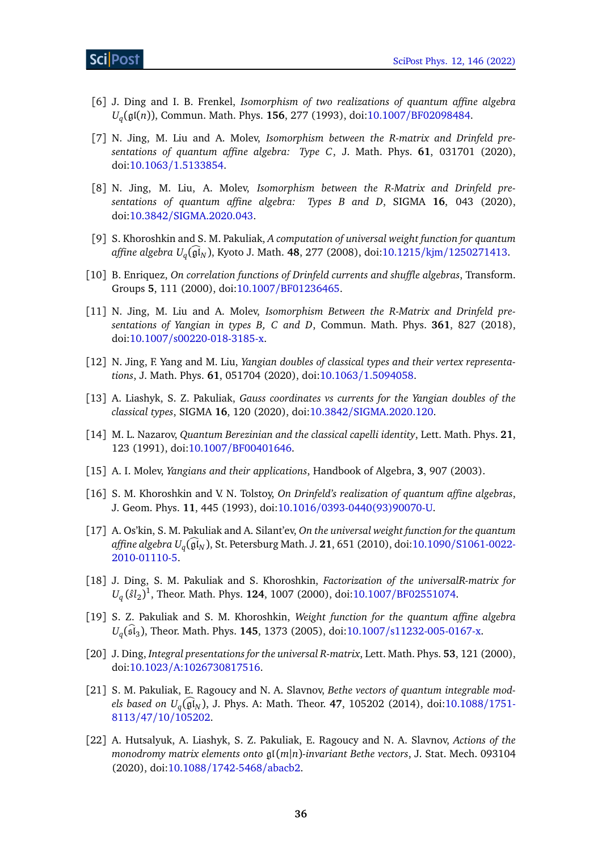- <span id="page-35-0"></span>[6] J. Ding and I. B. Frenkel, *Isomorphism of two realizations of quantum affine algebra Uq* (gl(*n*)), Commun. Math. Phys. **156**, 277 (1993), doi:10.1007/[BF02098484.](https://doi.org/10.1007/BF02098484)
- <span id="page-35-1"></span>[7] N. Jing, M. Liu and A. Molev, *Isomorphism between the R-matrix and Drinfeld presentations of quantum affine algebra: Type C*, J. Math. Phys. **61**, 031701 (2020), doi:10.1063/[1.5133854.](https://doi.org/10.1063/1.5133854)
- <span id="page-35-2"></span>[8] N. Jing, M. Liu, A. Molev, *Isomorphism between the R-Matrix and Drinfeld presentations of quantum affine algebra: Types B and D*, SIGMA **16**, 043 (2020), doi:10.3842/[SIGMA.2020.043.](https://doi.org/10.3842/SIGMA.2020.043)
- <span id="page-35-3"></span>[9] S. Khoroshkin and S. M. Pakuliak, *A computation of universal weight function for quantum affine algebra U<sub>q</sub>(gl<sub>N</sub>), Kyoto J. Math. 48, 277 (2008), doi:10.1215/kjm/[1250271413.](https://doi.org/10.1215/kjm/1250271413)*
- <span id="page-35-4"></span>[10] B. Enriquez, *On correlation functions of Drinfeld currents and shuffle algebras*, Transform. Groups **5**, 111 (2000), doi:10.1007/[BF01236465.](https://doi.org/10.1007/BF01236465)
- <span id="page-35-5"></span>[11] N. Jing, M. Liu and A. Molev, *Isomorphism Between the R-Matrix and Drinfeld presentations of Yangian in types B, C and D*, Commun. Math. Phys. **361**, 827 (2018), doi:10.1007/[s00220-018-3185-x.](https://doi.org/10.1007/s00220-018-3185-x)
- [12] N. Jing, F. Yang and M. Liu, *Yangian doubles of classical types and their vertex representations*, J. Math. Phys. **61**, 051704 (2020), doi:10.1063/[1.5094058.](https://doi.org/10.1063/1.5094058)
- <span id="page-35-6"></span>[13] A. Liashyk, S. Z. Pakuliak, *Gauss coordinates vs currents for the Yangian doubles of the classical types*, SIGMA **16**, 120 (2020), doi:10.3842/[SIGMA.2020.120.](https://doi.org/10.3842/SIGMA.2020.120)
- <span id="page-35-7"></span>[14] M. L. Nazarov, *Quantum Berezinian and the classical capelli identity*, Lett. Math. Phys. **21**, 123 (1991), doi:10.1007/[BF00401646.](https://doi.org/10.1007/BF00401646)
- <span id="page-35-8"></span>[15] A. I. Molev, *Yangians and their applications*, Handbook of Algebra, **3**, 907 (2003).
- <span id="page-35-9"></span>[16] S. M. Khoroshkin and V. N. Tolstoy, *On Drinfeld's realization of quantum affine algebras*, J. Geom. Phys. **11**, 445 (1993), doi:10.1016/[0393-0440\(93\)90070-U.](https://doi.org/10.1016/0393-0440(93)90070-U)
- [17] A. Os'kin, S. M. Pakuliak and A. Silant'ev, *On the universal weight function for the quantum affine algebra U<sub>q</sub>*( $\mathfrak{gl}_N$ ), St. Petersburg Math. J. **21**, 651 (2010), doi:10.1090/[S1061-0022-](https://doi.org/10.1090/S1061-0022-2010-01110-5) [2010-01110-5.](https://doi.org/10.1090/S1061-0022-2010-01110-5)
- <span id="page-35-10"></span>[18] J. Ding, S. M. Pakuliak and S. Khoroshkin, *Factorization of the universalR-matrix for*  $U_q^{}(\hat{sl}_2)^1$ , Theor. Math. Phys. **124**, 1007 (2000), doi:10.1007/[BF02551074.](https://doi.org/10.1007/BF02551074)
- <span id="page-35-11"></span>[19] S. Z. Pakuliak and S. M. Khoroshkin, *Weight function for the quantum affine algebra Uq* (slb 3 ), Theor. Math. Phys. **145**, 1373 (2005), doi:10.1007/[s11232-005-0167-x.](https://doi.org/10.1007/s11232-005-0167-x)
- <span id="page-35-12"></span>[20] J. Ding, *Integral presentations for the universal R-matrix*, Lett. Math. Phys. **53**, 121 (2000), doi:10.1023/[A:1026730817516.](https://doi.org/10.1023/A:1026730817516)
- <span id="page-35-13"></span>[21] S. M. Pakuliak, E. Ragoucy and N. A. Slavnov, *Bethe vectors of quantum integrable models based on U*<sub>q</sub>( $\mathfrak{gl}_N$ ), J. Phys. A: Math. Theor. **47**, 105202 (2014), doi[:10.1088](https://doi.org/10.1088/1751-8113/47/10/105202)/1751-8113/47/10/[105202.](https://doi.org/10.1088/1751-8113/47/10/105202)
- <span id="page-35-14"></span>[22] A. Hutsalyuk, A. Liashyk, S. Z. Pakuliak, E. Ragoucy and N. A. Slavnov, *Actions of the monodromy matrix elements onto* gl(*m*|*n*)*-invariant Bethe vectors*, J. Stat. Mech. 093104 (2020), doi:10.1088/[1742-5468](https://doi.org/10.1088/1742-5468/abacb2)/abacb2.